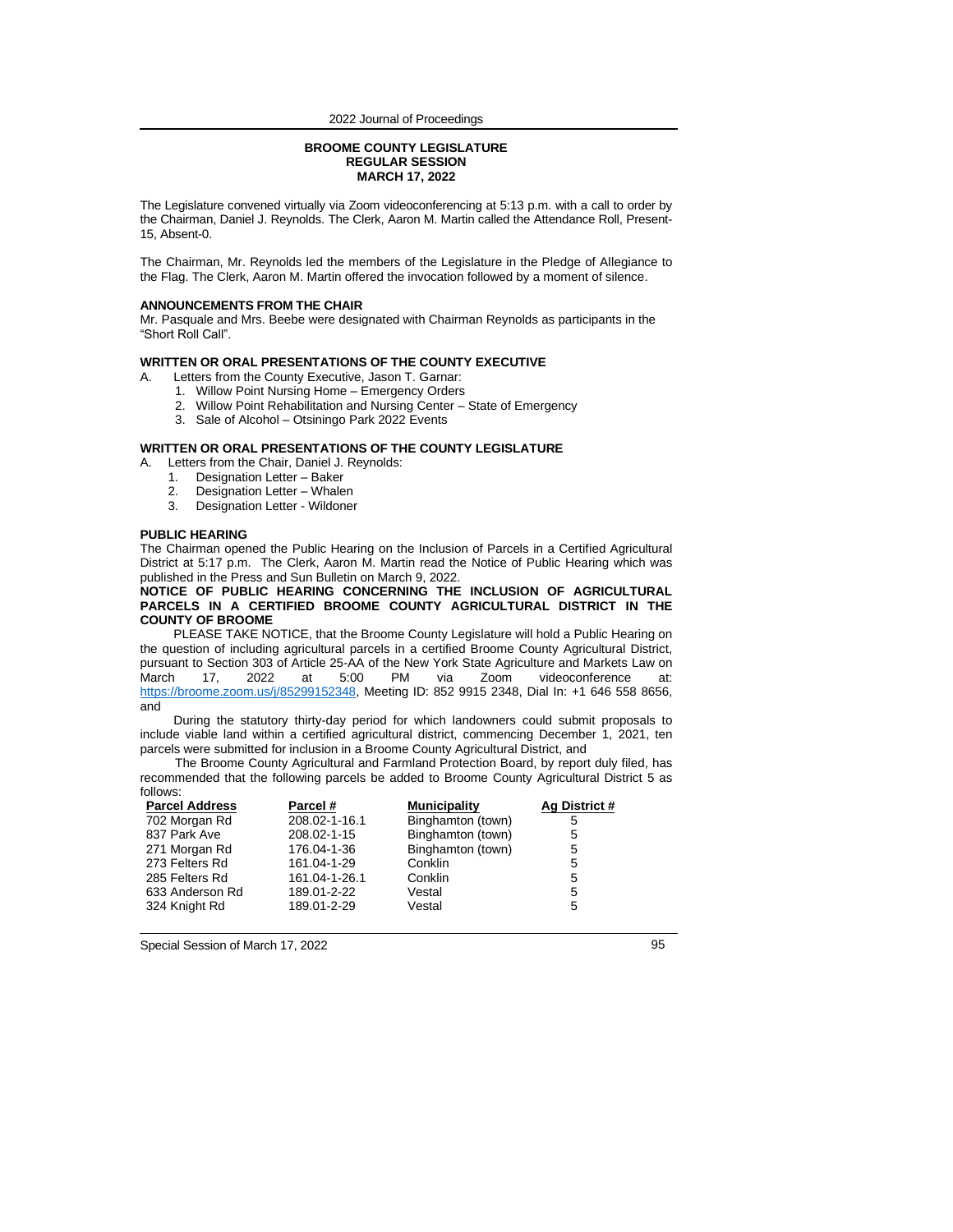#### **BROOME COUNTY LEGISLATURE REGULAR SESSION MARCH 17, 2022**

The Legislature convened virtually via Zoom videoconferencing at 5:13 p.m. with a call to order by the Chairman, Daniel J. Reynolds. The Clerk, Aaron M. Martin called the Attendance Roll, Present-15, Absent-0.

The Chairman, Mr. Reynolds led the members of the Legislature in the Pledge of Allegiance to the Flag. The Clerk, Aaron M. Martin offered the invocation followed by a moment of silence.

#### **ANNOUNCEMENTS FROM THE CHAIR**

Mr. Pasquale and Mrs. Beebe were designated with Chairman Reynolds as participants in the "Short Roll Call".

#### **WRITTEN OR ORAL PRESENTATIONS OF THE COUNTY EXECUTIVE**

- A. Letters from the County Executive, Jason T. Garnar:
	- 1. Willow Point Nursing Home Emergency Orders
	- 2. Willow Point Rehabilitation and Nursing Center State of Emergency
		- 3. Sale of Alcohol Otsiningo Park 2022 Events

### **WRITTEN OR ORAL PRESENTATIONS OF THE COUNTY LEGISLATURE**

- A. Letters from the Chair, Daniel J. Reynolds:
	- 1. Designation Letter Baker
	- 2. Designation Letter Whalen<br>3. Designation Letter Wildoner
	- Designation Letter Wildoner

#### **PUBLIC HEARING**

The Chairman opened the Public Hearing on the Inclusion of Parcels in a Certified Agricultural District at 5:17 p.m. The Clerk, Aaron M. Martin read the Notice of Public Hearing which was published in the Press and Sun Bulletin on March 9, 2022.

**NOTICE OF PUBLIC HEARING CONCERNING THE INCLUSION OF AGRICULTURAL PARCELS IN A CERTIFIED BROOME COUNTY AGRICULTURAL DISTRICT IN THE COUNTY OF BROOME**

PLEASE TAKE NOTICE, that the Broome County Legislature will hold a Public Hearing on the question of including agricultural parcels in a certified Broome County Agricultural District, pursuant to Section 303 of Article 25-AA of the New York State Agriculture and Markets Law on<br>March 17, 2022 at 5:00 PM via Zoom videoconference at: videoconference at: [https://broome.zoom.us/j/85299152348,](https://broome.zoom.us/j/85299152348) Meeting ID: 852 9915 2348, Dial In: +1 646 558 8656, and

During the statutory thirty-day period for which landowners could submit proposals to include viable land within a certified agricultural district, commencing December 1, 2021, ten parcels were submitted for inclusion in a Broome County Agricultural District, and

The Broome County Agricultural and Farmland Protection Board, by report duly filed, has recommended that the following parcels be added to Broome County Agricultural District 5 as follows:

| <b>Parcel Address</b> | Parcel #      | <b>Municipality</b> | Ag District # |
|-----------------------|---------------|---------------------|---------------|
| 702 Morgan Rd         | 208.02-1-16.1 | Binghamton (town)   | 5             |
| 837 Park Ave          | 208.02-1-15   | Binghamton (town)   | 5             |
| 271 Morgan Rd         | 176.04-1-36   | Binghamton (town)   | 5             |
| 273 Felters Rd        | 161.04-1-29   | Conklin             | 5             |
| 285 Felters Rd        | 161.04-1-26.1 | Conklin             | 5             |
| 633 Anderson Rd       | 189.01-2-22   | Vestal              | 5             |
| 324 Knight Rd         | 189.01-2-29   | Vestal              | 5             |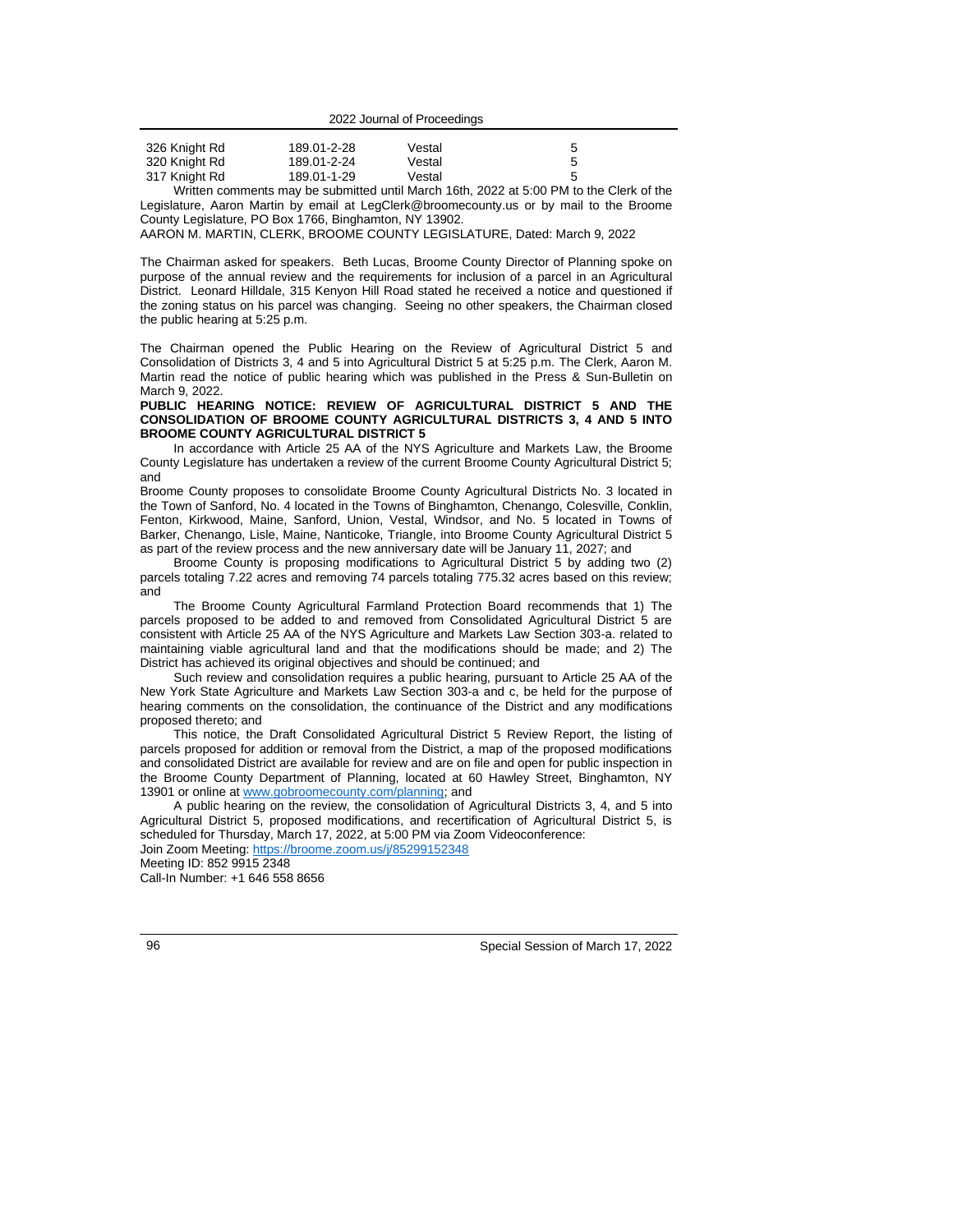| 326 Knight Rd | 189.01-2-28 | Vestal |  |
|---------------|-------------|--------|--|
| 320 Knight Rd | 189.01-2-24 | Vestal |  |
| 317 Knight Rd | 189.01-1-29 | Vestal |  |

Written comments may be submitted until March 16th, 2022 at 5:00 PM to the Clerk of the Legislature, Aaron Martin by email at LegClerk@broomecounty.us or by mail to the Broome County Legislature, PO Box 1766, Binghamton, NY 13902.

AARON M. MARTIN, CLERK, BROOME COUNTY LEGISLATURE, Dated: March 9, 2022

The Chairman asked for speakers. Beth Lucas, Broome County Director of Planning spoke on purpose of the annual review and the requirements for inclusion of a parcel in an Agricultural District. Leonard Hilldale, 315 Kenyon Hill Road stated he received a notice and questioned if the zoning status on his parcel was changing. Seeing no other speakers, the Chairman closed the public hearing at 5:25 p.m.

The Chairman opened the Public Hearing on the Review of Agricultural District 5 and Consolidation of Districts 3, 4 and 5 into Agricultural District 5 at 5:25 p.m. The Clerk, Aaron M. Martin read the notice of public hearing which was published in the Press & Sun-Bulletin on March 9, 2022.

**PUBLIC HEARING NOTICE: REVIEW OF AGRICULTURAL DISTRICT 5 AND THE CONSOLIDATION OF BROOME COUNTY AGRICULTURAL DISTRICTS 3, 4 AND 5 INTO BROOME COUNTY AGRICULTURAL DISTRICT 5**

In accordance with Article 25 AA of the NYS Agriculture and Markets Law, the Broome County Legislature has undertaken a review of the current Broome County Agricultural District 5; and

Broome County proposes to consolidate Broome County Agricultural Districts No. 3 located in the Town of Sanford, No. 4 located in the Towns of Binghamton, Chenango, Colesville, Conklin, Fenton, Kirkwood, Maine, Sanford, Union, Vestal, Windsor, and No. 5 located in Towns of Barker, Chenango, Lisle, Maine, Nanticoke, Triangle, into Broome County Agricultural District 5 as part of the review process and the new anniversary date will be January 11, 2027; and

Broome County is proposing modifications to Agricultural District 5 by adding two (2) parcels totaling 7.22 acres and removing 74 parcels totaling 775.32 acres based on this review; and

The Broome County Agricultural Farmland Protection Board recommends that 1) The parcels proposed to be added to and removed from Consolidated Agricultural District 5 are consistent with Article 25 AA of the NYS Agriculture and Markets Law Section 303-a. related to maintaining viable agricultural land and that the modifications should be made; and 2) The District has achieved its original objectives and should be continued; and

Such review and consolidation requires a public hearing, pursuant to Article 25 AA of the New York State Agriculture and Markets Law Section 303-a and c, be held for the purpose of hearing comments on the consolidation, the continuance of the District and any modifications proposed thereto; and

This notice, the Draft Consolidated Agricultural District 5 Review Report, the listing of parcels proposed for addition or removal from the District, a map of the proposed modifications and consolidated District are available for review and are on file and open for public inspection in the Broome County Department of Planning, located at 60 Hawley Street, Binghamton, NY 13901 or online a[t www.gobroomecounty.com/planning;](http://www.gobroomecounty.com/planning) and

A public hearing on the review, the consolidation of Agricultural Districts 3, 4, and 5 into Agricultural District 5, proposed modifications, and recertification of Agricultural District 5, is scheduled for Thursday, March 17, 2022, at 5:00 PM via Zoom Videoconference:

Join Zoom Meeting[: https://broome.zoom.us/j/85299152348](https://broome.zoom.us/j/85299152348) Meeting ID: 852 9915 2348 Call-In Number: +1 646 558 8656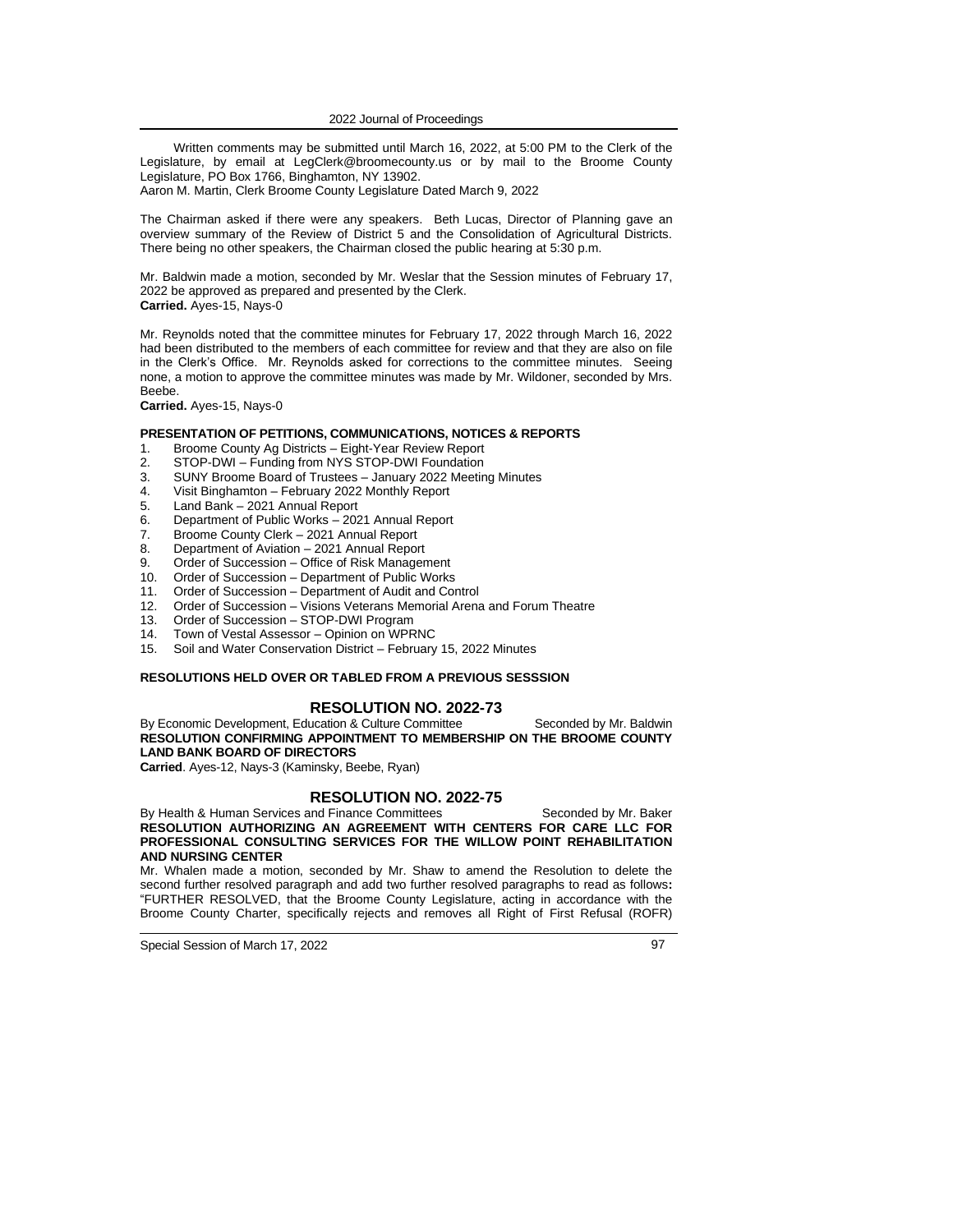Written comments may be submitted until March 16, 2022, at 5:00 PM to the Clerk of the Legislature, by email at LegClerk@broomecounty.us or by mail to the Broome County Legislature, PO Box 1766, Binghamton, NY 13902. Aaron M. Martin, Clerk Broome County Legislature Dated March 9, 2022

The Chairman asked if there were any speakers. Beth Lucas, Director of Planning gave an

overview summary of the Review of District 5 and the Consolidation of Agricultural Districts. There being no other speakers, the Chairman closed the public hearing at 5:30 p.m.

Mr. Baldwin made a motion, seconded by Mr. Weslar that the Session minutes of February 17, 2022 be approved as prepared and presented by the Clerk. **Carried.** Ayes-15, Nays-0

Mr. Reynolds noted that the committee minutes for February 17, 2022 through March 16, 2022 had been distributed to the members of each committee for review and that they are also on file in the Clerk's Office. Mr. Reynolds asked for corrections to the committee minutes. Seeing none, a motion to approve the committee minutes was made by Mr. Wildoner, seconded by Mrs. Beebe.

**Carried.** Ayes-15, Nays-0

### **PRESENTATION OF PETITIONS, COMMUNICATIONS, NOTICES & REPORTS**

- 1. Broome County Ag Districts Eight-Year Review Report
- 2. STOP-DWI Funding from NYS STOP-DWI Foundation
- 3. SUNY Broome Board of Trustees January 2022 Meeting Minutes
- 4. Visit Binghamton February 2022 Monthly Report
- Land Bank 2021 Annual Report
- 6. Department of Public Works 2021 Annual Report
- 7. Broome County Clerk 2021 Annual Report
- 8. Department of Aviation 2021 Annual Report<br>9. Order of Succession Office of Risk Manager
- 9. Order of Succession Office of Risk Management
- 10. Order of Succession Department of Public Works
- 11. Order of Succession Department of Audit and Control
- 12. Order of Succession Visions Veterans Memorial Arena and Forum Theatre
- 13. Order of Succession STOP-DWI Program
- 14. Town of Vestal Assessor Opinion on WPRNC
- 15. Soil and Water Conservation District February 15, 2022 Minutes

### **RESOLUTIONS HELD OVER OR TABLED FROM A PREVIOUS SESSSION**

### **RESOLUTION NO. 2022-73**

By Economic Development, Education & Culture Committee Seconded by Mr. Baldwin **RESOLUTION CONFIRMING APPOINTMENT TO MEMBERSHIP ON THE BROOME COUNTY LAND BANK BOARD OF DIRECTORS**

**Carried**. Ayes-12, Nays-3 (Kaminsky, Beebe, Ryan)

#### **RESOLUTION NO. 2022-75**

By Health & Human Services and Finance Committees Seconded by Mr. Baker **RESOLUTION AUTHORIZING AN AGREEMENT WITH CENTERS FOR CARE LLC FOR PROFESSIONAL CONSULTING SERVICES FOR THE WILLOW POINT REHABILITATION AND NURSING CENTER**

Mr. Whalen made a motion, seconded by Mr. Shaw to amend the Resolution to delete the second further resolved paragraph and add two further resolved paragraphs to read as follows**:**  "FURTHER RESOLVED, that the Broome County Legislature, acting in accordance with the Broome County Charter, specifically rejects and removes all Right of First Refusal (ROFR)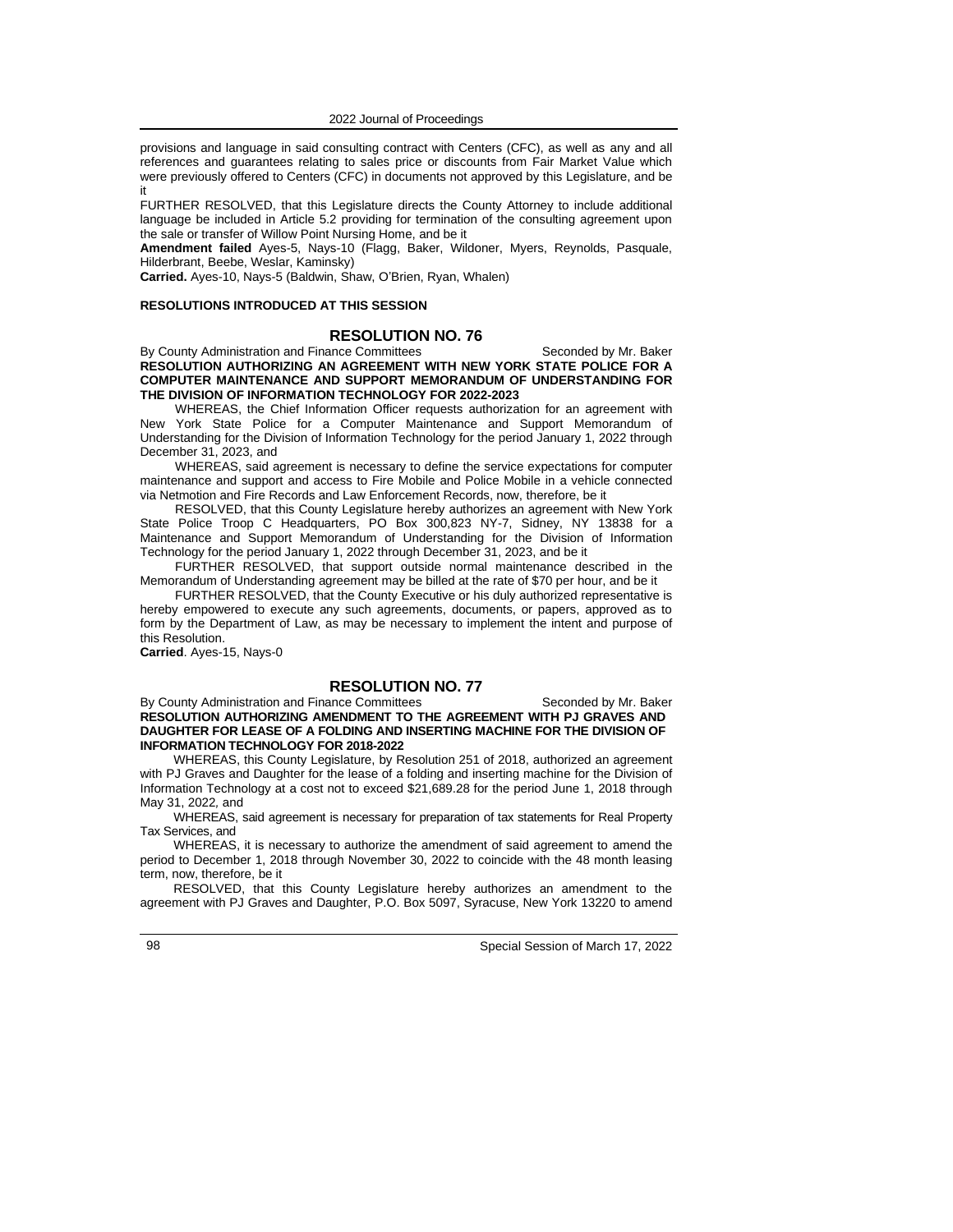provisions and language in said consulting contract with Centers (CFC), as well as any and all references and guarantees relating to sales price or discounts from Fair Market Value which were previously offered to Centers (CFC) in documents not approved by this Legislature, and be it

FURTHER RESOLVED, that this Legislature directs the County Attorney to include additional language be included in Article 5.2 providing for termination of the consulting agreement upon the sale or transfer of Willow Point Nursing Home, and be it

**Amendment failed** Ayes-5, Nays-10 (Flagg, Baker, Wildoner, Myers, Reynolds, Pasquale, Hilderbrant, Beebe, Weslar, Kaminsky)

**Carried.** Ayes-10, Nays-5 (Baldwin, Shaw, O'Brien, Ryan, Whalen)

#### **RESOLUTIONS INTRODUCED AT THIS SESSION**

#### **RESOLUTION NO. 76**

By County Administration and Finance Committees Seconded by Mr. Baker **RESOLUTION AUTHORIZING AN AGREEMENT WITH NEW YORK STATE POLICE FOR A COMPUTER MAINTENANCE AND SUPPORT MEMORANDUM OF UNDERSTANDING FOR THE DIVISION OF INFORMATION TECHNOLOGY FOR 2022-2023**

WHEREAS, the Chief Information Officer requests authorization for an agreement with New York State Police for a Computer Maintenance and Support Memorandum of Understanding for the Division of Information Technology for the period January 1, 2022 through December 31, 2023, and

WHEREAS, said agreement is necessary to define the service expectations for computer maintenance and support and access to Fire Mobile and Police Mobile in a vehicle connected via Netmotion and Fire Records and Law Enforcement Records, now, therefore, be it

RESOLVED, that this County Legislature hereby authorizes an agreement with New York State Police Troop C Headquarters, PO Box 300,823 NY-7, Sidney, NY 13838 for a Maintenance and Support Memorandum of Understanding for the Division of Information Technology for the period January 1, 2022 through December 31, 2023, and be it

FURTHER RESOLVED, that support outside normal maintenance described in the Memorandum of Understanding agreement may be billed at the rate of \$70 per hour, and be it

FURTHER RESOLVED, that the County Executive or his duly authorized representative is hereby empowered to execute any such agreements, documents, or papers, approved as to form by the Department of Law, as may be necessary to implement the intent and purpose of this Resolution.

**Carried**. Ayes-15, Nays-0

### **RESOLUTION NO. 77**

By County Administration and Finance Committees Seconded by Mr. Baker **RESOLUTION AUTHORIZING AMENDMENT TO THE AGREEMENT WITH PJ GRAVES AND DAUGHTER FOR LEASE OF A FOLDING AND INSERTING MACHINE FOR THE DIVISION OF INFORMATION TECHNOLOGY FOR 2018-2022**

WHEREAS, this County Legislature, by Resolution 251 of 2018, authorized an agreement with PJ Graves and Daughter for the lease of a folding and inserting machine for the Division of Information Technology at a cost not to exceed \$21,689.28 for the period June 1, 2018 through May 31, 2022*,* and

WHEREAS, said agreement is necessary for preparation of tax statements for Real Property Tax Services, and

WHEREAS, it is necessary to authorize the amendment of said agreement to amend the period to December 1, 2018 through November 30, 2022 to coincide with the 48 month leasing term, now, therefore, be it

RESOLVED, that this County Legislature hereby authorizes an amendment to the agreement with PJ Graves and Daughter, P.O. Box 5097, Syracuse, New York 13220 to amend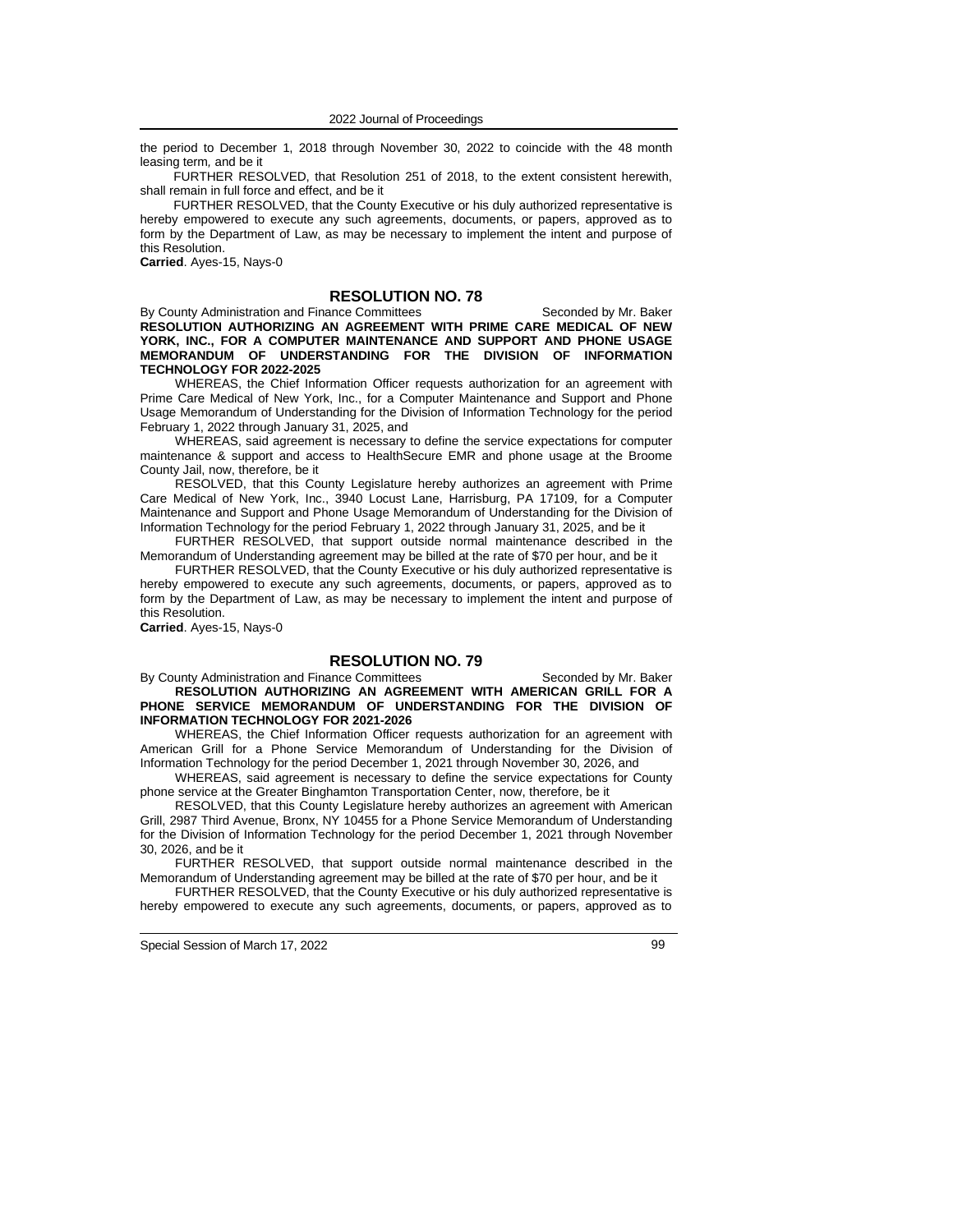the period to December 1, 2018 through November 30, 2022 to coincide with the 48 month leasing term*,* and be it

FURTHER RESOLVED, that Resolution 251 of 2018, to the extent consistent herewith, shall remain in full force and effect, and be it

FURTHER RESOLVED, that the County Executive or his duly authorized representative is hereby empowered to execute any such agreements, documents, or papers, approved as to form by the Department of Law, as may be necessary to implement the intent and purpose of this Resolution.

**Carried**. Ayes-15, Nays-0

### **RESOLUTION NO. 78**

By County Administration and Finance Committees Seconded by Mr. Baker **RESOLUTION AUTHORIZING AN AGREEMENT WITH PRIME CARE MEDICAL OF NEW YORK, INC., FOR A COMPUTER MAINTENANCE AND SUPPORT AND PHONE USAGE MEMORANDUM OF UNDERSTANDING FOR THE DIVISION OF INFORMATION TECHNOLOGY FOR 2022-2025**

WHEREAS, the Chief Information Officer requests authorization for an agreement with Prime Care Medical of New York, Inc., for a Computer Maintenance and Support and Phone Usage Memorandum of Understanding for the Division of Information Technology for the period February 1, 2022 through January 31, 2025, and

WHEREAS, said agreement is necessary to define the service expectations for computer maintenance & support and access to HealthSecure EMR and phone usage at the Broome County Jail, now, therefore, be it

RESOLVED, that this County Legislature hereby authorizes an agreement with Prime Care Medical of New York, Inc., 3940 Locust Lane, Harrisburg, PA 17109, for a Computer Maintenance and Support and Phone Usage Memorandum of Understanding for the Division of Information Technology for the period February 1, 2022 through January 31, 2025, and be it

FURTHER RESOLVED, that support outside normal maintenance described in the Memorandum of Understanding agreement may be billed at the rate of \$70 per hour, and be it

FURTHER RESOLVED, that the County Executive or his duly authorized representative is hereby empowered to execute any such agreements, documents, or papers, approved as to form by the Department of Law, as may be necessary to implement the intent and purpose of this Resolution.

**Carried**. Ayes-15, Nays-0

#### **RESOLUTION NO. 79**

By County Administration and Finance Committees Seconded by Mr. Baker **RESOLUTION AUTHORIZING AN AGREEMENT WITH AMERICAN GRILL FOR A PHONE SERVICE MEMORANDUM OF UNDERSTANDING FOR THE DIVISION OF INFORMATION TECHNOLOGY FOR 2021-2026**

WHEREAS, the Chief Information Officer requests authorization for an agreement with American Grill for a Phone Service Memorandum of Understanding for the Division of Information Technology for the period December 1, 2021 through November 30, 2026, and

WHEREAS, said agreement is necessary to define the service expectations for County phone service at the Greater Binghamton Transportation Center, now, therefore, be it

RESOLVED, that this County Legislature hereby authorizes an agreement with American Grill, 2987 Third Avenue, Bronx, NY 10455 for a Phone Service Memorandum of Understanding for the Division of Information Technology for the period December 1, 2021 through November 30, 2026, and be it

FURTHER RESOLVED, that support outside normal maintenance described in the Memorandum of Understanding agreement may be billed at the rate of \$70 per hour, and be it

FURTHER RESOLVED, that the County Executive or his duly authorized representative is hereby empowered to execute any such agreements, documents, or papers, approved as to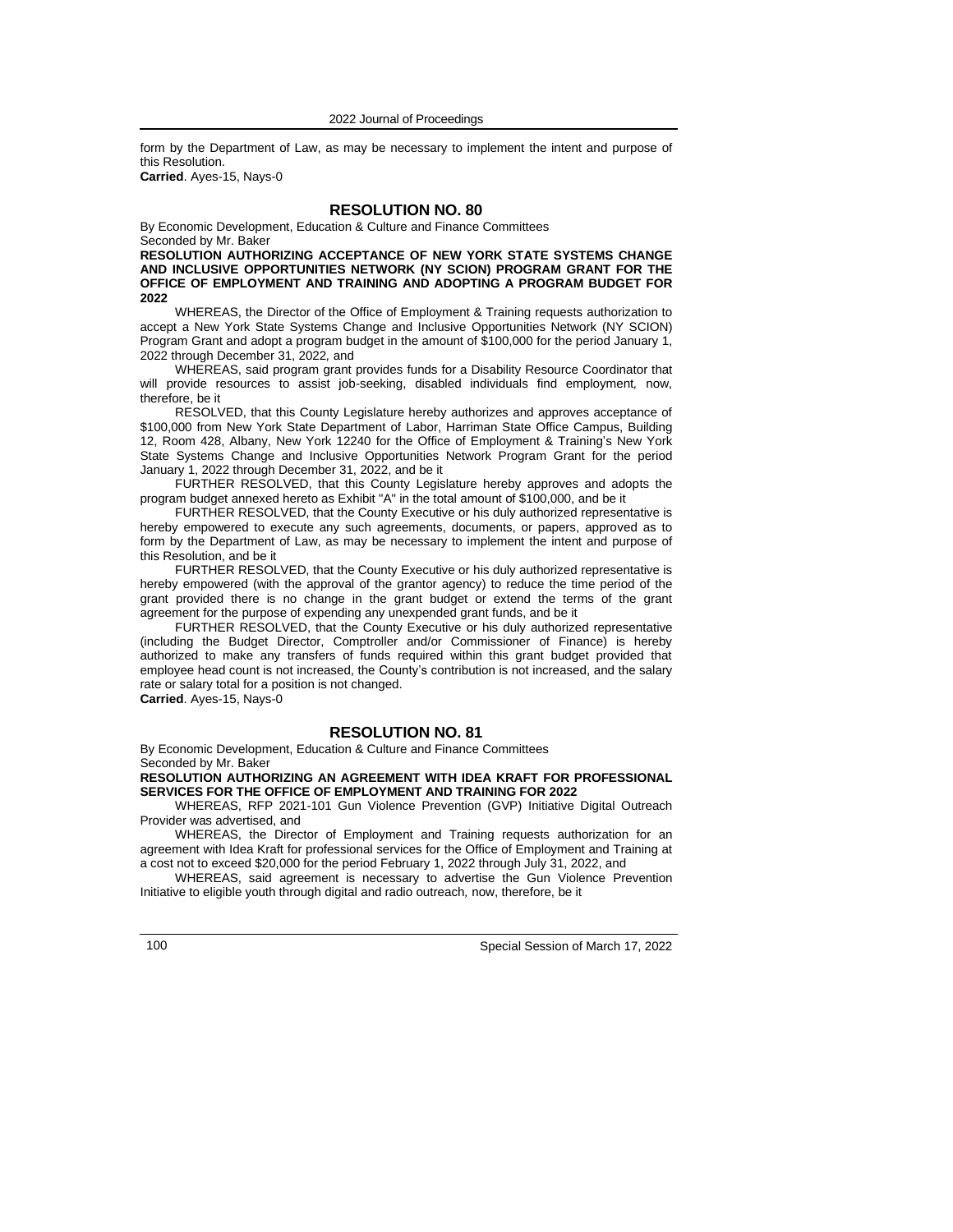form by the Department of Law, as may be necessary to implement the intent and purpose of this Resolution.

**Carried**. Ayes-15, Nays-0

### **RESOLUTION NO. 80**

By Economic Development, Education & Culture and Finance Committees Seconded by Mr. Baker

**RESOLUTION AUTHORIZING ACCEPTANCE OF NEW YORK STATE SYSTEMS CHANGE AND INCLUSIVE OPPORTUNITIES NETWORK (NY SCION) PROGRAM GRANT FOR THE OFFICE OF EMPLOYMENT AND TRAINING AND ADOPTING A PROGRAM BUDGET FOR 2022**

WHEREAS, the Director of the Office of Employment & Training requests authorization to accept a New York State Systems Change and Inclusive Opportunities Network (NY SCION) Program Grant and adopt a program budget in the amount of \$100,000 for the period January 1, 2022 through December 31, 2022*,* and

WHEREAS, said program grant provides funds for a Disability Resource Coordinator that will provide resources to assist job-seeking, disabled individuals find employment*,* now, therefore, be it

RESOLVED, that this County Legislature hereby authorizes and approves acceptance of \$100,000 from New York State Department of Labor, Harriman State Office Campus, Building 12, Room 428, Albany, New York 12240 for the Office of Employment & Training's New York State Systems Change and Inclusive Opportunities Network Program Grant for the period January 1, 2022 through December 31, 2022, and be it

FURTHER RESOLVED, that this County Legislature hereby approves and adopts the program budget annexed hereto as Exhibit "A" in the total amount of \$100,000, and be it

FURTHER RESOLVED, that the County Executive or his duly authorized representative is hereby empowered to execute any such agreements, documents, or papers, approved as to form by the Department of Law, as may be necessary to implement the intent and purpose of this Resolution, and be it

FURTHER RESOLVED, that the County Executive or his duly authorized representative is hereby empowered (with the approval of the grantor agency) to reduce the time period of the grant provided there is no change in the grant budget or extend the terms of the grant agreement for the purpose of expending any unexpended grant funds, and be it

FURTHER RESOLVED, that the County Executive or his duly authorized representative (including the Budget Director, Comptroller and/or Commissioner of Finance) is hereby authorized to make any transfers of funds required within this grant budget provided that employee head count is not increased, the County's contribution is not increased, and the salary rate or salary total for a position is not changed.

**Carried**. Ayes-15, Nays-0

### **RESOLUTION NO. 81**

By Economic Development, Education & Culture and Finance Committees Seconded by Mr. Baker

### **RESOLUTION AUTHORIZING AN AGREEMENT WITH IDEA KRAFT FOR PROFESSIONAL SERVICES FOR THE OFFICE OF EMPLOYMENT AND TRAINING FOR 2022**

WHEREAS, RFP 2021-101 Gun Violence Prevention (GVP) Initiative Digital Outreach Provider was advertised, and

WHEREAS, the Director of Employment and Training requests authorization for an agreement with Idea Kraft for professional services for the Office of Employment and Training at a cost not to exceed \$20,000 for the period February 1, 2022 through July 31, 2022, and

WHEREAS, said agreement is necessary to advertise the Gun Violence Prevention Initiative to eligible youth through digital and radio outreach*,* now, therefore, be it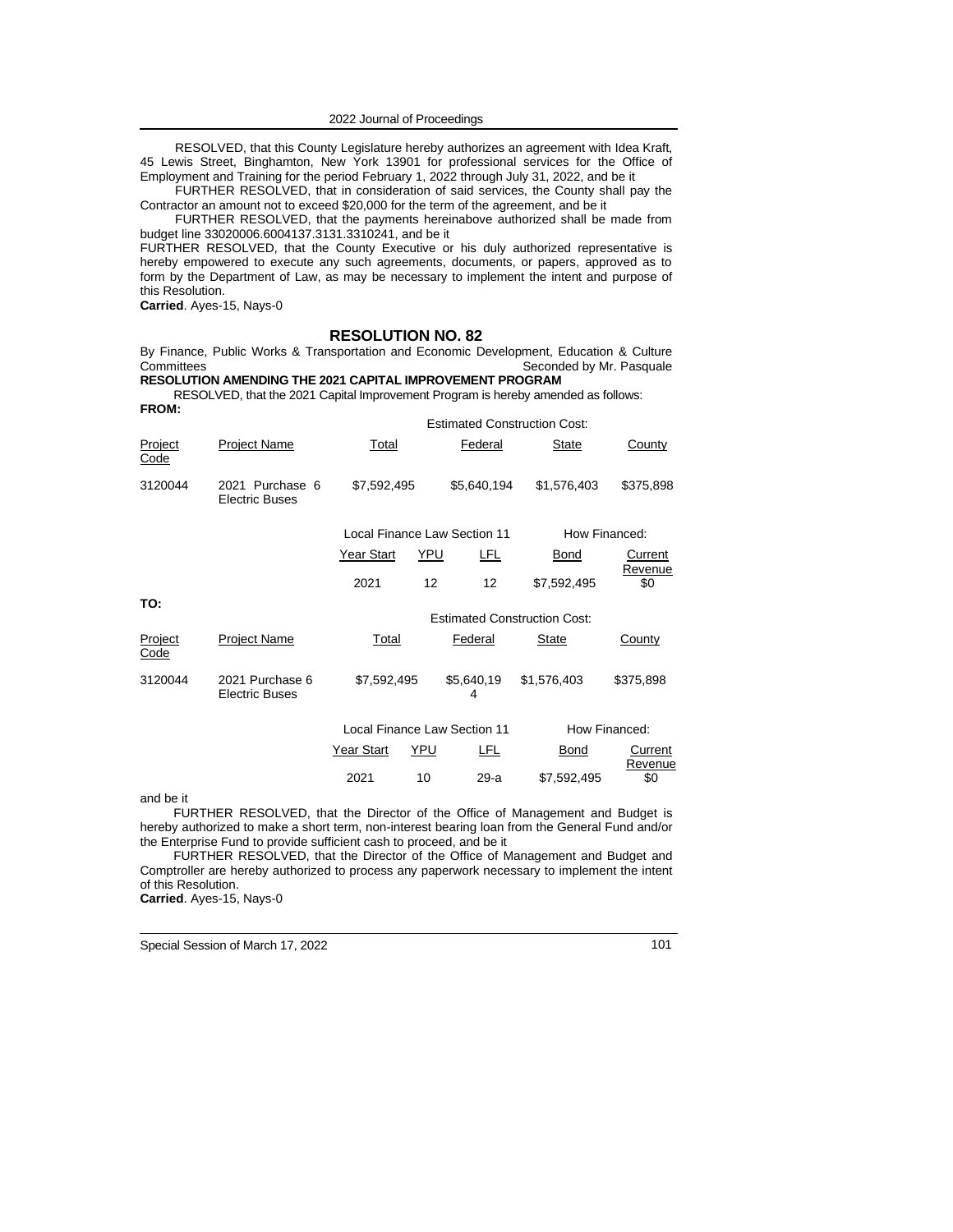RESOLVED, that this County Legislature hereby authorizes an agreement with Idea Kraft, 45 Lewis Street, Binghamton, New York 13901 for professional services for the Office of Employment and Training for the period February 1, 2022 through July 31, 2022, and be it

FURTHER RESOLVED, that in consideration of said services, the County shall pay the Contractor an amount not to exceed \$20,000 for the term of the agreement, and be it

FURTHER RESOLVED, that the payments hereinabove authorized shall be made from budget line 33020006.6004137.3131.3310241, and be it

FURTHER RESOLVED, that the County Executive or his duly authorized representative is hereby empowered to execute any such agreements, documents, or papers, approved as to form by the Department of Law, as may be necessary to implement the intent and purpose of this Resolution.

**Carried**. Ayes-15, Nays-0

#### **RESOLUTION NO. 82**

By Finance, Public Works & Transportation and Economic Development, Education & Culture Committees Seconded by Mr. Pasquale **RESOLUTION AMENDING THE 2021 CAPITAL IMPROVEMENT PROGRAM**

RESOLVED, that the 2021 Capital Improvement Program is hereby amended as follows: **FROM:**

|                        |                                          |             |     |                              | <b>Estimated Construction Cost:</b> |                    |
|------------------------|------------------------------------------|-------------|-----|------------------------------|-------------------------------------|--------------------|
| Project<br><u>Code</u> | <b>Project Name</b>                      | Total       |     | Federal                      | <b>State</b>                        | County             |
| 3120044                | 2021 Purchase 6<br><b>Electric Buses</b> | \$7,592,495 |     | \$5,640,194                  | \$1,576,403                         | \$375,898          |
|                        |                                          |             |     | Local Finance Law Section 11 |                                     | How Financed:      |
|                        |                                          | Year Start  | YPU | LFL                          | Bond                                | Current<br>Revenue |
|                        |                                          | 2021        | 12  | 12                           | \$7,592,495                         | \$0                |
| TO:                    |                                          |             |     |                              | <b>Estimated Construction Cost:</b> |                    |
| Project<br><u>Code</u> | <b>Project Name</b>                      | Total       |     | Federal                      | <b>State</b>                        | County             |
| 3120044                | 2021 Purchase 6<br><b>Electric Buses</b> | \$7,592,495 |     | \$5,640,19<br>4              | \$1,576,403                         | \$375,898          |
|                        |                                          |             |     | Local Finance Law Section 11 |                                     | How Financed:      |
|                        |                                          | Year Start  | YPU | LFL                          | Bond                                | Current<br>Revenue |
|                        |                                          | 2021        | 10  | 29-a                         | \$7,592,495                         | \$0                |
| $and$ ho it            |                                          |             |     |                              |                                     |                    |

and be it

FURTHER RESOLVED, that the Director of the Office of Management and Budget is hereby authorized to make a short term, non-interest bearing loan from the General Fund and/or the Enterprise Fund to provide sufficient cash to proceed, and be it

FURTHER RESOLVED, that the Director of the Office of Management and Budget and Comptroller are hereby authorized to process any paperwork necessary to implement the intent of this Resolution.

**Carried**. Ayes-15, Nays-0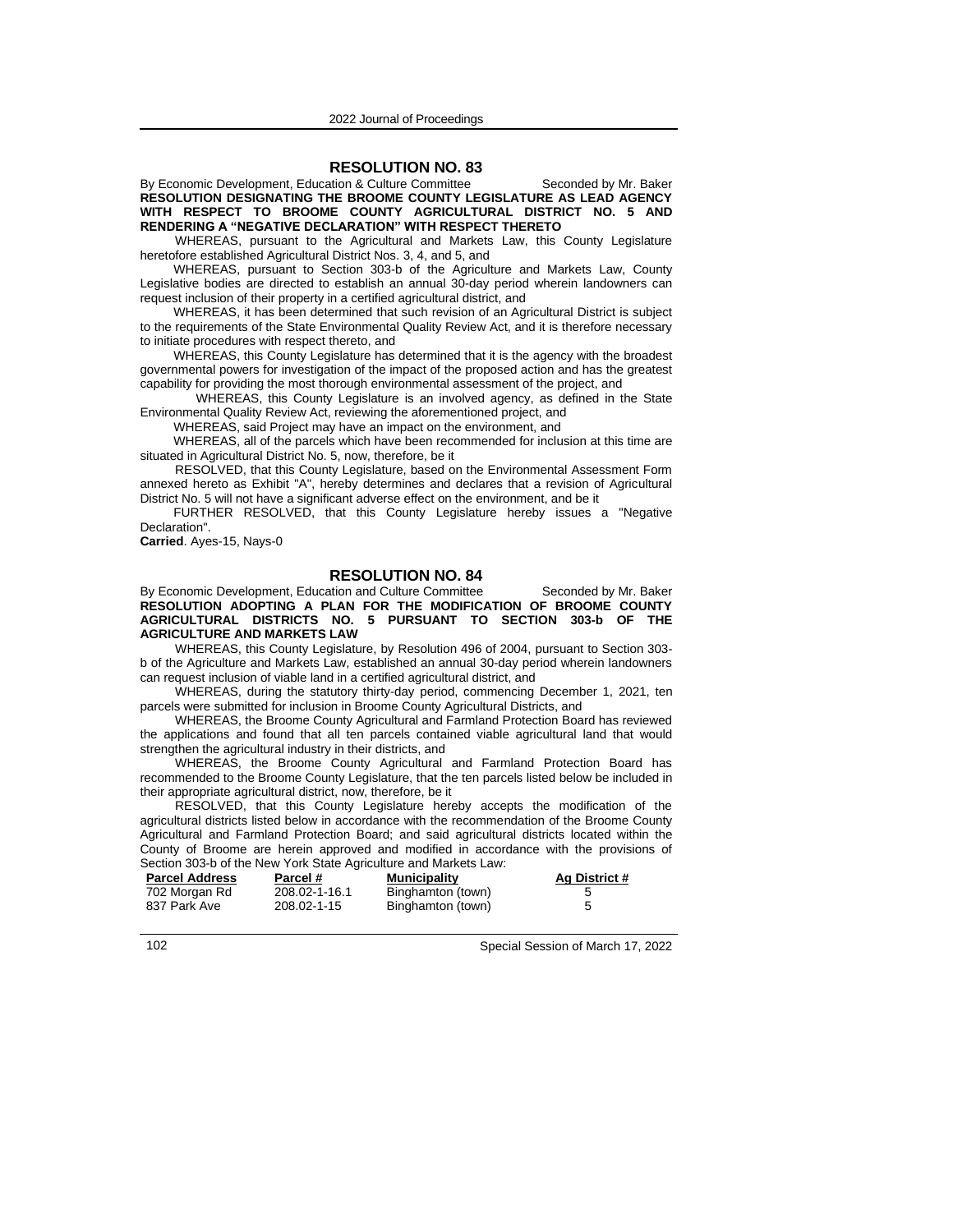### **RESOLUTION NO. 83**

By Economic Development, Education & Culture Committee Seconded by Mr. Baker **RESOLUTION DESIGNATING THE BROOME COUNTY LEGISLATURE AS LEAD AGENCY WITH RESPECT TO BROOME COUNTY AGRICULTURAL DISTRICT NO. 5 AND RENDERING A "NEGATIVE DECLARATION" WITH RESPECT THERETO** 

WHEREAS, pursuant to the Agricultural and Markets Law, this County Legislature heretofore established Agricultural District Nos. 3, 4, and 5, and

WHEREAS, pursuant to Section 303-b of the Agriculture and Markets Law, County Legislative bodies are directed to establish an annual 30-day period wherein landowners can request inclusion of their property in a certified agricultural district, and

WHEREAS, it has been determined that such revision of an Agricultural District is subject to the requirements of the State Environmental Quality Review Act, and it is therefore necessary to initiate procedures with respect thereto, and

WHEREAS, this County Legislature has determined that it is the agency with the broadest governmental powers for investigation of the impact of the proposed action and has the greatest capability for providing the most thorough environmental assessment of the project, and

WHEREAS, this County Legislature is an involved agency, as defined in the State Environmental Quality Review Act, reviewing the aforementioned project, and

WHEREAS, said Project may have an impact on the environment, and

WHEREAS, all of the parcels which have been recommended for inclusion at this time are situated in Agricultural District No. 5, now, therefore, be it

RESOLVED, that this County Legislature, based on the Environmental Assessment Form annexed hereto as Exhibit "A", hereby determines and declares that a revision of Agricultural District No. 5 will not have a significant adverse effect on the environment, and be it

FURTHER RESOLVED, that this County Legislature hereby issues a "Negative Declaration".

**Carried**. Ayes-15, Nays-0

# **RESOLUTION NO. 84**

By Economic Development, Education and Culture Committee Seconded by Mr. Baker **RESOLUTION ADOPTING A PLAN FOR THE MODIFICATION OF BROOME COUNTY AGRICULTURAL DISTRICTS NO. 5 PURSUANT TO SECTION 303-b OF THE AGRICULTURE AND MARKETS LAW** 

WHEREAS, this County Legislature, by Resolution 496 of 2004, pursuant to Section 303 b of the Agriculture and Markets Law, established an annual 30-day period wherein landowners can request inclusion of viable land in a certified agricultural district, and

WHEREAS, during the statutory thirty-day period, commencing December 1, 2021, ten parcels were submitted for inclusion in Broome County Agricultural Districts, and

WHEREAS, the Broome County Agricultural and Farmland Protection Board has reviewed the applications and found that all ten parcels contained viable agricultural land that would strengthen the agricultural industry in their districts, and

WHEREAS, the Broome County Agricultural and Farmland Protection Board has recommended to the Broome County Legislature, that the ten parcels listed below be included in their appropriate agricultural district, now, therefore, be it

RESOLVED, that this County Legislature hereby accepts the modification of the agricultural districts listed below in accordance with the recommendation of the Broome County Agricultural and Farmland Protection Board; and said agricultural districts located within the County of Broome are herein approved and modified in accordance with the provisions of Section 303-b of the New York State Agriculture and Markets Law:

| <b>Parcel Address</b> | Parcel #      | <b>Municipality</b> | Ag District # |
|-----------------------|---------------|---------------------|---------------|
| 702 Morgan Rd         | 208.02-1-16.1 | Binghamton (town)   |               |
| 837 Park Ave          | 208.02-1-15   | Binghamton (town)   |               |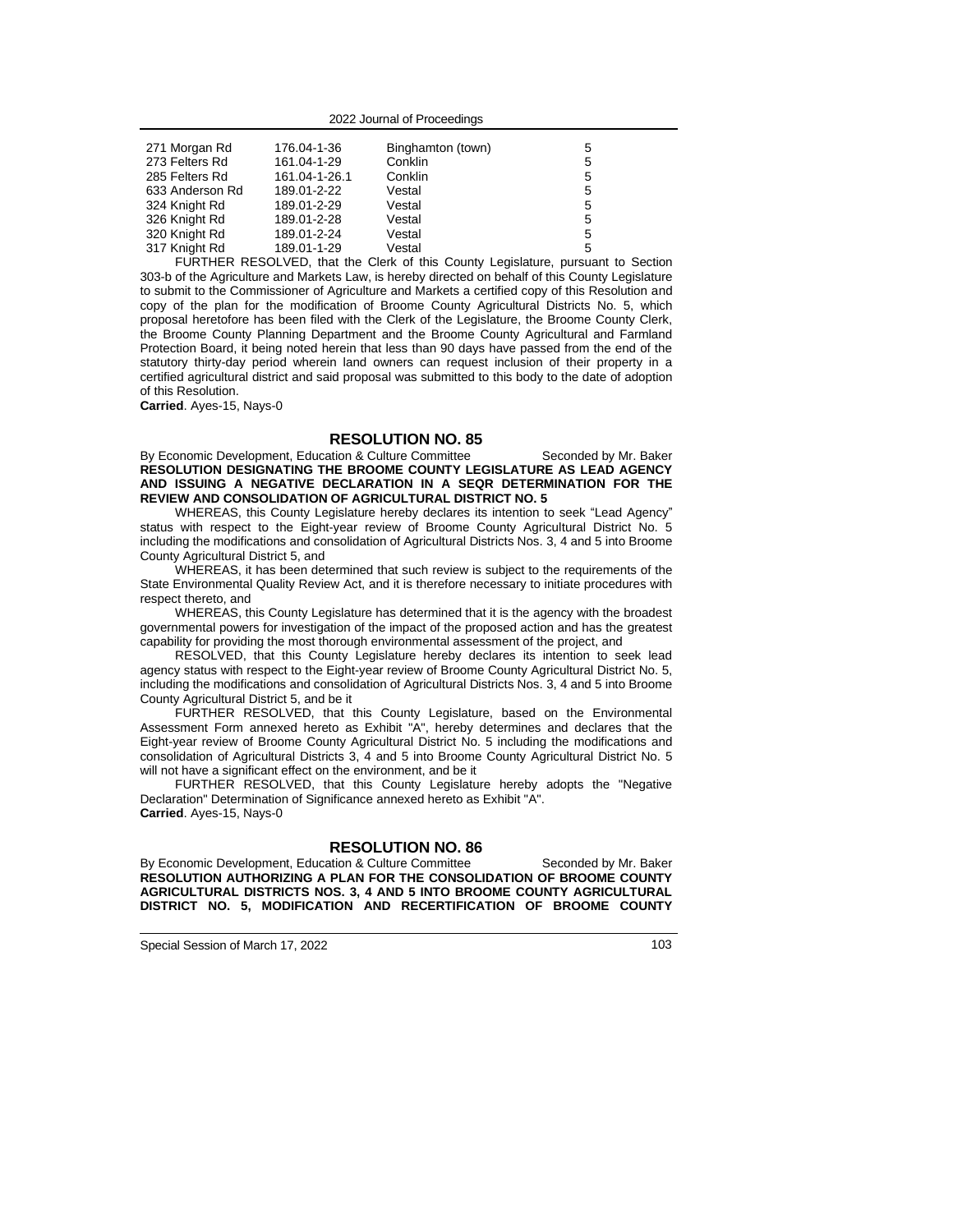| 271 Morgan Rd   | 176.04-1-36   | Binghamton (town) | 5 |
|-----------------|---------------|-------------------|---|
| 273 Felters Rd  | 161.04-1-29   | Conklin           | 5 |
| 285 Felters Rd  | 161.04-1-26.1 | Conklin           | 5 |
| 633 Anderson Rd | 189.01-2-22   | Vestal            | 5 |
| 324 Knight Rd   | 189.01-2-29   | Vestal            | 5 |
| 326 Knight Rd   | 189.01-2-28   | Vestal            | 5 |
| 320 Knight Rd   | 189.01-2-24   | Vestal            | 5 |
| 317 Knight Rd   | 189.01-1-29   | Vestal            | 5 |

FURTHER RESOLVED, that the Clerk of this County Legislature, pursuant to Section 303-b of the Agriculture and Markets Law, is hereby directed on behalf of this County Legislature to submit to the Commissioner of Agriculture and Markets a certified copy of this Resolution and copy of the plan for the modification of Broome County Agricultural Districts No. 5, which proposal heretofore has been filed with the Clerk of the Legislature, the Broome County Clerk, the Broome County Planning Department and the Broome County Agricultural and Farmland Protection Board, it being noted herein that less than 90 days have passed from the end of the statutory thirty-day period wherein land owners can request inclusion of their property in a certified agricultural district and said proposal was submitted to this body to the date of adoption of this Resolution.

**Carried**. Ayes-15, Nays-0

### **RESOLUTION NO. 85**

By Economic Development, Education & Culture Committee Seconded by Mr. Baker **RESOLUTION DESIGNATING THE BROOME COUNTY LEGISLATURE AS LEAD AGENCY AND ISSUING A NEGATIVE DECLARATION IN A SEQR DETERMINATION FOR THE REVIEW AND CONSOLIDATION OF AGRICULTURAL DISTRICT NO. 5**

WHEREAS, this County Legislature hereby declares its intention to seek "Lead Agency" status with respect to the Eight-year review of Broome County Agricultural District No. 5 including the modifications and consolidation of Agricultural Districts Nos. 3, 4 and 5 into Broome County Agricultural District 5, and

WHEREAS, it has been determined that such review is subject to the requirements of the State Environmental Quality Review Act, and it is therefore necessary to initiate procedures with respect thereto, and

WHEREAS, this County Legislature has determined that it is the agency with the broadest governmental powers for investigation of the impact of the proposed action and has the greatest capability for providing the most thorough environmental assessment of the project, and

RESOLVED, that this County Legislature hereby declares its intention to seek lead agency status with respect to the Eight-year review of Broome County Agricultural District No. 5, including the modifications and consolidation of Agricultural Districts Nos. 3, 4 and 5 into Broome County Agricultural District 5, and be it

FURTHER RESOLVED, that this County Legislature, based on the Environmental Assessment Form annexed hereto as Exhibit "A", hereby determines and declares that the Eight-year review of Broome County Agricultural District No. 5 including the modifications and consolidation of Agricultural Districts 3, 4 and 5 into Broome County Agricultural District No. 5 will not have a significant effect on the environment, and be it

FURTHER RESOLVED, that this County Legislature hereby adopts the "Negative Declaration" Determination of Significance annexed hereto as Exhibit "A". **Carried**. Ayes-15, Nays-0

# **RESOLUTION NO. 86**

By Economic Development, Education & Culture Committee Seconded by Mr. Baker **RESOLUTION AUTHORIZING A PLAN FOR THE CONSOLIDATION OF BROOME COUNTY AGRICULTURAL DISTRICTS NOS. 3, 4 AND 5 INTO BROOME COUNTY AGRICULTURAL DISTRICT NO. 5, MODIFICATION AND RECERTIFICATION OF BROOME COUNTY**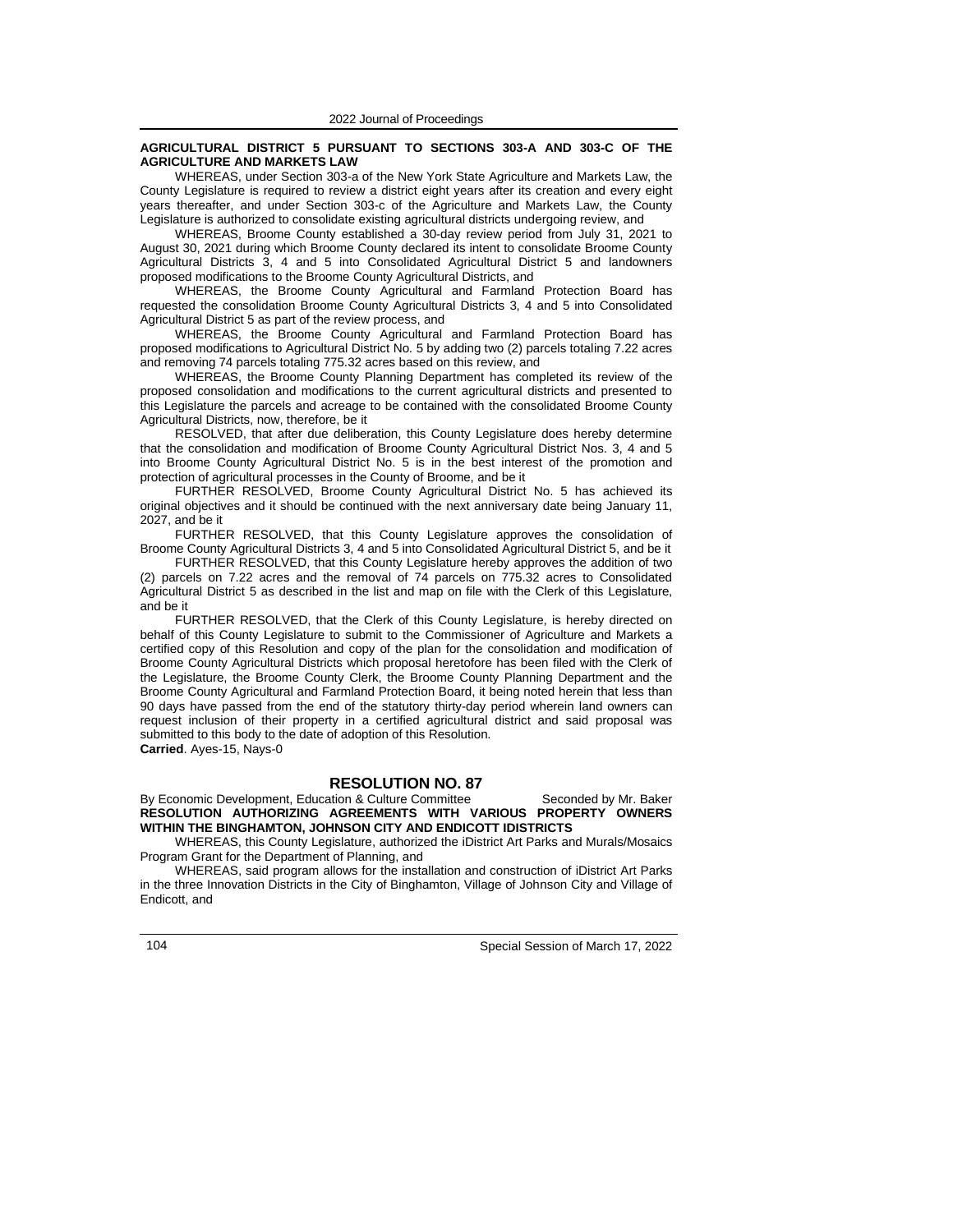#### **AGRICULTURAL DISTRICT 5 PURSUANT TO SECTIONS 303-A AND 303-C OF THE AGRICULTURE AND MARKETS LAW**

WHEREAS, under Section 303-a of the New York State Agriculture and Markets Law, the County Legislature is required to review a district eight years after its creation and every eight years thereafter, and under Section 303-c of the Agriculture and Markets Law, the County Legislature is authorized to consolidate existing agricultural districts undergoing review, and

WHEREAS, Broome County established a 30-day review period from July 31, 2021 to August 30, 2021 during which Broome County declared its intent to consolidate Broome County Agricultural Districts 3, 4 and 5 into Consolidated Agricultural District 5 and landowners proposed modifications to the Broome County Agricultural Districts, and

WHEREAS, the Broome County Agricultural and Farmland Protection Board has requested the consolidation Broome County Agricultural Districts 3, 4 and 5 into Consolidated Agricultural District 5 as part of the review process, and

WHEREAS, the Broome County Agricultural and Farmland Protection Board has proposed modifications to Agricultural District No. 5 by adding two (2) parcels totaling 7.22 acres and removing 74 parcels totaling 775.32 acres based on this review, and

WHEREAS, the Broome County Planning Department has completed its review of the proposed consolidation and modifications to the current agricultural districts and presented to this Legislature the parcels and acreage to be contained with the consolidated Broome County Agricultural Districts, now, therefore, be it

RESOLVED, that after due deliberation, this County Legislature does hereby determine that the consolidation and modification of Broome County Agricultural District Nos. 3, 4 and 5 into Broome County Agricultural District No. 5 is in the best interest of the promotion and protection of agricultural processes in the County of Broome, and be it

FURTHER RESOLVED, Broome County Agricultural District No. 5 has achieved its original objectives and it should be continued with the next anniversary date being January 11, 2027, and be it

FURTHER RESOLVED, that this County Legislature approves the consolidation of Broome County Agricultural Districts 3, 4 and 5 into Consolidated Agricultural District 5, and be it

FURTHER RESOLVED, that this County Legislature hereby approves the addition of two (2) parcels on 7.22 acres and the removal of 74 parcels on 775.32 acres to Consolidated Agricultural District 5 as described in the list and map on file with the Clerk of this Legislature, and be it

FURTHER RESOLVED, that the Clerk of this County Legislature, is hereby directed on behalf of this County Legislature to submit to the Commissioner of Agriculture and Markets a certified copy of this Resolution and copy of the plan for the consolidation and modification of Broome County Agricultural Districts which proposal heretofore has been filed with the Clerk of the Legislature, the Broome County Clerk, the Broome County Planning Department and the Broome County Agricultural and Farmland Protection Board, it being noted herein that less than 90 days have passed from the end of the statutory thirty-day period wherein land owners can request inclusion of their property in a certified agricultural district and said proposal was submitted to this body to the date of adoption of this Resolution. **Carried**. Ayes-15, Nays-0

### **RESOLUTION NO. 87**

By Economic Development, Education & Culture Committee Seconded by Mr. Baker **RESOLUTION AUTHORIZING AGREEMENTS WITH VARIOUS PROPERTY OWNERS WITHIN THE BINGHAMTON, JOHNSON CITY AND ENDICOTT IDISTRICTS**

WHEREAS, this County Legislature, authorized the iDistrict Art Parks and Murals/Mosaics Program Grant for the Department of Planning, and

WHEREAS, said program allows for the installation and construction of iDistrict Art Parks in the three Innovation Districts in the City of Binghamton, Village of Johnson City and Village of Endicott, and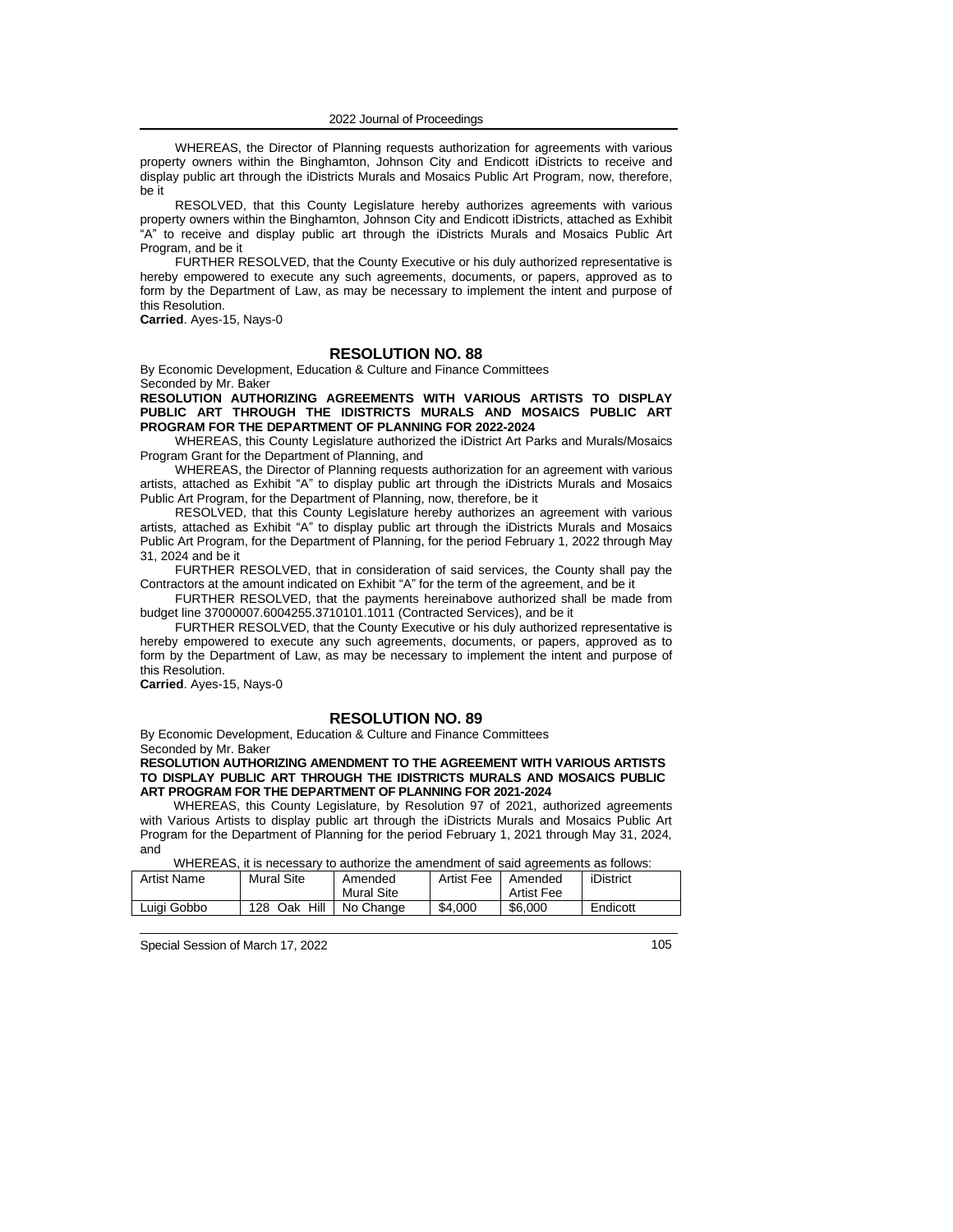WHEREAS, the Director of Planning requests authorization for agreements with various property owners within the Binghamton, Johnson City and Endicott iDistricts to receive and display public art through the iDistricts Murals and Mosaics Public Art Program, now, therefore, be it

RESOLVED, that this County Legislature hereby authorizes agreements with various property owners within the Binghamton, Johnson City and Endicott iDistricts, attached as Exhibit "A" to receive and display public art through the iDistricts Murals and Mosaics Public Art Program, and be it

FURTHER RESOLVED, that the County Executive or his duly authorized representative is hereby empowered to execute any such agreements, documents, or papers, approved as to form by the Department of Law, as may be necessary to implement the intent and purpose of this Resolution.

**Carried**. Ayes-15, Nays-0

# **RESOLUTION NO. 88**

By Economic Development, Education & Culture and Finance Committees Seconded by Mr. Baker

**RESOLUTION AUTHORIZING AGREEMENTS WITH VARIOUS ARTISTS TO DISPLAY PUBLIC ART THROUGH THE IDISTRICTS MURALS AND MOSAICS PUBLIC ART PROGRAM FOR THE DEPARTMENT OF PLANNING FOR 2022-2024**

WHEREAS, this County Legislature authorized the iDistrict Art Parks and Murals/Mosaics Program Grant for the Department of Planning, and

WHEREAS, the Director of Planning requests authorization for an agreement with various artists, attached as Exhibit "A" to display public art through the iDistricts Murals and Mosaics Public Art Program, for the Department of Planning, now, therefore, be it

RESOLVED, that this County Legislature hereby authorizes an agreement with various artists, attached as Exhibit "A" to display public art through the iDistricts Murals and Mosaics Public Art Program, for the Department of Planning, for the period February 1, 2022 through May 31, 2024 and be it

FURTHER RESOLVED, that in consideration of said services, the County shall pay the Contractors at the amount indicated on Exhibit "A" for the term of the agreement, and be it

FURTHER RESOLVED, that the payments hereinabove authorized shall be made from budget line 37000007.6004255.3710101.1011 (Contracted Services), and be it

FURTHER RESOLVED, that the County Executive or his duly authorized representative is hereby empowered to execute any such agreements, documents, or papers, approved as to form by the Department of Law, as may be necessary to implement the intent and purpose of this Resolution.

**Carried**. Ayes-15, Nays-0

### **RESOLUTION NO. 89**

By Economic Development, Education & Culture and Finance Committees Seconded by Mr. Baker

**RESOLUTION AUTHORIZING AMENDMENT TO THE AGREEMENT WITH VARIOUS ARTISTS TO DISPLAY PUBLIC ART THROUGH THE IDISTRICTS MURALS AND MOSAICS PUBLIC ART PROGRAM FOR THE DEPARTMENT OF PLANNING FOR 2021-2024**

WHEREAS, this County Legislature, by Resolution 97 of 2021, authorized agreements with Various Artists to display public art through the iDistricts Murals and Mosaics Public Art Program for the Department of Planning for the period February 1, 2021 through May 31, 2024*,* and

WHEREAS, it is necessary to authorize the amendment of said agreements as follows:

| י אויסווטו שט אויסווטט שט א דערויוט אויסווטווארן א דעם ווערויוט א דער זיך א דעם ווער זיך זיך זיך זיך ווער זיך |                    |                       |                   |                       |           |
|---------------------------------------------------------------------------------------------------------------|--------------------|-----------------------|-------------------|-----------------------|-----------|
| Artist Name                                                                                                   | <b>Mural Site</b>  | Amended<br>Mural Site | <b>Artist Fee</b> | Amended<br>Artist Fee | iDistrict |
| Luiai Gobbo                                                                                                   | Hill<br>128<br>Oak | No Change             | \$4,000           | \$6,000               | Endicott  |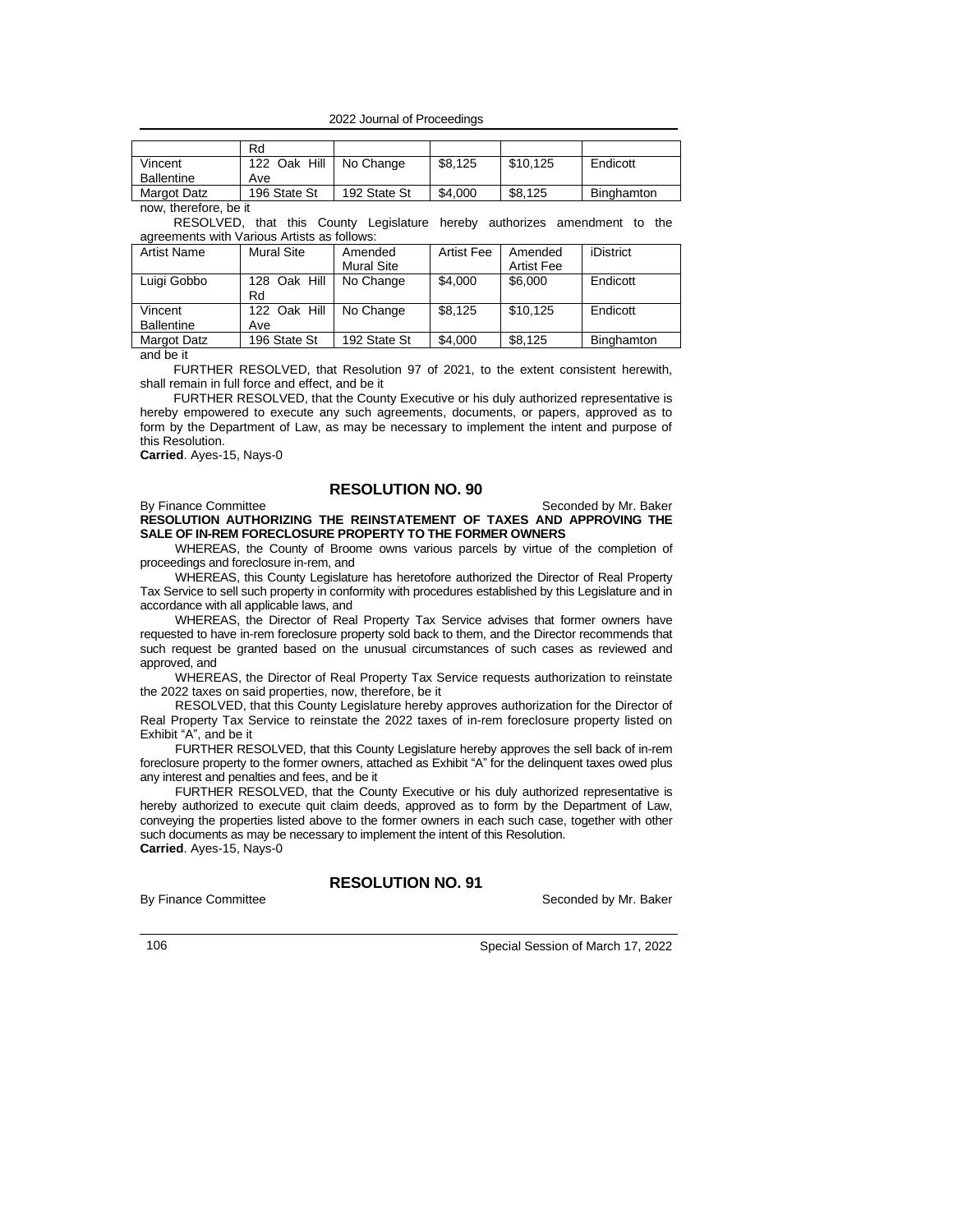<sup>2022</sup> Journal of Proceedings

|                       | Rd           |              |         |          |            |
|-----------------------|--------------|--------------|---------|----------|------------|
| Vincent               | 122 Oak Hill | No Change    | \$8,125 | \$10.125 | Endicott   |
| <b>Ballentine</b>     | Ave          |              |         |          |            |
| Margot Datz           | 196 State St | 192 State St | \$4.000 | \$8,125  | Binghamton |
| now, therefore, be it |              |              |         |          |            |

RESOLVED, that this County Legislature hereby authorizes amendment to the

agreements with Various Artists as follows:

| Artist Name       | Mural Site   | Amended           | <b>Artist Fee</b> | Amended    | iDistrict  |
|-------------------|--------------|-------------------|-------------------|------------|------------|
|                   |              | <b>Mural Site</b> |                   | Artist Fee |            |
| Luigi Gobbo       | 128 Oak Hill | No Change         | \$4.000           | \$6,000    | Endicott   |
|                   | Rd           |                   |                   |            |            |
| Vincent           | 122 Oak Hill | No Change         | \$8,125           | \$10.125   | Endicott   |
| <b>Ballentine</b> | Ave          |                   |                   |            |            |
| Margot Datz       | 196 State St | 192 State St      | \$4,000           | \$8,125    | Binghamton |

and be it

FURTHER RESOLVED, that Resolution 97 of 2021, to the extent consistent herewith, shall remain in full force and effect, and be it

FURTHER RESOLVED, that the County Executive or his duly authorized representative is hereby empowered to execute any such agreements, documents, or papers, approved as to form by the Department of Law, as may be necessary to implement the intent and purpose of this Resolution.

**Carried**. Ayes-15, Nays-0

## **RESOLUTION NO. 90**

#### By Finance Committee Seconded by Mr. Baker **RESOLUTION AUTHORIZING THE REINSTATEMENT OF TAXES AND APPROVING THE SALE OF IN-REM FORECLOSURE PROPERTY TO THE FORMER OWNERS**

WHEREAS, the County of Broome owns various parcels by virtue of the completion of proceedings and foreclosure in-rem, and

WHEREAS, this County Legislature has heretofore authorized the Director of Real Property Tax Service to sell such property in conformity with procedures established by this Legislature and in accordance with all applicable laws, and

WHEREAS, the Director of Real Property Tax Service advises that former owners have requested to have in-rem foreclosure property sold back to them, and the Director recommends that such request be granted based on the unusual circumstances of such cases as reviewed and approved, and

WHEREAS, the Director of Real Property Tax Service requests authorization to reinstate the 2022 taxes on said properties, now, therefore, be it

RESOLVED, that this County Legislature hereby approves authorization for the Director of Real Property Tax Service to reinstate the 2022 taxes of in-rem foreclosure property listed on Exhibit "A", and be it

FURTHER RESOLVED, that this County Legislature hereby approves the sell back of in-rem foreclosure property to the former owners, attached as Exhibit "A" for the delinquent taxes owed plus any interest and penalties and fees, and be it

FURTHER RESOLVED, that the County Executive or his duly authorized representative is hereby authorized to execute quit claim deeds, approved as to form by the Department of Law, conveying the properties listed above to the former owners in each such case, together with other such documents as may be necessary to implement the intent of this Resolution. **Carried**. Ayes-15, Nays-0

**RESOLUTION NO. 91**

By Finance Committee **Seconded** by Mr. Baker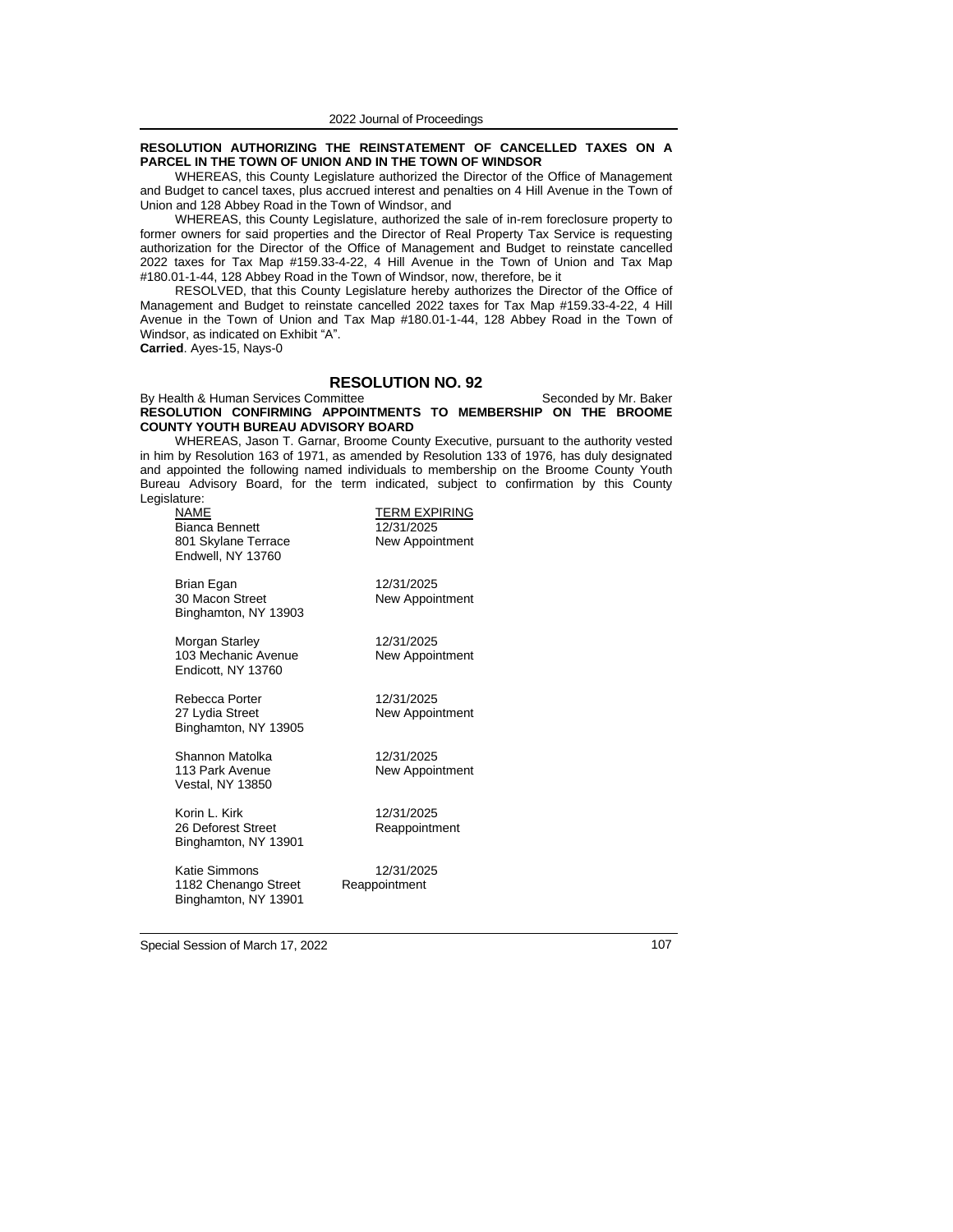#### **RESOLUTION AUTHORIZING THE REINSTATEMENT OF CANCELLED TAXES ON A PARCEL IN THE TOWN OF UNION AND IN THE TOWN OF WINDSOR**

WHEREAS, this County Legislature authorized the Director of the Office of Management and Budget to cancel taxes, plus accrued interest and penalties on 4 Hill Avenue in the Town of Union and 128 Abbey Road in the Town of Windsor, and

WHEREAS, this County Legislature, authorized the sale of in-rem foreclosure property to former owners for said properties and the Director of Real Property Tax Service is requesting authorization for the Director of the Office of Management and Budget to reinstate cancelled 2022 taxes for Tax Map #159.33-4-22, 4 Hill Avenue in the Town of Union and Tax Map #180.01-1-44, 128 Abbey Road in the Town of Windsor, now, therefore, be it

RESOLVED, that this County Legislature hereby authorizes the Director of the Office of Management and Budget to reinstate cancelled 2022 taxes for Tax Map #159.33-4-22, 4 Hill Avenue in the Town of Union and Tax Map #180.01-1-44, 128 Abbey Road in the Town of Windsor, as indicated on Exhibit "A". **Carried**. Ayes-15, Nays-0

#### **RESOLUTION NO. 92**

#### By Health & Human Services Committee Seconded by Mr. Baker **RESOLUTION CONFIRMING APPOINTMENTS TO MEMBERSHIP ON THE BROOME COUNTY YOUTH BUREAU ADVISORY BOARD**

WHEREAS, Jason T. Garnar, Broome County Executive, pursuant to the authority vested in him by Resolution 163 of 1971, as amended by Resolution 133 of 1976*,* has duly designated and appointed the following named individuals to membership on the Broome County Youth Bureau Advisory Board, for the term indicated, subject to confirmation by this County Legislature:

| NAME<br><b>Bianca Bennett</b><br>801 Skylane Terrace<br>Endwell, NY 13760 | <b>TERM EXPIRING</b><br>12/31/2025<br>New Appointment |
|---------------------------------------------------------------------------|-------------------------------------------------------|
| Brian Egan<br>30 Macon Street<br>Binghamton, NY 13903                     | 12/31/2025<br>New Appointment                         |
| Morgan Starley<br>103 Mechanic Avenue<br>Endicott, NY 13760               | 12/31/2025<br>New Appointment                         |
| Rebecca Porter<br>27 Lydia Street<br>Binghamton, NY 13905                 | 12/31/2025<br>New Appointment                         |
| Shannon Matolka<br>113 Park Avenue<br>Vestal, NY 13850                    | 12/31/2025<br>New Appointment                         |
| Korin L. Kirk<br>26 Deforest Street<br>Binghamton, NY 13901               | 12/31/2025<br>Reappointment                           |
| <b>Katie Simmons</b><br>1182 Chenango Street                              | 12/31/2025<br>Reappointment                           |

Special Session of March 17, 2022 107

Binghamton, NY 13901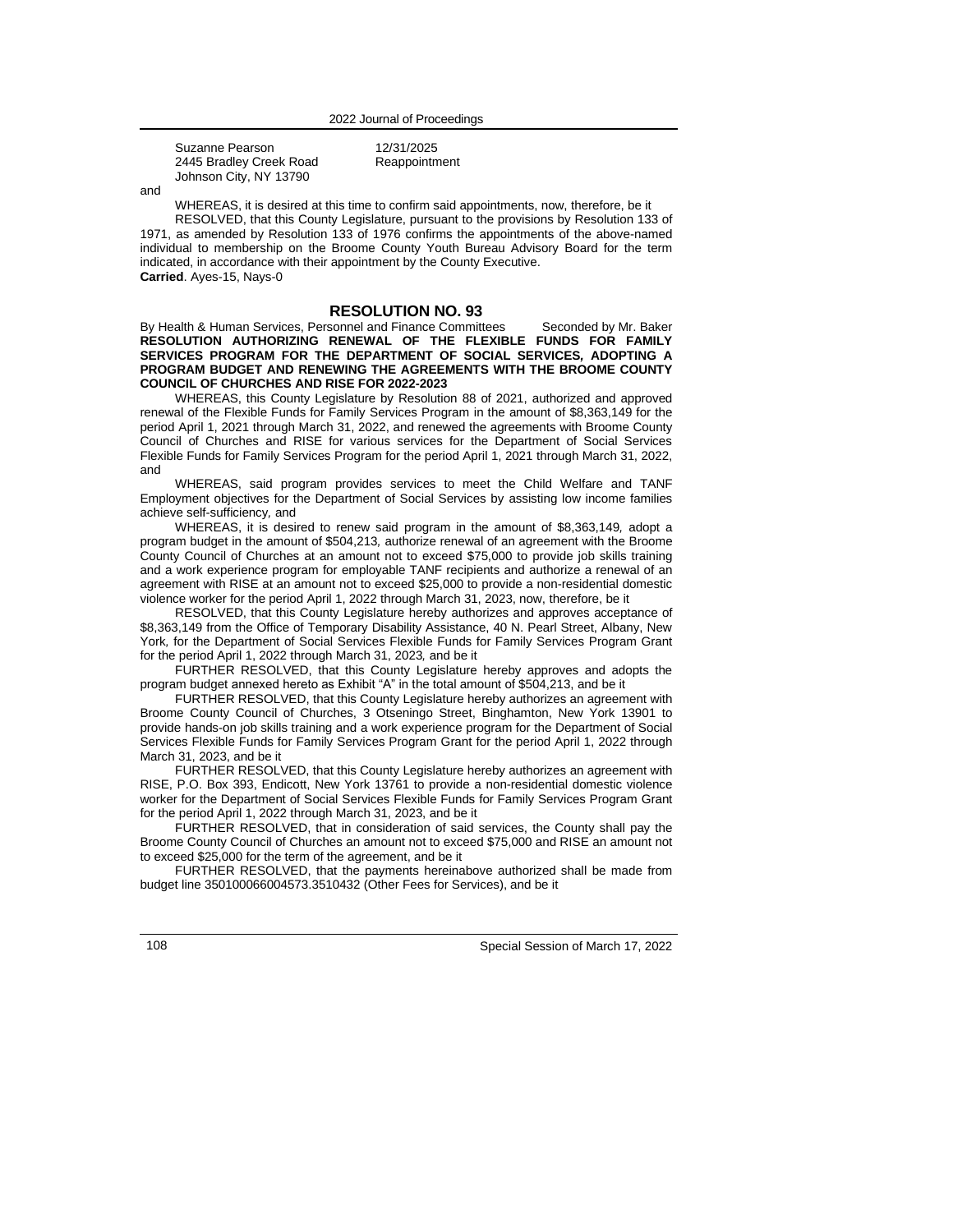| Suzanne Pearson         | 12/31/2025    |
|-------------------------|---------------|
| 2445 Bradley Creek Road | Reappointment |
| Johnson City, NY 13790  |               |

and

WHEREAS, it is desired at this time to confirm said appointments, now, therefore, be it

RESOLVED, that this County Legislature, pursuant to the provisions by Resolution 133 of 1971, as amended by Resolution 133 of 1976 confirms the appointments of the above-named individual to membership on the Broome County Youth Bureau Advisory Board for the term indicated, in accordance with their appointment by the County Executive. **Carried**. Ayes-15, Nays-0

### **RESOLUTION NO. 93**

By Health & Human Services, Personnel and Finance Committees Seconded by Mr. Baker **RESOLUTION AUTHORIZING RENEWAL OF THE FLEXIBLE FUNDS FOR FAMILY SERVICES PROGRAM FOR THE DEPARTMENT OF SOCIAL SERVICES***,* **ADOPTING A PROGRAM BUDGET AND RENEWING THE AGREEMENTS WITH THE BROOME COUNTY COUNCIL OF CHURCHES AND RISE FOR 2022-2023**

WHEREAS, this County Legislature by Resolution 88 of 2021, authorized and approved renewal of the Flexible Funds for Family Services Program in the amount of \$8,363,149 for the period April 1, 2021 through March 31, 2022, and renewed the agreements with Broome County Council of Churches and RISE for various services for the Department of Social Services Flexible Funds for Family Services Program for the period April 1, 2021 through March 31, 2022, and

WHEREAS, said program provides services to meet the Child Welfare and TANF Employment objectives for the Department of Social Services by assisting low income families achieve self-sufficiency*,* and

WHEREAS, it is desired to renew said program in the amount of \$8,363,149*,* adopt a program budget in the amount of \$504,213*,* authorize renewal of an agreement with the Broome County Council of Churches at an amount not to exceed \$75,000 to provide job skills training and a work experience program for employable TANF recipients and authorize a renewal of an agreement with RISE at an amount not to exceed \$25,000 to provide a non-residential domestic violence worker for the period April 1, 2022 through March 31, 2023, now, therefore, be it

RESOLVED, that this County Legislature hereby authorizes and approves acceptance of \$8,363,149 from the Office of Temporary Disability Assistance, 40 N. Pearl Street, Albany, New York*,* for the Department of Social Services Flexible Funds for Family Services Program Grant for the period April 1, 2022 through March 31, 2023*,* and be it

FURTHER RESOLVED, that this County Legislature hereby approves and adopts the program budget annexed hereto as Exhibit "A" in the total amount of \$504,213, and be it

FURTHER RESOLVED, that this County Legislature hereby authorizes an agreement with Broome County Council of Churches, 3 Otseningo Street, Binghamton, New York 13901 to provide hands-on job skills training and a work experience program for the Department of Social Services Flexible Funds for Family Services Program Grant for the period April 1, 2022 through March 31, 2023, and be it

FURTHER RESOLVED, that this County Legislature hereby authorizes an agreement with RISE, P.O. Box 393, Endicott, New York 13761 to provide a non-residential domestic violence worker for the Department of Social Services Flexible Funds for Family Services Program Grant for the period April 1, 2022 through March 31, 2023, and be it

FURTHER RESOLVED, that in consideration of said services, the County shall pay the Broome County Council of Churches an amount not to exceed \$75,000 and RISE an amount not to exceed \$25,000 for the term of the agreement, and be it

FURTHER RESOLVED, that the payments hereinabove authorized shall be made from budget line 350100066004573.3510432 (Other Fees for Services), and be it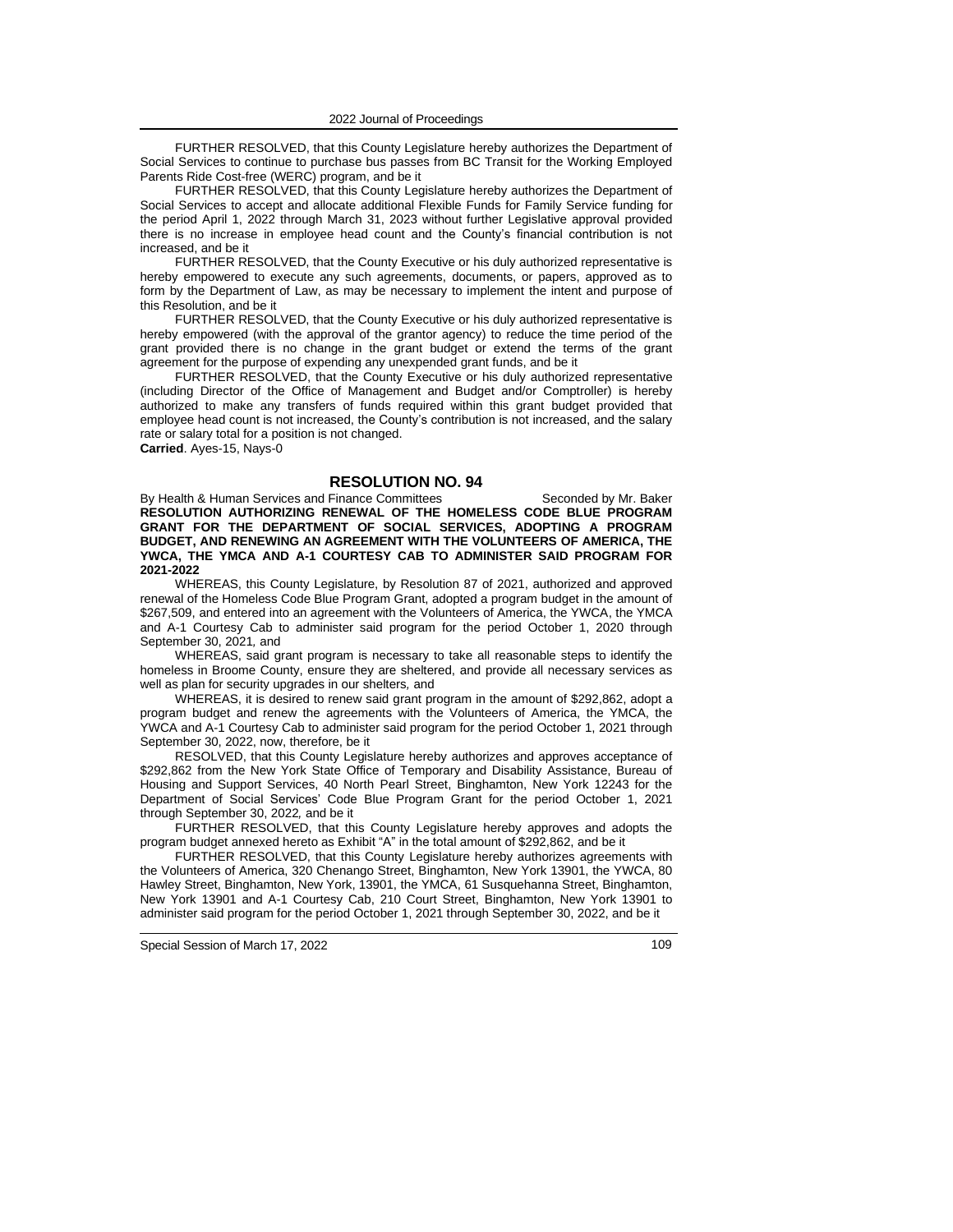FURTHER RESOLVED, that this County Legislature hereby authorizes the Department of Social Services to continue to purchase bus passes from BC Transit for the Working Employed Parents Ride Cost-free (WERC) program, and be it

FURTHER RESOLVED, that this County Legislature hereby authorizes the Department of Social Services to accept and allocate additional Flexible Funds for Family Service funding for the period April 1, 2022 through March 31, 2023 without further Legislative approval provided there is no increase in employee head count and the County's financial contribution is not increased, and be it

FURTHER RESOLVED, that the County Executive or his duly authorized representative is hereby empowered to execute any such agreements, documents, or papers, approved as to form by the Department of Law, as may be necessary to implement the intent and purpose of this Resolution, and be it

FURTHER RESOLVED, that the County Executive or his duly authorized representative is hereby empowered (with the approval of the grantor agency) to reduce the time period of the grant provided there is no change in the grant budget or extend the terms of the grant agreement for the purpose of expending any unexpended grant funds, and be it

FURTHER RESOLVED, that the County Executive or his duly authorized representative (including Director of the Office of Management and Budget and/or Comptroller) is hereby authorized to make any transfers of funds required within this grant budget provided that employee head count is not increased, the County's contribution is not increased, and the salary rate or salary total for a position is not changed. **Carried**. Ayes-15, Nays-0

### **RESOLUTION NO. 94**

By Health & Human Services and Finance Committees Seconded by Mr. Baker **RESOLUTION AUTHORIZING RENEWAL OF THE HOMELESS CODE BLUE PROGRAM GRANT FOR THE DEPARTMENT OF SOCIAL SERVICES, ADOPTING A PROGRAM BUDGET, AND RENEWING AN AGREEMENT WITH THE VOLUNTEERS OF AMERICA, THE YWCA, THE YMCA AND A-1 COURTESY CAB TO ADMINISTER SAID PROGRAM FOR 2021-2022**

WHEREAS, this County Legislature, by Resolution 87 of 2021, authorized and approved renewal of the Homeless Code Blue Program Grant, adopted a program budget in the amount of \$267,509, and entered into an agreement with the Volunteers of America, the YWCA, the YMCA and A-1 Courtesy Cab to administer said program for the period October 1, 2020 through September 30, 2021*,* and

WHEREAS, said grant program is necessary to take all reasonable steps to identify the homeless in Broome County, ensure they are sheltered, and provide all necessary services as well as plan for security upgrades in our shelters*,* and

WHEREAS, it is desired to renew said grant program in the amount of \$292,862, adopt a program budget and renew the agreements with the Volunteers of America, the YMCA, the YWCA and A-1 Courtesy Cab to administer said program for the period October 1, 2021 through September 30, 2022, now, therefore, be it

RESOLVED, that this County Legislature hereby authorizes and approves acceptance of \$292,862 from the New York State Office of Temporary and Disability Assistance, Bureau of Housing and Support Services, 40 North Pearl Street, Binghamton, New York 12243 for the Department of Social Services' Code Blue Program Grant for the period October 1, 2021 through September 30, 2022*,* and be it

FURTHER RESOLVED, that this County Legislature hereby approves and adopts the program budget annexed hereto as Exhibit "A" in the total amount of \$292,862, and be it

FURTHER RESOLVED, that this County Legislature hereby authorizes agreements with the Volunteers of America, 320 Chenango Street, Binghamton, New York 13901, the YWCA, 80 Hawley Street, Binghamton, New York, 13901, the YMCA, 61 Susquehanna Street, Binghamton, New York 13901 and A-1 Courtesy Cab, 210 Court Street, Binghamton, New York 13901 to administer said program for the period October 1, 2021 through September 30, 2022, and be it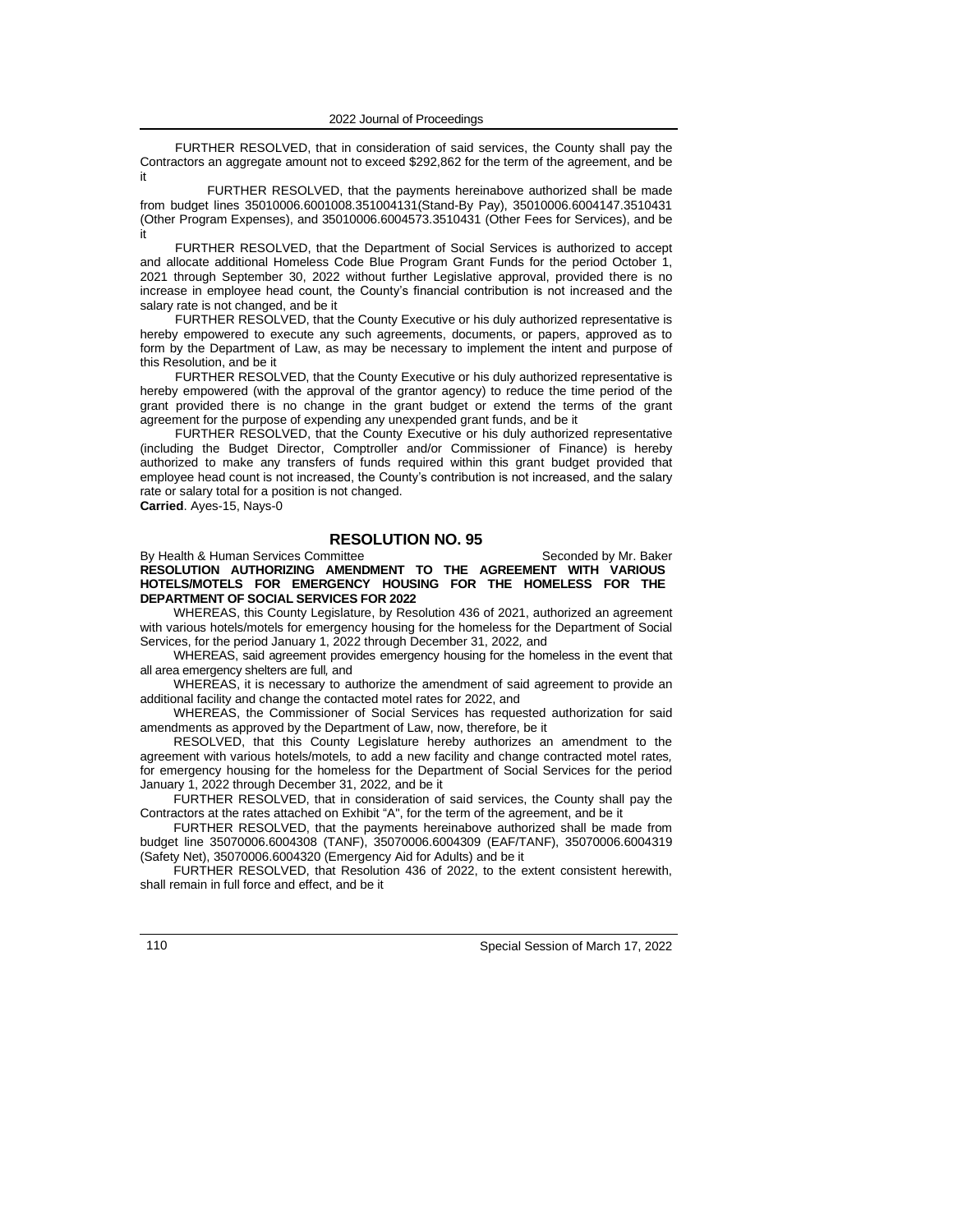FURTHER RESOLVED, that in consideration of said services, the County shall pay the Contractors an aggregate amount not to exceed \$292,862 for the term of the agreement, and be it

FURTHER RESOLVED, that the payments hereinabove authorized shall be made from budget lines 35010006.6001008.351004131(Stand-By Pay), 35010006.6004147.3510431 (Other Program Expenses), and 35010006.6004573.3510431 (Other Fees for Services), and be it

FURTHER RESOLVED, that the Department of Social Services is authorized to accept and allocate additional Homeless Code Blue Program Grant Funds for the period October 1, 2021 through September 30, 2022 without further Legislative approval, provided there is no increase in employee head count, the County's financial contribution is not increased and the salary rate is not changed, and be it

FURTHER RESOLVED, that the County Executive or his duly authorized representative is hereby empowered to execute any such agreements, documents, or papers, approved as to form by the Department of Law, as may be necessary to implement the intent and purpose of this Resolution, and be it

FURTHER RESOLVED, that the County Executive or his duly authorized representative is hereby empowered (with the approval of the grantor agency) to reduce the time period of the grant provided there is no change in the grant budget or extend the terms of the grant agreement for the purpose of expending any unexpended grant funds, and be it

FURTHER RESOLVED, that the County Executive or his duly authorized representative (including the Budget Director, Comptroller and/or Commissioner of Finance) is hereby authorized to make any transfers of funds required within this grant budget provided that employee head count is not increased, the County's contribution is not increased, and the salary rate or salary total for a position is not changed.

**Carried**. Ayes-15, Nays-0

## **RESOLUTION NO. 95**

By Health & Human Services Committee Seconded by Mr. Baker **RESOLUTION AUTHORIZING AMENDMENT TO THE AGREEMENT WITH VARIOUS HOTELS/MOTELS FOR EMERGENCY HOUSING FOR THE HOMELESS FOR THE DEPARTMENT OF SOCIAL SERVICES FOR 2022**

WHEREAS, this County Legislature, by Resolution 436 of 2021, authorized an agreement with various hotels/motels for emergency housing for the homeless for the Department of Social Services, for the period January 1, 2022 through December 31, 2022*,* and

WHEREAS, said agreement provides emergency housing for the homeless in the event that all area emergency shelters are full*,* and

WHEREAS, it is necessary to authorize the amendment of said agreement to provide an additional facility and change the contacted motel rates for 2022, and

WHEREAS, the Commissioner of Social Services has requested authorization for said amendments as approved by the Department of Law, now, therefore, be it

RESOLVED, that this County Legislature hereby authorizes an amendment to the agreement with various hotels/motels*,* to add a new facility and change contracted motel rates*,* for emergency housing for the homeless for the Department of Social Services for the period January 1, 2022 through December 31, 2022*,* and be it

FURTHER RESOLVED, that in consideration of said services, the County shall pay the Contractors at the rates attached on Exhibit "A", for the term of the agreement, and be it

FURTHER RESOLVED, that the payments hereinabove authorized shall be made from budget line 35070006.6004308 (TANF), 35070006.6004309 (EAF/TANF), 35070006.6004319 (Safety Net), 35070006.6004320 (Emergency Aid for Adults) and be it

FURTHER RESOLVED, that Resolution 436 of 2022, to the extent consistent herewith, shall remain in full force and effect, and be it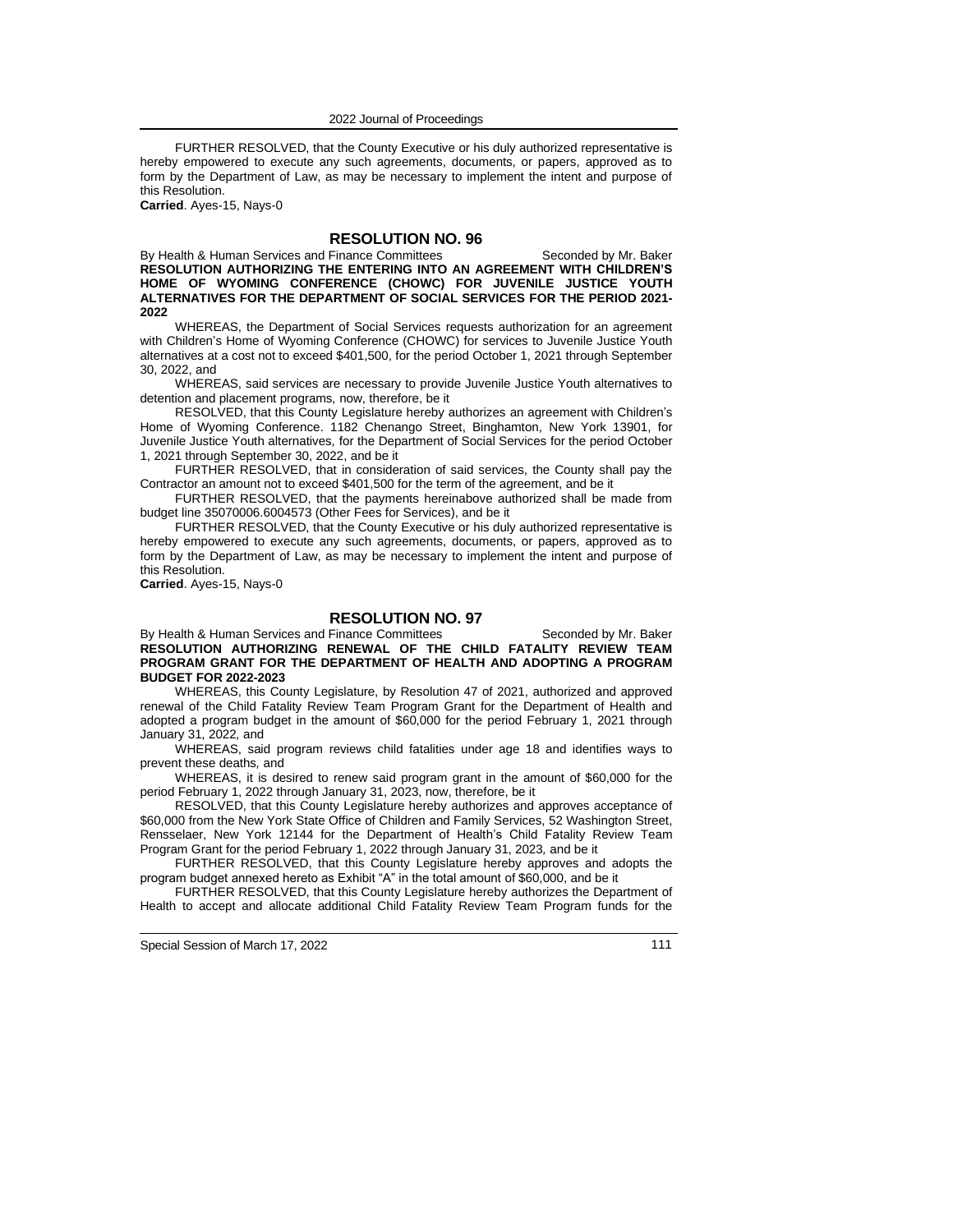FURTHER RESOLVED, that the County Executive or his duly authorized representative is hereby empowered to execute any such agreements, documents, or papers, approved as to form by the Department of Law, as may be necessary to implement the intent and purpose of this Resolution.

**Carried**. Ayes-15, Nays-0

# **RESOLUTION NO. 96**

By Health & Human Services and Finance Committees Seconded by Mr. Baker **RESOLUTION AUTHORIZING THE ENTERING INTO AN AGREEMENT WITH CHILDREN'S HOME OF WYOMING CONFERENCE (CHOWC) FOR JUVENILE JUSTICE YOUTH ALTERNATIVES FOR THE DEPARTMENT OF SOCIAL SERVICES FOR THE PERIOD 2021- 2022**

WHEREAS, the Department of Social Services requests authorization for an agreement with Children's Home of Wyoming Conference (CHOWC) for services to Juvenile Justice Youth alternatives at a cost not to exceed \$401,500, for the period October 1, 2021 through September 30, 2022, and

WHEREAS, said services are necessary to provide Juvenile Justice Youth alternatives to detention and placement programs*,* now, therefore, be it

RESOLVED, that this County Legislature hereby authorizes an agreement with Children's Home of Wyoming Conference. 1182 Chenango Street, Binghamton, New York 13901, for Juvenile Justice Youth alternatives*,* for the Department of Social Services for the period October 1, 2021 through September 30, 2022, and be it

FURTHER RESOLVED, that in consideration of said services, the County shall pay the Contractor an amount not to exceed \$401,500 for the term of the agreement, and be it

FURTHER RESOLVED, that the payments hereinabove authorized shall be made from budget line 35070006.6004573 (Other Fees for Services), and be it

FURTHER RESOLVED, that the County Executive or his duly authorized representative is hereby empowered to execute any such agreements, documents, or papers, approved as to form by the Department of Law, as may be necessary to implement the intent and purpose of this Resolution.

**Carried**. Ayes-15, Nays-0

#### **RESOLUTION NO. 97**

By Health & Human Services and Finance Committees Seconded by Mr. Baker **RESOLUTION AUTHORIZING RENEWAL OF THE CHILD FATALITY REVIEW TEAM PROGRAM GRANT FOR THE DEPARTMENT OF HEALTH AND ADOPTING A PROGRAM BUDGET FOR 2022-2023**

WHEREAS, this County Legislature, by Resolution 47 of 2021, authorized and approved renewal of the Child Fatality Review Team Program Grant for the Department of Health and adopted a program budget in the amount of \$60,000 for the period February 1, 2021 through January 31, 2022*,* and

WHEREAS, said program reviews child fatalities under age 18 and identifies ways to prevent these deaths*,* and

WHEREAS, it is desired to renew said program grant in the amount of \$60,000 for the period February 1, 2022 through January 31, 2023, now, therefore, be it

RESOLVED, that this County Legislature hereby authorizes and approves acceptance of \$60,000 from the New York State Office of Children and Family Services, 52 Washington Street, Rensselaer, New York 12144 for the Department of Health's Child Fatality Review Team Program Grant for the period February 1, 2022 through January 31, 2023*,* and be it

FURTHER RESOLVED, that this County Legislature hereby approves and adopts the program budget annexed hereto as Exhibit "A" in the total amount of \$60,000, and be it

FURTHER RESOLVED, that this County Legislature hereby authorizes the Department of Health to accept and allocate additional Child Fatality Review Team Program funds for the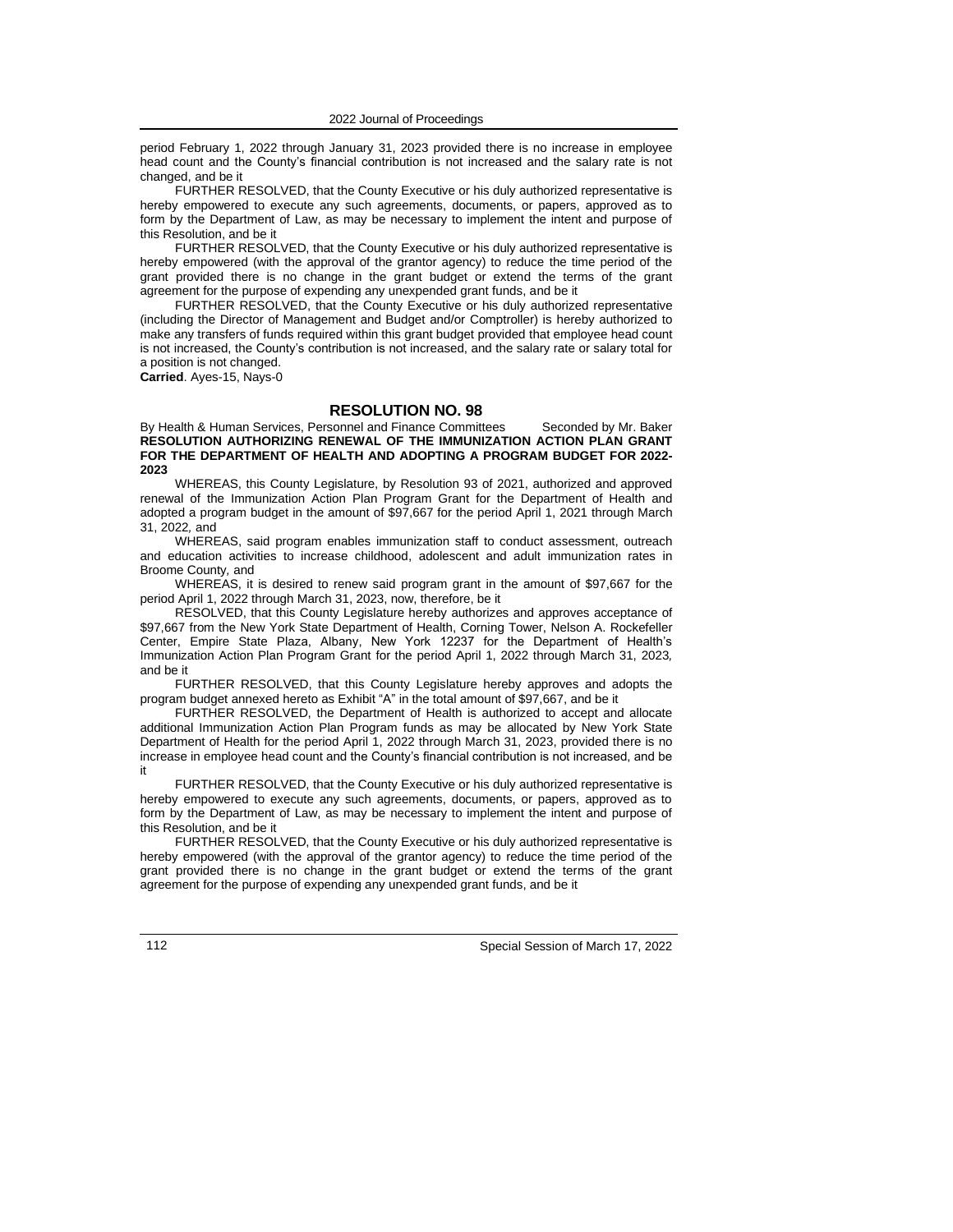period February 1, 2022 through January 31, 2023 provided there is no increase in employee head count and the County's financial contribution is not increased and the salary rate is not changed, and be it

FURTHER RESOLVED, that the County Executive or his duly authorized representative is hereby empowered to execute any such agreements, documents, or papers, approved as to form by the Department of Law, as may be necessary to implement the intent and purpose of this Resolution, and be it

FURTHER RESOLVED, that the County Executive or his duly authorized representative is hereby empowered (with the approval of the grantor agency) to reduce the time period of the grant provided there is no change in the grant budget or extend the terms of the grant agreement for the purpose of expending any unexpended grant funds, and be it

FURTHER RESOLVED, that the County Executive or his duly authorized representative (including the Director of Management and Budget and/or Comptroller) is hereby authorized to make any transfers of funds required within this grant budget provided that employee head count is not increased, the County's contribution is not increased, and the salary rate or salary total for a position is not changed.

**Carried**. Ayes-15, Nays-0

### **RESOLUTION NO. 98**

By Health & Human Services, Personnel and Finance Committees Seconded by Mr. Baker **RESOLUTION AUTHORIZING RENEWAL OF THE IMMUNIZATION ACTION PLAN GRANT FOR THE DEPARTMENT OF HEALTH AND ADOPTING A PROGRAM BUDGET FOR 2022- 2023**

WHEREAS, this County Legislature, by Resolution 93 of 2021, authorized and approved renewal of the Immunization Action Plan Program Grant for the Department of Health and adopted a program budget in the amount of \$97,667 for the period April 1, 2021 through March 31, 2022*,* and

WHEREAS, said program enables immunization staff to conduct assessment, outreach and education activities to increase childhood, adolescent and adult immunization rates in Broome County*,* and

WHEREAS, it is desired to renew said program grant in the amount of \$97,667 for the period April 1, 2022 through March 31, 2023, now, therefore, be it

RESOLVED, that this County Legislature hereby authorizes and approves acceptance of \$97,667 from the New York State Department of Health, Corning Tower, Nelson A. Rockefeller Center, Empire State Plaza, Albany, New York 12237 for the Department of Health's Immunization Action Plan Program Grant for the period April 1, 2022 through March 31, 2023*,* and be it

FURTHER RESOLVED, that this County Legislature hereby approves and adopts the program budget annexed hereto as Exhibit "A" in the total amount of \$97,667, and be it

FURTHER RESOLVED, the Department of Health is authorized to accept and allocate additional Immunization Action Plan Program funds as may be allocated by New York State Department of Health for the period April 1, 2022 through March 31, 2023, provided there is no increase in employee head count and the County's financial contribution is not increased, and be it

FURTHER RESOLVED, that the County Executive or his duly authorized representative is hereby empowered to execute any such agreements, documents, or papers, approved as to form by the Department of Law, as may be necessary to implement the intent and purpose of this Resolution, and be it

FURTHER RESOLVED, that the County Executive or his duly authorized representative is hereby empowered (with the approval of the grantor agency) to reduce the time period of the grant provided there is no change in the grant budget or extend the terms of the grant agreement for the purpose of expending any unexpended grant funds, and be it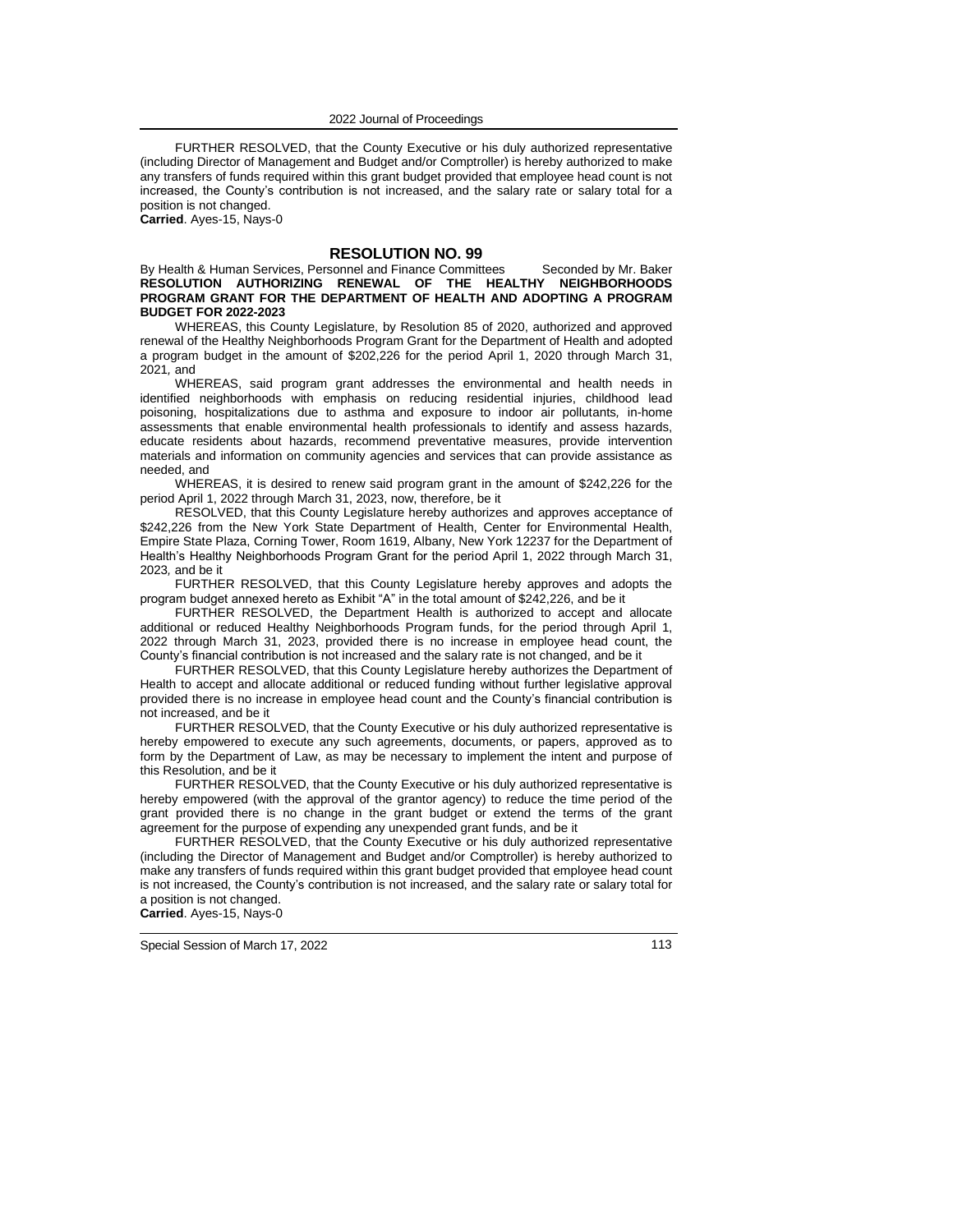FURTHER RESOLVED, that the County Executive or his duly authorized representative (including Director of Management and Budget and/or Comptroller) is hereby authorized to make any transfers of funds required within this grant budget provided that employee head count is not increased, the County's contribution is not increased, and the salary rate or salary total for a position is not changed.

**Carried**. Ayes-15, Nays-0

# **RESOLUTION NO. 99**

By Health & Human Services, Personnel and Finance Committees Seconded by Mr. Baker **RESOLUTION AUTHORIZING RENEWAL OF THE HEALTHY NEIGHBORHOODS PROGRAM GRANT FOR THE DEPARTMENT OF HEALTH AND ADOPTING A PROGRAM BUDGET FOR 2022-2023**

WHEREAS, this County Legislature, by Resolution 85 of 2020, authorized and approved renewal of the Healthy Neighborhoods Program Grant for the Department of Health and adopted a program budget in the amount of \$202,226 for the period April 1, 2020 through March 31, 2021*,* and

WHEREAS, said program grant addresses the environmental and health needs in identified neighborhoods with emphasis on reducing residential injuries, childhood lead poisoning, hospitalizations due to asthma and exposure to indoor air pollutants*,* in-home assessments that enable environmental health professionals to identify and assess hazards, educate residents about hazards, recommend preventative measures, provide intervention materials and information on community agencies and services that can provide assistance as needed, and

WHEREAS, it is desired to renew said program grant in the amount of \$242,226 for the period April 1, 2022 through March 31, 2023, now, therefore, be it

RESOLVED, that this County Legislature hereby authorizes and approves acceptance of \$242,226 from the New York State Department of Health, Center for Environmental Health, Empire State Plaza, Corning Tower, Room 1619, Albany, New York 12237 for the Department of Health's Healthy Neighborhoods Program Grant for the period April 1, 2022 through March 31, 2023*,* and be it

FURTHER RESOLVED, that this County Legislature hereby approves and adopts the program budget annexed hereto as Exhibit "A" in the total amount of \$242,226, and be it

FURTHER RESOLVED, the Department Health is authorized to accept and allocate additional or reduced Healthy Neighborhoods Program funds, for the period through April 1, 2022 through March 31, 2023, provided there is no increase in employee head count, the County's financial contribution is not increased and the salary rate is not changed, and be it

FURTHER RESOLVED, that this County Legislature hereby authorizes the Department of Health to accept and allocate additional or reduced funding without further legislative approval provided there is no increase in employee head count and the County's financial contribution is not increased, and be it

FURTHER RESOLVED, that the County Executive or his duly authorized representative is hereby empowered to execute any such agreements, documents, or papers, approved as to form by the Department of Law, as may be necessary to implement the intent and purpose of this Resolution, and be it

FURTHER RESOLVED, that the County Executive or his duly authorized representative is hereby empowered (with the approval of the grantor agency) to reduce the time period of the grant provided there is no change in the grant budget or extend the terms of the grant agreement for the purpose of expending any unexpended grant funds, and be it

FURTHER RESOLVED, that the County Executive or his duly authorized representative (including the Director of Management and Budget and/or Comptroller) is hereby authorized to make any transfers of funds required within this grant budget provided that employee head count is not increased, the County's contribution is not increased, and the salary rate or salary total for a position is not changed. **Carried**. Ayes-15, Nays-0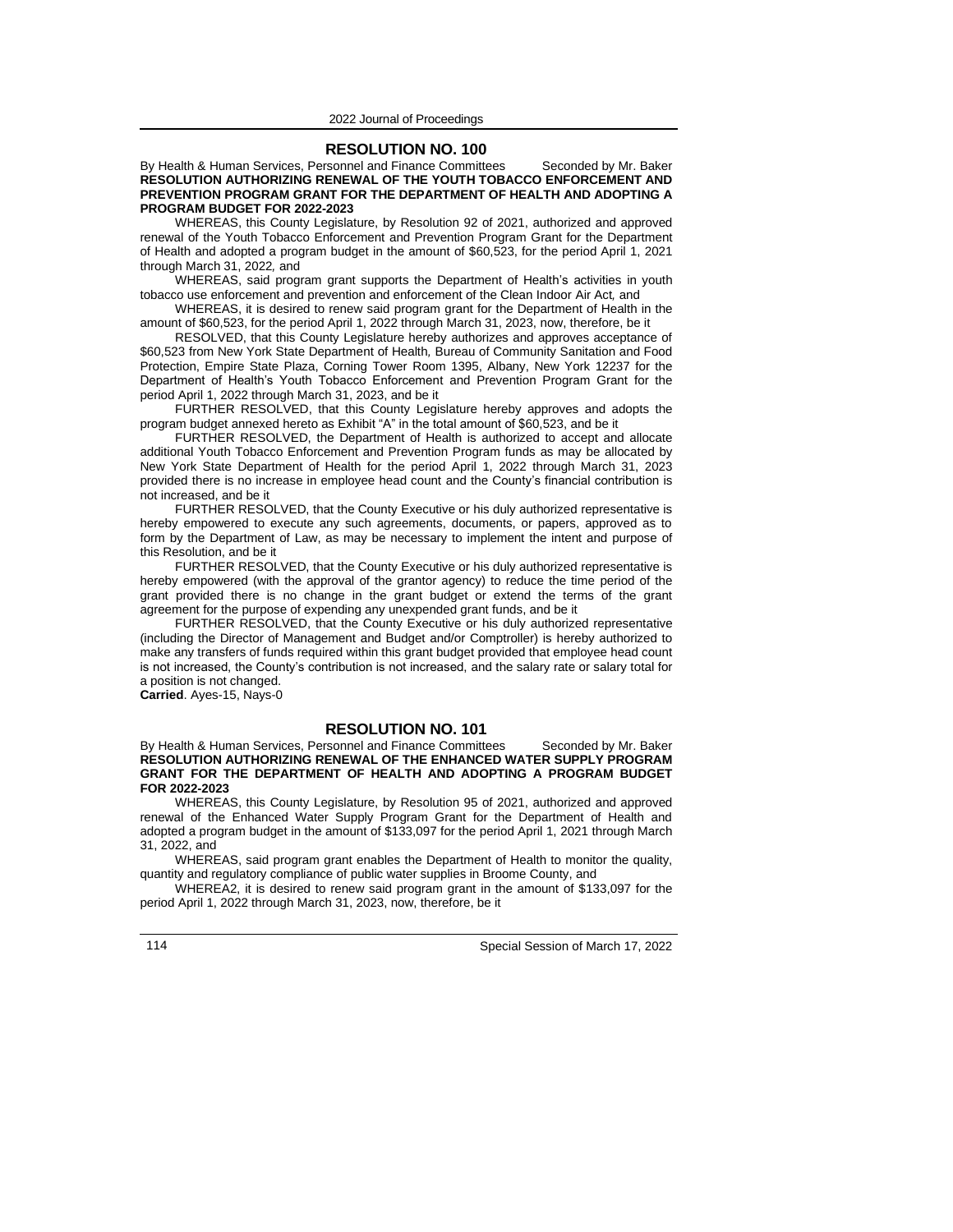### **RESOLUTION NO. 100**

By Health & Human Services, Personnel and Finance Committees Seconded by Mr. Baker **RESOLUTION AUTHORIZING RENEWAL OF THE YOUTH TOBACCO ENFORCEMENT AND PREVENTION PROGRAM GRANT FOR THE DEPARTMENT OF HEALTH AND ADOPTING A PROGRAM BUDGET FOR 2022-2023**

WHEREAS, this County Legislature, by Resolution 92 of 2021, authorized and approved renewal of the Youth Tobacco Enforcement and Prevention Program Grant for the Department of Health and adopted a program budget in the amount of \$60,523, for the period April 1, 2021 through March 31, 2022*,* and

WHEREAS, said program grant supports the Department of Health's activities in youth tobacco use enforcement and prevention and enforcement of the Clean Indoor Air Act*,* and

WHEREAS, it is desired to renew said program grant for the Department of Health in the amount of \$60,523, for the period April 1, 2022 through March 31, 2023, now, therefore, be it

RESOLVED, that this County Legislature hereby authorizes and approves acceptance of \$60,523 from New York State Department of Health*,* Bureau of Community Sanitation and Food Protection, Empire State Plaza, Corning Tower Room 1395, Albany, New York 12237 for the Department of Health's Youth Tobacco Enforcement and Prevention Program Grant for the period April 1, 2022 through March 31, 2023, and be it

FURTHER RESOLVED, that this County Legislature hereby approves and adopts the program budget annexed hereto as Exhibit "A" in the total amount of \$60,523, and be it

FURTHER RESOLVED, the Department of Health is authorized to accept and allocate additional Youth Tobacco Enforcement and Prevention Program funds as may be allocated by New York State Department of Health for the period April 1, 2022 through March 31, 2023 provided there is no increase in employee head count and the County's financial contribution is not increased, and be it

FURTHER RESOLVED, that the County Executive or his duly authorized representative is hereby empowered to execute any such agreements, documents, or papers, approved as to form by the Department of Law, as may be necessary to implement the intent and purpose of this Resolution, and be it

FURTHER RESOLVED, that the County Executive or his duly authorized representative is hereby empowered (with the approval of the grantor agency) to reduce the time period of the grant provided there is no change in the grant budget or extend the terms of the grant agreement for the purpose of expending any unexpended grant funds, and be it

FURTHER RESOLVED, that the County Executive or his duly authorized representative (including the Director of Management and Budget and/or Comptroller) is hereby authorized to make any transfers of funds required within this grant budget provided that employee head count is not increased, the County's contribution is not increased, and the salary rate or salary total for a position is not changed.

**Carried**. Ayes-15, Nays-0

# **RESOLUTION NO. 101**

By Health & Human Services, Personnel and Finance Committees Seconded by Mr. Baker **RESOLUTION AUTHORIZING RENEWAL OF THE ENHANCED WATER SUPPLY PROGRAM GRANT FOR THE DEPARTMENT OF HEALTH AND ADOPTING A PROGRAM BUDGET FOR 2022-2023**

WHEREAS, this County Legislature, by Resolution 95 of 2021, authorized and approved renewal of the Enhanced Water Supply Program Grant for the Department of Health and adopted a program budget in the amount of \$133,097 for the period April 1, 2021 through March 31, 2022, and

WHEREAS, said program grant enables the Department of Health to monitor the quality, quantity and regulatory compliance of public water supplies in Broome County, and

WHEREA2, it is desired to renew said program grant in the amount of \$133,097 for the period April 1, 2022 through March 31, 2023, now, therefore, be it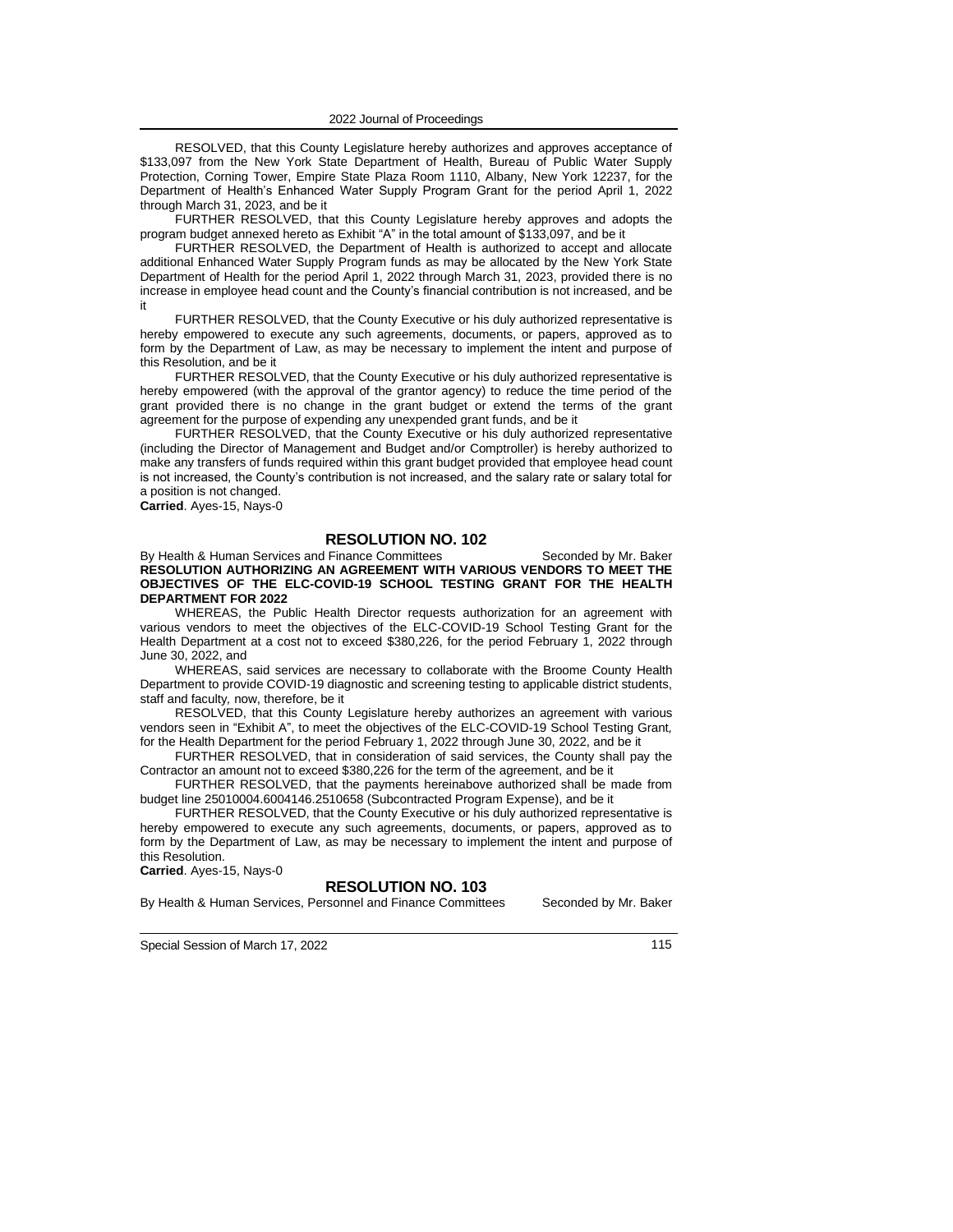RESOLVED, that this County Legislature hereby authorizes and approves acceptance of \$133,097 from the New York State Department of Health, Bureau of Public Water Supply Protection, Corning Tower, Empire State Plaza Room 1110, Albany, New York 12237, for the Department of Health's Enhanced Water Supply Program Grant for the period April 1, 2022 through March 31, 2023, and be it

FURTHER RESOLVED, that this County Legislature hereby approves and adopts the program budget annexed hereto as Exhibit "A" in the total amount of \$133,097, and be it

FURTHER RESOLVED, the Department of Health is authorized to accept and allocate additional Enhanced Water Supply Program funds as may be allocated by the New York State Department of Health for the period April 1, 2022 through March 31, 2023, provided there is no increase in employee head count and the County's financial contribution is not increased, and be it

FURTHER RESOLVED, that the County Executive or his duly authorized representative is hereby empowered to execute any such agreements, documents, or papers, approved as to form by the Department of Law, as may be necessary to implement the intent and purpose of this Resolution, and be it

FURTHER RESOLVED, that the County Executive or his duly authorized representative is hereby empowered (with the approval of the grantor agency) to reduce the time period of the grant provided there is no change in the grant budget or extend the terms of the grant agreement for the purpose of expending any unexpended grant funds, and be it

FURTHER RESOLVED, that the County Executive or his duly authorized representative (including the Director of Management and Budget and/or Comptroller) is hereby authorized to make any transfers of funds required within this grant budget provided that employee head count is not increased, the County's contribution is not increased, and the salary rate or salary total for a position is not changed.

**Carried**. Ayes-15, Nays-0

## **RESOLUTION NO. 102**

By Health & Human Services and Finance Committees Seconded by Mr. Baker **RESOLUTION AUTHORIZING AN AGREEMENT WITH VARIOUS VENDORS TO MEET THE OBJECTIVES OF THE ELC-COVID-19 SCHOOL TESTING GRANT FOR THE HEALTH DEPARTMENT FOR 2022**

WHEREAS, the Public Health Director requests authorization for an agreement with various vendors to meet the objectives of the ELC-COVID-19 School Testing Grant for the Health Department at a cost not to exceed \$380,226, for the period February 1, 2022 through June 30, 2022, and

WHEREAS, said services are necessary to collaborate with the Broome County Health Department to provide COVID-19 diagnostic and screening testing to applicable district students, staff and faculty*,* now, therefore, be it

RESOLVED, that this County Legislature hereby authorizes an agreement with various vendors seen in "Exhibit A", to meet the objectives of the ELC-COVID-19 School Testing Grant*,* for the Health Department for the period February 1, 2022 through June 30, 2022, and be it

FURTHER RESOLVED, that in consideration of said services, the County shall pay the Contractor an amount not to exceed \$380,226 for the term of the agreement, and be it

FURTHER RESOLVED, that the payments hereinabove authorized shall be made from budget line 25010004.6004146.2510658 (Subcontracted Program Expense), and be it

FURTHER RESOLVED, that the County Executive or his duly authorized representative is hereby empowered to execute any such agreements, documents, or papers, approved as to form by the Department of Law, as may be necessary to implement the intent and purpose of this Resolution.

**Carried**. Ayes-15, Nays-0

### **RESOLUTION NO. 103**

By Health & Human Services, Personnel and Finance Committees Seconded by Mr. Baker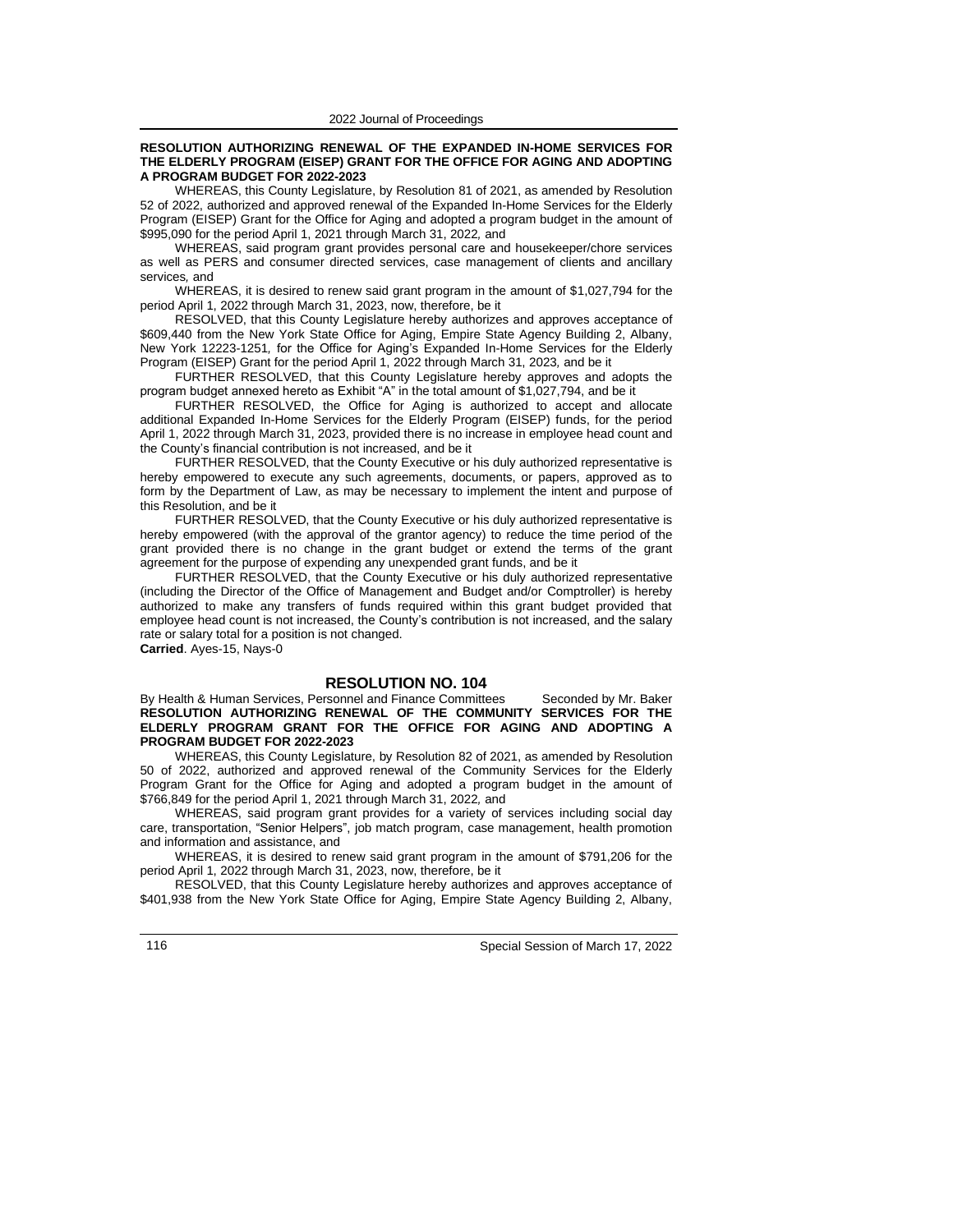#### **RESOLUTION AUTHORIZING RENEWAL OF THE EXPANDED IN-HOME SERVICES FOR THE ELDERLY PROGRAM (EISEP) GRANT FOR THE OFFICE FOR AGING AND ADOPTING A PROGRAM BUDGET FOR 2022-2023**

WHEREAS, this County Legislature, by Resolution 81 of 2021, as amended by Resolution 52 of 2022, authorized and approved renewal of the Expanded In-Home Services for the Elderly Program (EISEP) Grant for the Office for Aging and adopted a program budget in the amount of \$995,090 for the period April 1, 2021 through March 31, 2022*,* and

WHEREAS, said program grant provides personal care and housekeeper/chore services as well as PERS and consumer directed services, case management of clients and ancillary services*,* and

WHEREAS, it is desired to renew said grant program in the amount of \$1,027,794 for the period April 1, 2022 through March 31, 2023, now, therefore, be it

RESOLVED, that this County Legislature hereby authorizes and approves acceptance of \$609,440 from the New York State Office for Aging, Empire State Agency Building 2, Albany, New York 12223-1251*,* for the Office for Aging's Expanded In-Home Services for the Elderly Program (EISEP) Grant for the period April 1, 2022 through March 31, 2023*,* and be it

FURTHER RESOLVED, that this County Legislature hereby approves and adopts the program budget annexed hereto as Exhibit "A" in the total amount of \$1,027,794, and be it

FURTHER RESOLVED, the Office for Aging is authorized to accept and allocate additional Expanded In-Home Services for the Elderly Program (EISEP) funds, for the period April 1, 2022 through March 31, 2023, provided there is no increase in employee head count and the County's financial contribution is not increased, and be it

FURTHER RESOLVED, that the County Executive or his duly authorized representative is hereby empowered to execute any such agreements, documents, or papers, approved as to form by the Department of Law, as may be necessary to implement the intent and purpose of this Resolution, and be it

FURTHER RESOLVED, that the County Executive or his duly authorized representative is hereby empowered (with the approval of the grantor agency) to reduce the time period of the grant provided there is no change in the grant budget or extend the terms of the grant agreement for the purpose of expending any unexpended grant funds, and be it

FURTHER RESOLVED, that the County Executive or his duly authorized representative (including the Director of the Office of Management and Budget and/or Comptroller) is hereby authorized to make any transfers of funds required within this grant budget provided that employee head count is not increased, the County's contribution is not increased, and the salary rate or salary total for a position is not changed.

**Carried**. Ayes-15, Nays-0

# **RESOLUTION NO. 104**

By Health & Human Services, Personnel and Finance Committees Seconded by Mr. Baker **RESOLUTION AUTHORIZING RENEWAL OF THE COMMUNITY SERVICES FOR THE ELDERLY PROGRAM GRANT FOR THE OFFICE FOR AGING AND ADOPTING A PROGRAM BUDGET FOR 2022-2023**

WHEREAS, this County Legislature, by Resolution 82 of 2021, as amended by Resolution 50 of 2022, authorized and approved renewal of the Community Services for the Elderly Program Grant for the Office for Aging and adopted a program budget in the amount of \$766,849 for the period April 1, 2021 through March 31, 2022*,* and

WHEREAS, said program grant provides for a variety of services including social day care, transportation, "Senior Helpers", job match program, case management, health promotion and information and assistance, and

WHEREAS, it is desired to renew said grant program in the amount of \$791,206 for the period April 1, 2022 through March 31, 2023, now, therefore, be it

RESOLVED, that this County Legislature hereby authorizes and approves acceptance of \$401,938 from the New York State Office for Aging, Empire State Agency Building 2, Albany,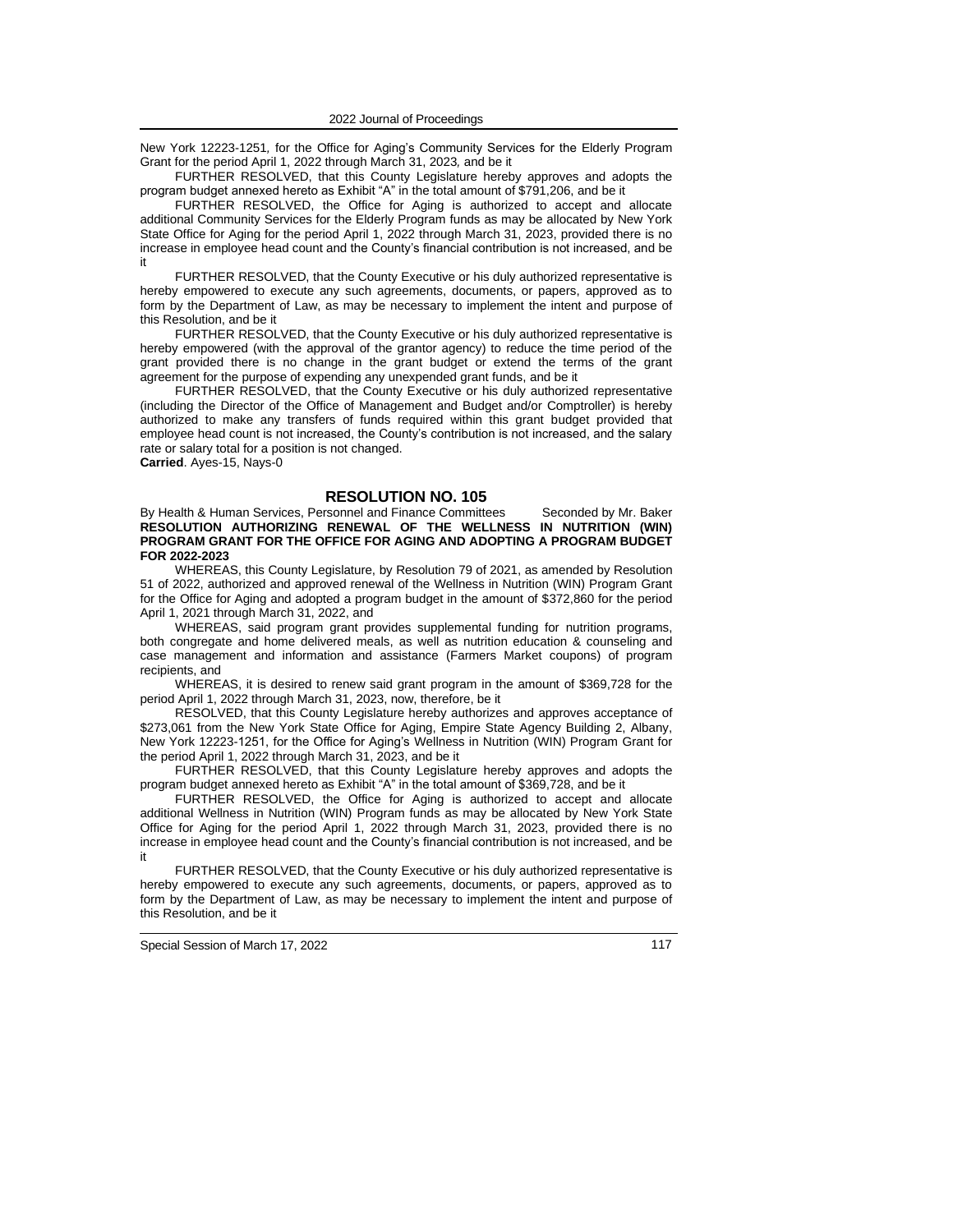New York 12223-1251*,* for the Office for Aging's Community Services for the Elderly Program Grant for the period April 1, 2022 through March 31, 2023*,* and be it

FURTHER RESOLVED, that this County Legislature hereby approves and adopts the program budget annexed hereto as Exhibit "A" in the total amount of \$791,206, and be it

FURTHER RESOLVED, the Office for Aging is authorized to accept and allocate additional Community Services for the Elderly Program funds as may be allocated by New York State Office for Aging for the period April 1, 2022 through March 31, 2023, provided there is no increase in employee head count and the County's financial contribution is not increased, and be it

FURTHER RESOLVED, that the County Executive or his duly authorized representative is hereby empowered to execute any such agreements, documents, or papers, approved as to form by the Department of Law, as may be necessary to implement the intent and purpose of this Resolution, and be it

FURTHER RESOLVED, that the County Executive or his duly authorized representative is hereby empowered (with the approval of the grantor agency) to reduce the time period of the grant provided there is no change in the grant budget or extend the terms of the grant agreement for the purpose of expending any unexpended grant funds, and be it

FURTHER RESOLVED, that the County Executive or his duly authorized representative (including the Director of the Office of Management and Budget and/or Comptroller) is hereby authorized to make any transfers of funds required within this grant budget provided that employee head count is not increased, the County's contribution is not increased, and the salary rate or salary total for a position is not changed.

**Carried**. Ayes-15, Nays-0

### **RESOLUTION NO. 105**

By Health & Human Services, Personnel and Finance Committees Seconded by Mr. Baker **RESOLUTION AUTHORIZING RENEWAL OF THE WELLNESS IN NUTRITION (WIN) PROGRAM GRANT FOR THE OFFICE FOR AGING AND ADOPTING A PROGRAM BUDGET FOR 2022-2023**

WHEREAS, this County Legislature, by Resolution 79 of 2021, as amended by Resolution 51 of 2022, authorized and approved renewal of the Wellness in Nutrition (WIN) Program Grant for the Office for Aging and adopted a program budget in the amount of \$372,860 for the period April 1, 2021 through March 31, 2022, and

WHEREAS, said program grant provides supplemental funding for nutrition programs, both congregate and home delivered meals, as well as nutrition education & counseling and case management and information and assistance (Farmers Market coupons) of program recipients, and

WHEREAS, it is desired to renew said grant program in the amount of \$369,728 for the period April 1, 2022 through March 31, 2023, now, therefore, be it

RESOLVED, that this County Legislature hereby authorizes and approves acceptance of \$273,061 from the New York State Office for Aging, Empire State Agency Building 2, Albany, New York 12223-1251, for the Office for Aging's Wellness in Nutrition (WIN) Program Grant for the period April 1, 2022 through March 31, 2023, and be it

FURTHER RESOLVED, that this County Legislature hereby approves and adopts the program budget annexed hereto as Exhibit "A" in the total amount of \$369,728, and be it

FURTHER RESOLVED, the Office for Aging is authorized to accept and allocate additional Wellness in Nutrition (WIN) Program funds as may be allocated by New York State Office for Aging for the period April 1, 2022 through March 31, 2023, provided there is no increase in employee head count and the County's financial contribution is not increased, and be it

FURTHER RESOLVED, that the County Executive or his duly authorized representative is hereby empowered to execute any such agreements, documents, or papers, approved as to form by the Department of Law, as may be necessary to implement the intent and purpose of this Resolution, and be it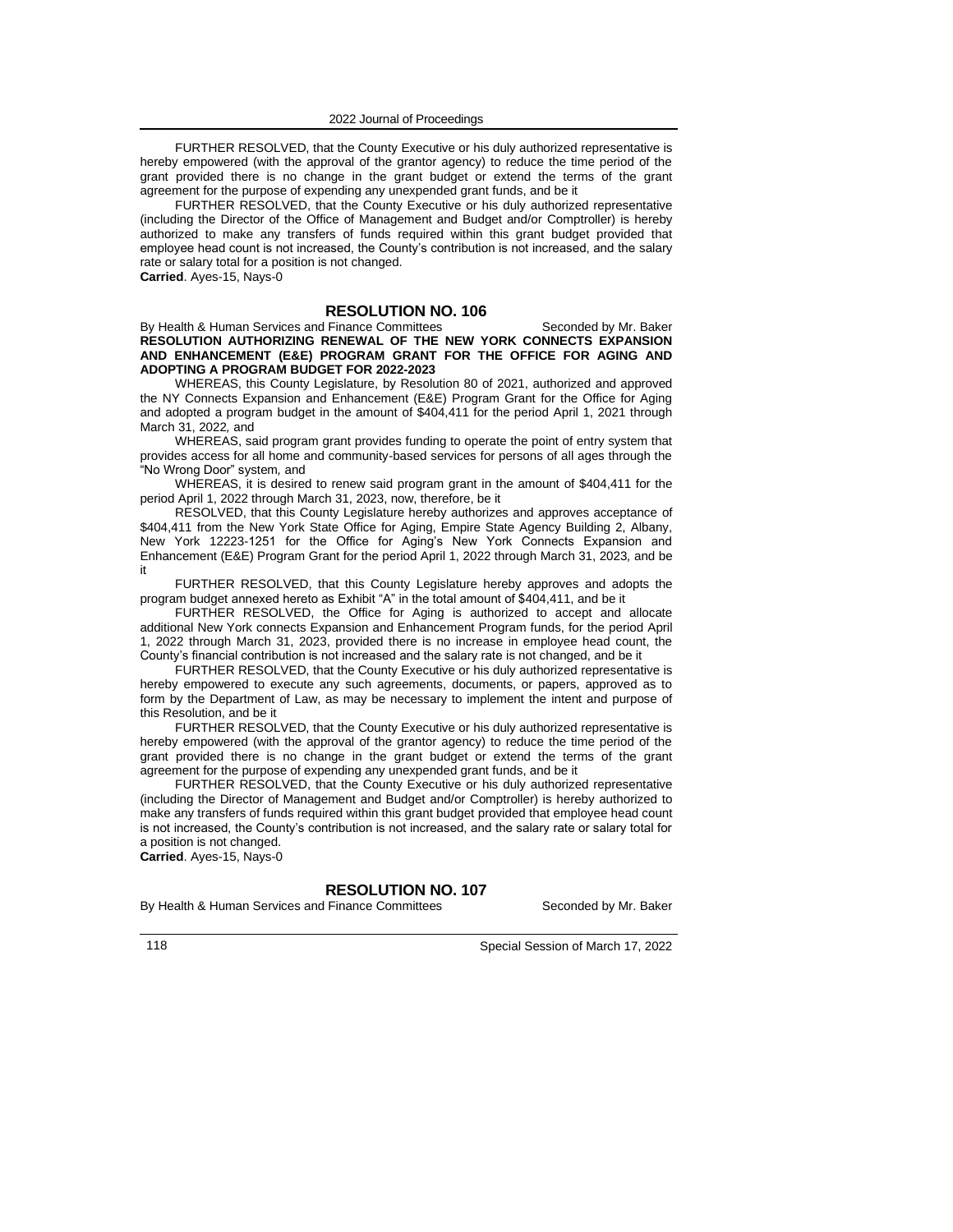FURTHER RESOLVED, that the County Executive or his duly authorized representative is hereby empowered (with the approval of the grantor agency) to reduce the time period of the grant provided there is no change in the grant budget or extend the terms of the grant agreement for the purpose of expending any unexpended grant funds, and be it

FURTHER RESOLVED, that the County Executive or his duly authorized representative (including the Director of the Office of Management and Budget and/or Comptroller) is hereby authorized to make any transfers of funds required within this grant budget provided that employee head count is not increased, the County's contribution is not increased, and the salary rate or salary total for a position is not changed. **Carried**. Ayes-15, Nays-0

**RESOLUTION NO. 106**

By Health & Human Services and Finance Committees Seconded by Mr. Baker **RESOLUTION AUTHORIZING RENEWAL OF THE NEW YORK CONNECTS EXPANSION AND ENHANCEMENT (E&E) PROGRAM GRANT FOR THE OFFICE FOR AGING AND ADOPTING A PROGRAM BUDGET FOR 2022-2023**

WHEREAS, this County Legislature, by Resolution 80 of 2021, authorized and approved the NY Connects Expansion and Enhancement (E&E) Program Grant for the Office for Aging and adopted a program budget in the amount of \$404,411 for the period April 1, 2021 through March 31, 2022*,* and

WHEREAS, said program grant provides funding to operate the point of entry system that provides access for all home and community-based services for persons of all ages through the "No Wrong Door" system*,* and

WHEREAS, it is desired to renew said program grant in the amount of \$404,411 for the period April 1, 2022 through March 31, 2023, now, therefore, be it

RESOLVED, that this County Legislature hereby authorizes and approves acceptance of \$404,411 from the New York State Office for Aging, Empire State Agency Building 2, Albany, New York 12223-1251 for the Office for Aging's New York Connects Expansion and Enhancement (E&E) Program Grant for the period April 1, 2022 through March 31, 2023*,* and be it

FURTHER RESOLVED, that this County Legislature hereby approves and adopts the program budget annexed hereto as Exhibit "A" in the total amount of \$404,411, and be it

FURTHER RESOLVED, the Office for Aging is authorized to accept and allocate additional New York connects Expansion and Enhancement Program funds, for the period April 1, 2022 through March 31, 2023, provided there is no increase in employee head count, the County's financial contribution is not increased and the salary rate is not changed, and be it

FURTHER RESOLVED, that the County Executive or his duly authorized representative is hereby empowered to execute any such agreements, documents, or papers, approved as to form by the Department of Law, as may be necessary to implement the intent and purpose of this Resolution, and be it

FURTHER RESOLVED, that the County Executive or his duly authorized representative is hereby empowered (with the approval of the grantor agency) to reduce the time period of the grant provided there is no change in the grant budget or extend the terms of the grant agreement for the purpose of expending any unexpended grant funds, and be it

FURTHER RESOLVED, that the County Executive or his duly authorized representative (including the Director of Management and Budget and/or Comptroller) is hereby authorized to make any transfers of funds required within this grant budget provided that employee head count is not increased, the County's contribution is not increased, and the salary rate or salary total for a position is not changed.

**Carried**. Ayes-15, Nays-0

### **RESOLUTION NO. 107**

By Health & Human Services and Finance Committees Seconded by Mr. Baker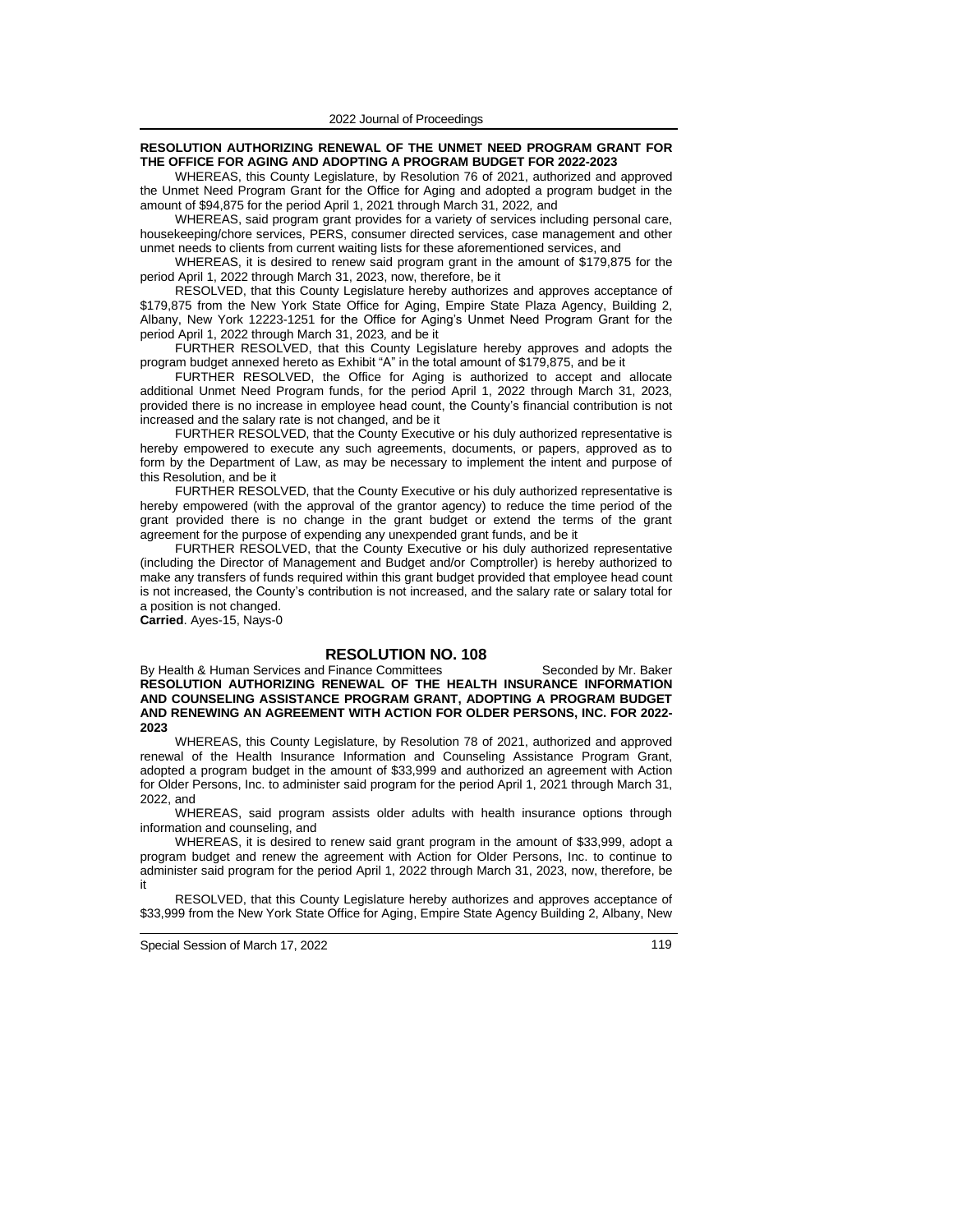#### **RESOLUTION AUTHORIZING RENEWAL OF THE UNMET NEED PROGRAM GRANT FOR THE OFFICE FOR AGING AND ADOPTING A PROGRAM BUDGET FOR 2022-2023**

WHEREAS, this County Legislature, by Resolution 76 of 2021, authorized and approved the Unmet Need Program Grant for the Office for Aging and adopted a program budget in the amount of \$94,875 for the period April 1, 2021 through March 31, 2022*,* and

WHEREAS, said program grant provides for a variety of services including personal care, housekeeping/chore services, PERS, consumer directed services, case management and other unmet needs to clients from current waiting lists for these aforementioned services, and

WHEREAS, it is desired to renew said program grant in the amount of \$179,875 for the period April 1, 2022 through March 31, 2023, now, therefore, be it

RESOLVED, that this County Legislature hereby authorizes and approves acceptance of \$179,875 from the New York State Office for Aging, Empire State Plaza Agency, Building 2, Albany, New York 12223-1251 for the Office for Aging's Unmet Need Program Grant for the period April 1, 2022 through March 31, 2023*,* and be it

FURTHER RESOLVED, that this County Legislature hereby approves and adopts the program budget annexed hereto as Exhibit "A" in the total amount of \$179,875, and be it

FURTHER RESOLVED, the Office for Aging is authorized to accept and allocate additional Unmet Need Program funds, for the period April 1, 2022 through March 31, 2023, provided there is no increase in employee head count, the County's financial contribution is not increased and the salary rate is not changed, and be it

FURTHER RESOLVED, that the County Executive or his duly authorized representative is hereby empowered to execute any such agreements, documents, or papers, approved as to form by the Department of Law, as may be necessary to implement the intent and purpose of this Resolution, and be it

FURTHER RESOLVED, that the County Executive or his duly authorized representative is hereby empowered (with the approval of the grantor agency) to reduce the time period of the grant provided there is no change in the grant budget or extend the terms of the grant agreement for the purpose of expending any unexpended grant funds, and be it

FURTHER RESOLVED, that the County Executive or his duly authorized representative (including the Director of Management and Budget and/or Comptroller) is hereby authorized to make any transfers of funds required within this grant budget provided that employee head count is not increased, the County's contribution is not increased, and the salary rate or salary total for a position is not changed.

**Carried**. Ayes-15, Nays-0

### **RESOLUTION NO. 108**

By Health & Human Services and Finance Committees Seconded by Mr. Baker **RESOLUTION AUTHORIZING RENEWAL OF THE HEALTH INSURANCE INFORMATION AND COUNSELING ASSISTANCE PROGRAM GRANT, ADOPTING A PROGRAM BUDGET AND RENEWING AN AGREEMENT WITH ACTION FOR OLDER PERSONS, INC. FOR 2022- 2023**

WHEREAS, this County Legislature, by Resolution 78 of 2021, authorized and approved renewal of the Health Insurance Information and Counseling Assistance Program Grant, adopted a program budget in the amount of \$33,999 and authorized an agreement with Action for Older Persons, Inc. to administer said program for the period April 1, 2021 through March 31, 2022, and

WHEREAS, said program assists older adults with health insurance options through information and counseling, and

WHEREAS, it is desired to renew said grant program in the amount of \$33,999, adopt a program budget and renew the agreement with Action for Older Persons, Inc. to continue to administer said program for the period April 1, 2022 through March 31, 2023, now, therefore, be it

RESOLVED, that this County Legislature hereby authorizes and approves acceptance of \$33,999 from the New York State Office for Aging, Empire State Agency Building 2, Albany, New

Special Session of March 17, 2022 119 and the set of the set of the set of the set of the set of the set of the set of the set of the set of the set of the set of the set of the set of the set of the set of the set of the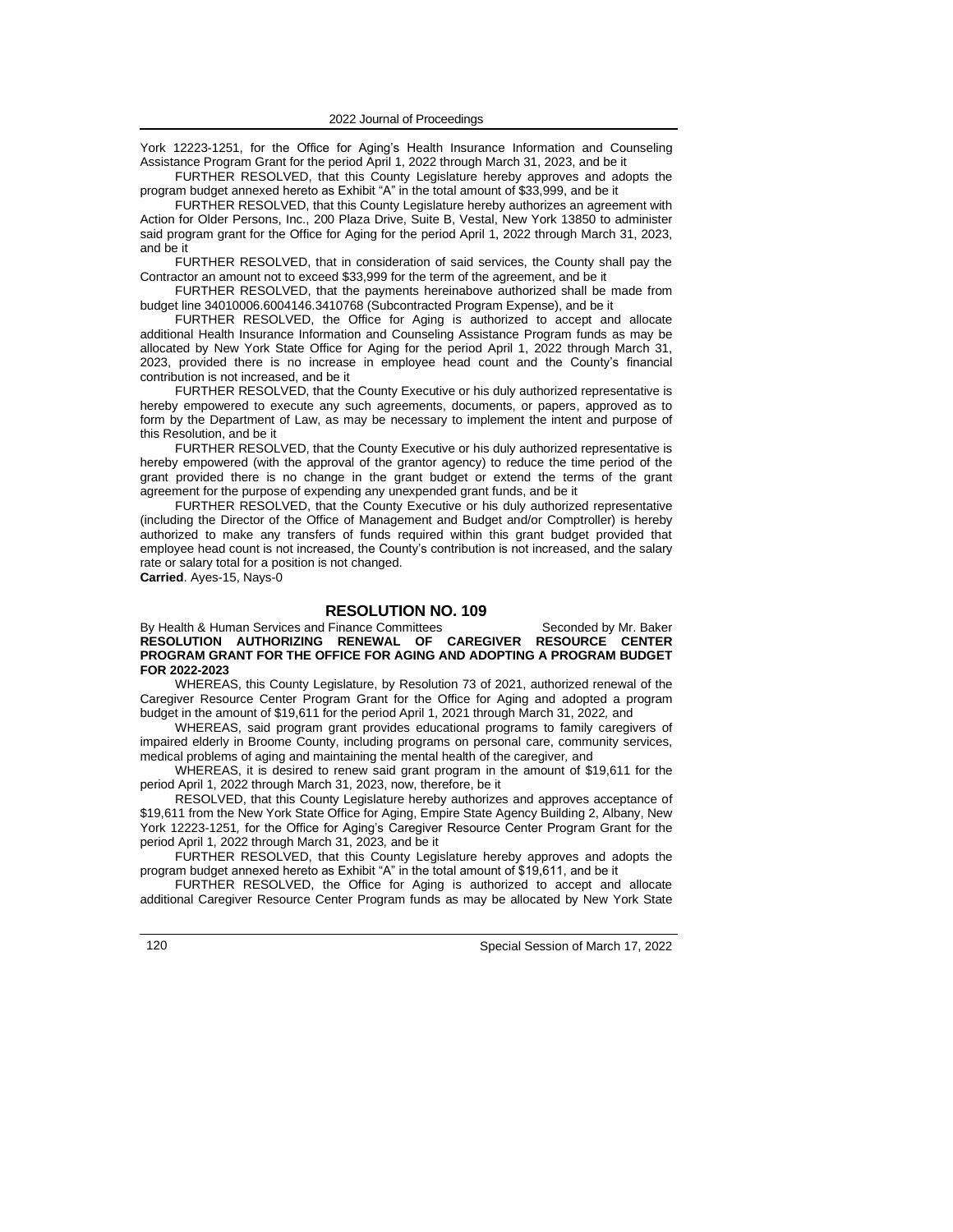York 12223-1251, for the Office for Aging's Health Insurance Information and Counseling Assistance Program Grant for the period April 1, 2022 through March 31, 2023, and be it

FURTHER RESOLVED, that this County Legislature hereby approves and adopts the program budget annexed hereto as Exhibit "A" in the total amount of \$33,999, and be it

FURTHER RESOLVED, that this County Legislature hereby authorizes an agreement with Action for Older Persons, Inc., 200 Plaza Drive, Suite B, Vestal, New York 13850 to administer said program grant for the Office for Aging for the period April 1, 2022 through March 31, 2023, and be it

FURTHER RESOLVED, that in consideration of said services, the County shall pay the Contractor an amount not to exceed \$33,999 for the term of the agreement, and be it

FURTHER RESOLVED, that the payments hereinabove authorized shall be made from budget line 34010006.6004146.3410768 (Subcontracted Program Expense), and be it

FURTHER RESOLVED, the Office for Aging is authorized to accept and allocate additional Health Insurance Information and Counseling Assistance Program funds as may be allocated by New York State Office for Aging for the period April 1, 2022 through March 31, 2023, provided there is no increase in employee head count and the County's financial contribution is not increased, and be it

FURTHER RESOLVED, that the County Executive or his duly authorized representative is hereby empowered to execute any such agreements, documents, or papers, approved as to form by the Department of Law, as may be necessary to implement the intent and purpose of this Resolution, and be it

FURTHER RESOLVED, that the County Executive or his duly authorized representative is hereby empowered (with the approval of the grantor agency) to reduce the time period of the grant provided there is no change in the grant budget or extend the terms of the grant agreement for the purpose of expending any unexpended grant funds, and be it

FURTHER RESOLVED, that the County Executive or his duly authorized representative (including the Director of the Office of Management and Budget and/or Comptroller) is hereby authorized to make any transfers of funds required within this grant budget provided that employee head count is not increased, the County's contribution is not increased, and the salary rate or salary total for a position is not changed.

**Carried**. Ayes-15, Nays-0

#### **RESOLUTION NO. 109**

By Health & Human Services and Finance Committees Seconded by Mr. Baker **RESOLUTION AUTHORIZING RENEWAL OF CAREGIVER RESOURCE CENTER PROGRAM GRANT FOR THE OFFICE FOR AGING AND ADOPTING A PROGRAM BUDGET FOR 2022-2023**

WHEREAS, this County Legislature, by Resolution 73 of 2021, authorized renewal of the Caregiver Resource Center Program Grant for the Office for Aging and adopted a program budget in the amount of \$19,611 for the period April 1, 2021 through March 31, 2022*,* and

WHEREAS, said program grant provides educational programs to family caregivers of impaired elderly in Broome County, including programs on personal care, community services, medical problems of aging and maintaining the mental health of the caregiver*,* and

WHEREAS, it is desired to renew said grant program in the amount of \$19,611 for the period April 1, 2022 through March 31, 2023, now, therefore, be it

RESOLVED, that this County Legislature hereby authorizes and approves acceptance of \$19,611 from the New York State Office for Aging, Empire State Agency Building 2, Albany, New York 12223-1251*,* for the Office for Aging's Caregiver Resource Center Program Grant for the period April 1, 2022 through March 31, 2023*,* and be it

FURTHER RESOLVED, that this County Legislature hereby approves and adopts the program budget annexed hereto as Exhibit "A" in the total amount of \$19,611, and be it

FURTHER RESOLVED, the Office for Aging is authorized to accept and allocate additional Caregiver Resource Center Program funds as may be allocated by New York State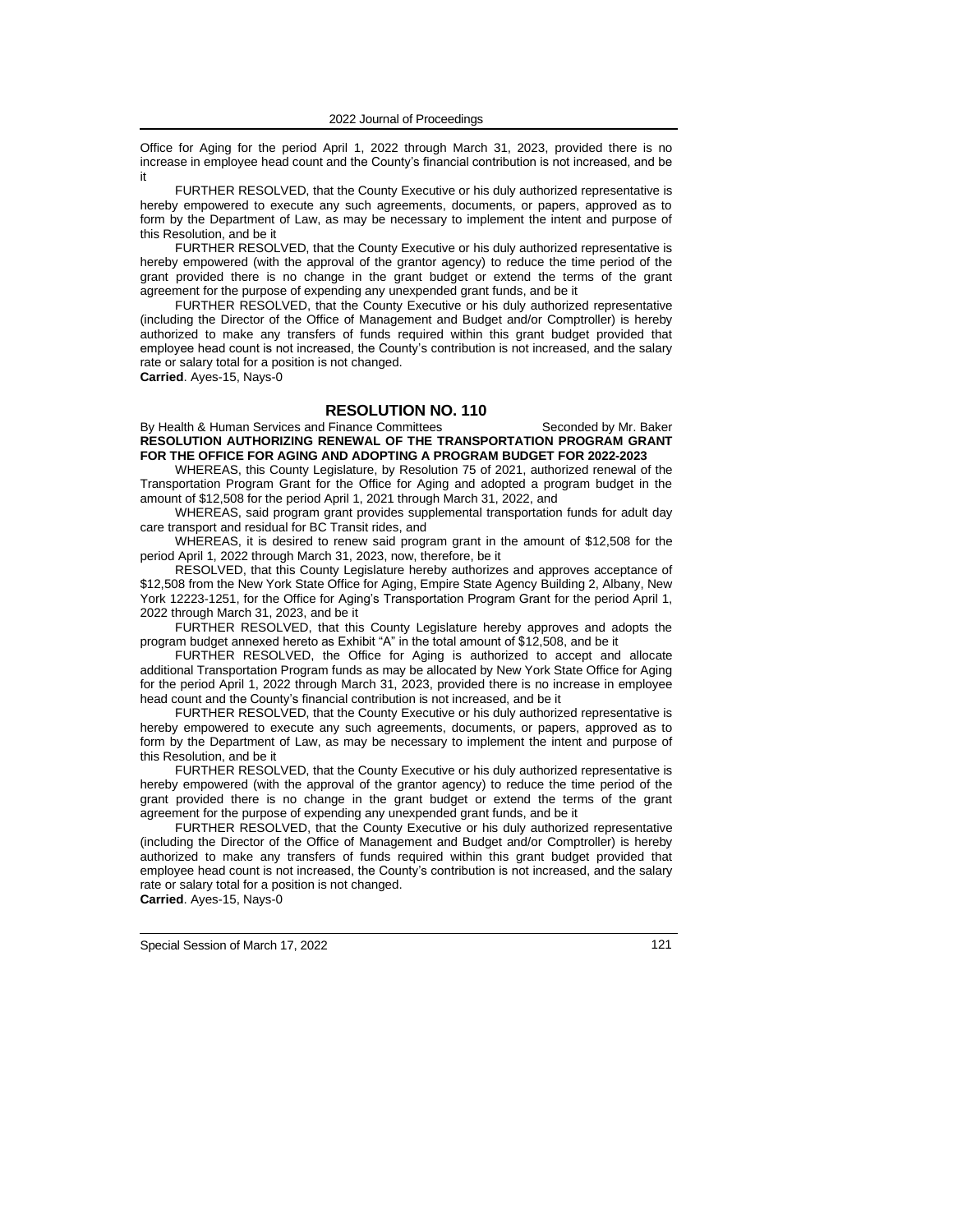Office for Aging for the period April 1, 2022 through March 31, 2023, provided there is no increase in employee head count and the County's financial contribution is not increased, and be it

FURTHER RESOLVED, that the County Executive or his duly authorized representative is hereby empowered to execute any such agreements, documents, or papers, approved as to form by the Department of Law, as may be necessary to implement the intent and purpose of this Resolution, and be it

FURTHER RESOLVED, that the County Executive or his duly authorized representative is hereby empowered (with the approval of the grantor agency) to reduce the time period of the grant provided there is no change in the grant budget or extend the terms of the grant agreement for the purpose of expending any unexpended grant funds, and be it

FURTHER RESOLVED, that the County Executive or his duly authorized representative (including the Director of the Office of Management and Budget and/or Comptroller) is hereby authorized to make any transfers of funds required within this grant budget provided that employee head count is not increased, the County's contribution is not increased, and the salary rate or salary total for a position is not changed.

#### **Carried**. Ayes-15, Nays-0

### **RESOLUTION NO. 110**

By Health & Human Services and Finance Committees Seconded by Mr. Baker **RESOLUTION AUTHORIZING RENEWAL OF THE TRANSPORTATION PROGRAM GRANT FOR THE OFFICE FOR AGING AND ADOPTING A PROGRAM BUDGET FOR 2022-2023**

WHEREAS, this County Legislature, by Resolution 75 of 2021, authorized renewal of the Transportation Program Grant for the Office for Aging and adopted a program budget in the amount of \$12,508 for the period April 1, 2021 through March 31, 2022, and

WHEREAS, said program grant provides supplemental transportation funds for adult day care transport and residual for BC Transit rides, and

WHEREAS, it is desired to renew said program grant in the amount of \$12,508 for the period April 1, 2022 through March 31, 2023, now, therefore, be it

RESOLVED, that this County Legislature hereby authorizes and approves acceptance of \$12,508 from the New York State Office for Aging, Empire State Agency Building 2, Albany, New York 12223-1251, for the Office for Aging's Transportation Program Grant for the period April 1, 2022 through March 31, 2023, and be it

FURTHER RESOLVED, that this County Legislature hereby approves and adopts the program budget annexed hereto as Exhibit "A" in the total amount of \$12,508, and be it

FURTHER RESOLVED, the Office for Aging is authorized to accept and allocate additional Transportation Program funds as may be allocated by New York State Office for Aging for the period April 1, 2022 through March 31, 2023, provided there is no increase in employee head count and the County's financial contribution is not increased, and be it

FURTHER RESOLVED, that the County Executive or his duly authorized representative is hereby empowered to execute any such agreements, documents, or papers, approved as to form by the Department of Law, as may be necessary to implement the intent and purpose of this Resolution, and be it

FURTHER RESOLVED, that the County Executive or his duly authorized representative is hereby empowered (with the approval of the grantor agency) to reduce the time period of the grant provided there is no change in the grant budget or extend the terms of the grant agreement for the purpose of expending any unexpended grant funds, and be it

FURTHER RESOLVED, that the County Executive or his duly authorized representative (including the Director of the Office of Management and Budget and/or Comptroller) is hereby authorized to make any transfers of funds required within this grant budget provided that employee head count is not increased, the County's contribution is not increased, and the salary rate or salary total for a position is not changed. **Carried**. Ayes-15, Nays-0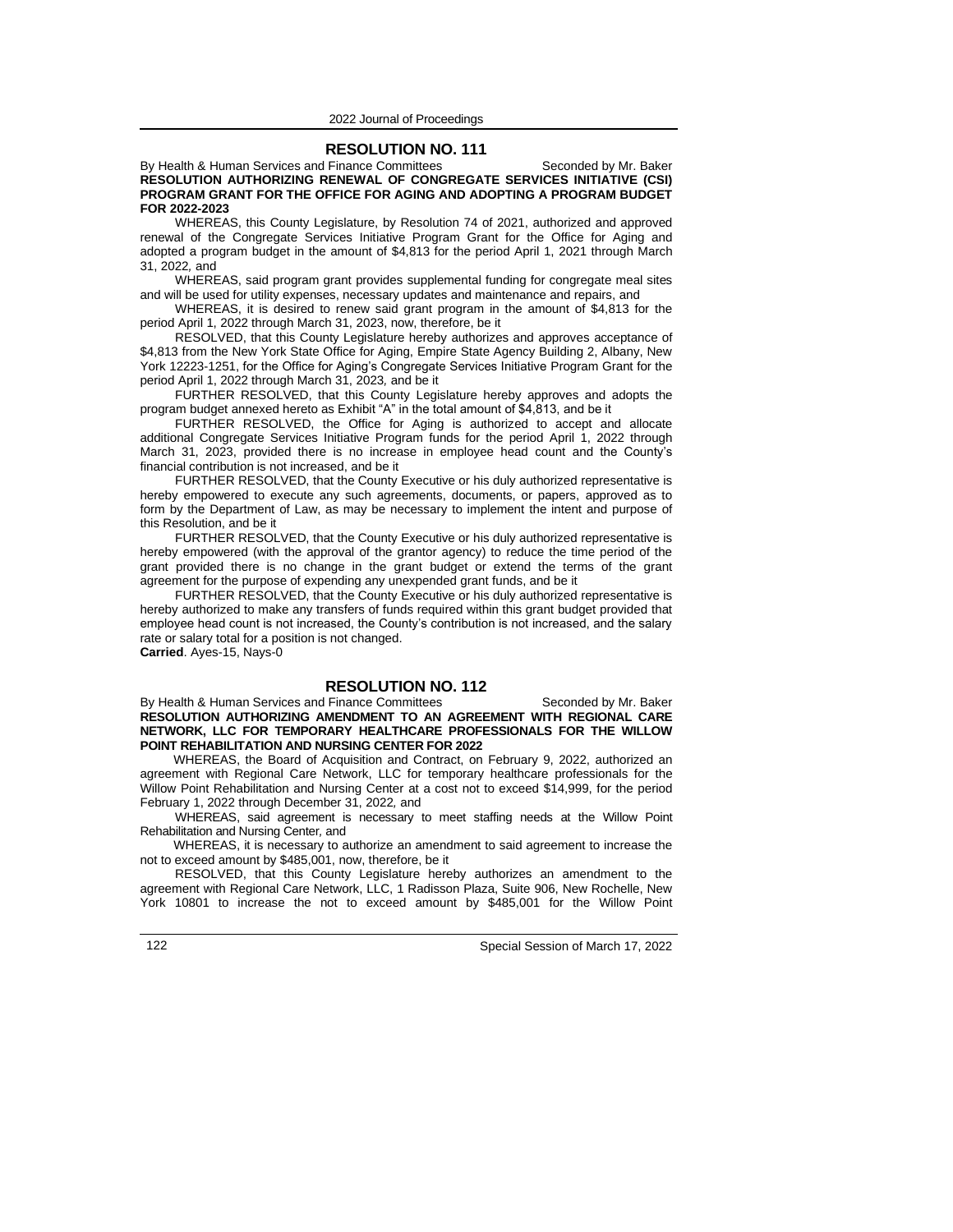### **RESOLUTION NO. 111**

By Health & Human Services and Finance Committees Seconded by Mr. Baker **RESOLUTION AUTHORIZING RENEWAL OF CONGREGATE SERVICES INITIATIVE (CSI) PROGRAM GRANT FOR THE OFFICE FOR AGING AND ADOPTING A PROGRAM BUDGET FOR 2022-2023**

WHEREAS, this County Legislature, by Resolution 74 of 2021, authorized and approved renewal of the Congregate Services Initiative Program Grant for the Office for Aging and adopted a program budget in the amount of \$4,813 for the period April 1, 2021 through March 31, 2022*,* and

WHEREAS, said program grant provides supplemental funding for congregate meal sites and will be used for utility expenses, necessary updates and maintenance and repairs, and

WHEREAS, it is desired to renew said grant program in the amount of \$4,813 for the period April 1, 2022 through March 31, 2023, now, therefore, be it

RESOLVED, that this County Legislature hereby authorizes and approves acceptance of \$4,813 from the New York State Office for Aging, Empire State Agency Building 2, Albany, New York 12223-1251, for the Office for Aging's Congregate Services Initiative Program Grant for the period April 1, 2022 through March 31, 2023*,* and be it

FURTHER RESOLVED, that this County Legislature hereby approves and adopts the program budget annexed hereto as Exhibit "A" in the total amount of \$4,813, and be it

FURTHER RESOLVED, the Office for Aging is authorized to accept and allocate additional Congregate Services Initiative Program funds for the period April 1, 2022 through March 31, 2023, provided there is no increase in employee head count and the County's financial contribution is not increased, and be it

FURTHER RESOLVED, that the County Executive or his duly authorized representative is hereby empowered to execute any such agreements, documents, or papers, approved as to form by the Department of Law, as may be necessary to implement the intent and purpose of this Resolution, and be it

FURTHER RESOLVED, that the County Executive or his duly authorized representative is hereby empowered (with the approval of the grantor agency) to reduce the time period of the grant provided there is no change in the grant budget or extend the terms of the grant agreement for the purpose of expending any unexpended grant funds, and be it

FURTHER RESOLVED, that the County Executive or his duly authorized representative is hereby authorized to make any transfers of funds required within this grant budget provided that employee head count is not increased, the County's contribution is not increased, and the salary rate or salary total for a position is not changed.

**Carried**. Ayes-15, Nays-0

# **RESOLUTION NO. 112**

By Health & Human Services and Finance Committees Seconded by Mr. Baker **RESOLUTION AUTHORIZING AMENDMENT TO AN AGREEMENT WITH REGIONAL CARE NETWORK, LLC FOR TEMPORARY HEALTHCARE PROFESSIONALS FOR THE WILLOW POINT REHABILITATION AND NURSING CENTER FOR 2022**

WHEREAS, the Board of Acquisition and Contract, on February 9, 2022, authorized an agreement with Regional Care Network, LLC for temporary healthcare professionals for the Willow Point Rehabilitation and Nursing Center at a cost not to exceed \$14,999, for the period February 1, 2022 through December 31, 2022*,* and

WHEREAS, said agreement is necessary to meet staffing needs at the Willow Point Rehabilitation and Nursing Center*,* and

WHEREAS, it is necessary to authorize an amendment to said agreement to increase the not to exceed amount by \$485,001, now, therefore, be it

RESOLVED, that this County Legislature hereby authorizes an amendment to the agreement with Regional Care Network, LLC, 1 Radisson Plaza, Suite 906, New Rochelle, New York 10801 to increase the not to exceed amount by \$485,001 for the Willow Point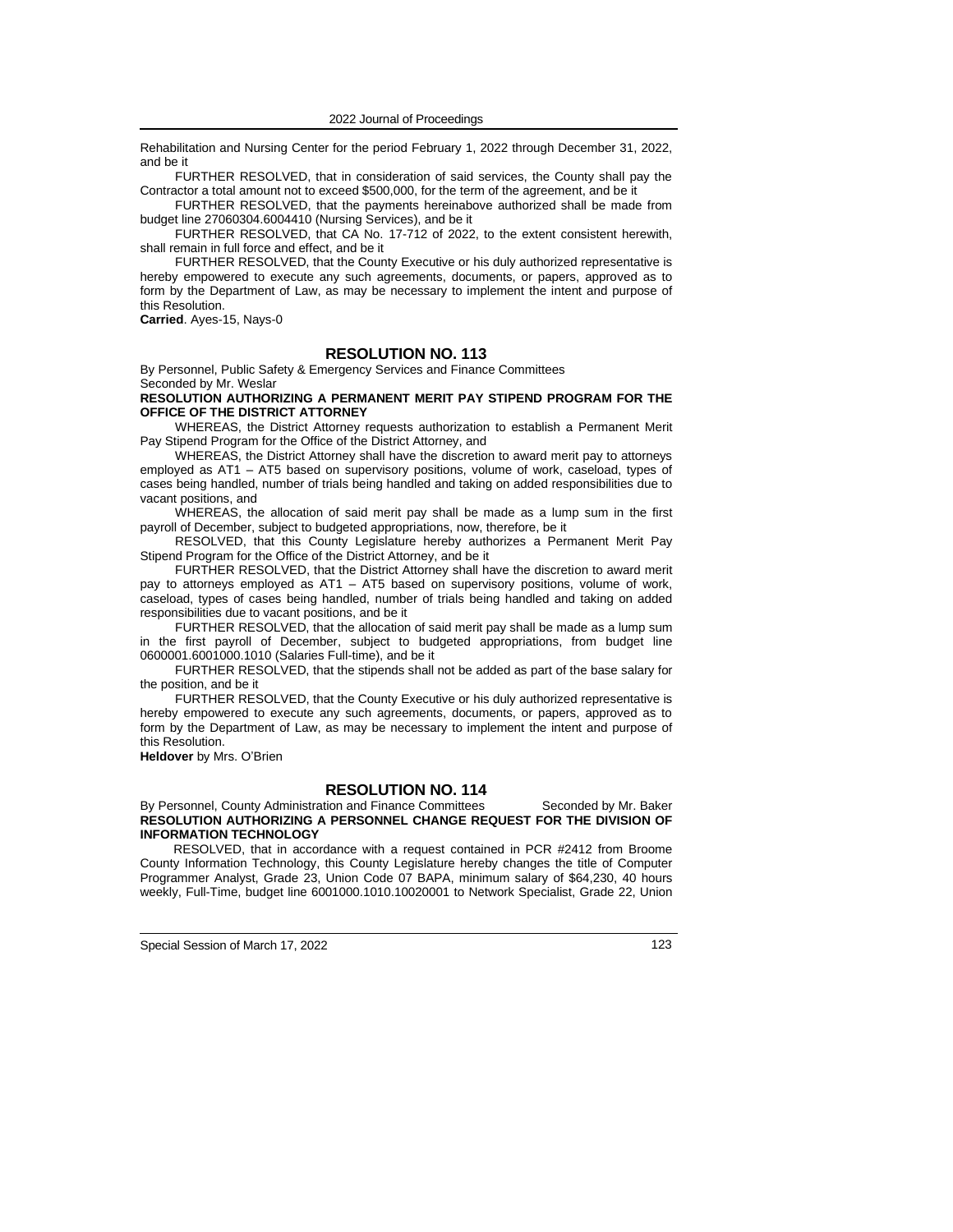Rehabilitation and Nursing Center for the period February 1, 2022 through December 31, 2022, and be it

FURTHER RESOLVED, that in consideration of said services, the County shall pay the Contractor a total amount not to exceed \$500,000, for the term of the agreement, and be it

FURTHER RESOLVED, that the payments hereinabove authorized shall be made from budget line 27060304.6004410 (Nursing Services), and be it

FURTHER RESOLVED, that CA No. 17-712 of 2022, to the extent consistent herewith, shall remain in full force and effect, and be it

FURTHER RESOLVED, that the County Executive or his duly authorized representative is hereby empowered to execute any such agreements, documents, or papers, approved as to form by the Department of Law, as may be necessary to implement the intent and purpose of this Resolution.

**Carried**. Ayes-15, Nays-0

# **RESOLUTION NO. 113**

By Personnel, Public Safety & Emergency Services and Finance Committees Seconded by Mr. Weslar

#### **RESOLUTION AUTHORIZING A PERMANENT MERIT PAY STIPEND PROGRAM FOR THE OFFICE OF THE DISTRICT ATTORNEY**

WHEREAS, the District Attorney requests authorization to establish a Permanent Merit Pay Stipend Program for the Office of the District Attorney, and

WHEREAS, the District Attorney shall have the discretion to award merit pay to attorneys employed as AT1 – AT5 based on supervisory positions, volume of work, caseload, types of cases being handled, number of trials being handled and taking on added responsibilities due to vacant positions, and

WHEREAS, the allocation of said merit pay shall be made as a lump sum in the first payroll of December, subject to budgeted appropriations, now, therefore, be it

RESOLVED, that this County Legislature hereby authorizes a Permanent Merit Pay Stipend Program for the Office of the District Attorney, and be it

FURTHER RESOLVED, that the District Attorney shall have the discretion to award merit pay to attorneys employed as AT1 – AT5 based on supervisory positions, volume of work, caseload, types of cases being handled, number of trials being handled and taking on added responsibilities due to vacant positions, and be it

FURTHER RESOLVED, that the allocation of said merit pay shall be made as a lump sum in the first payroll of December, subject to budgeted appropriations, from budget line 0600001.6001000.1010 (Salaries Full-time), and be it

FURTHER RESOLVED, that the stipends shall not be added as part of the base salary for the position, and be it

FURTHER RESOLVED, that the County Executive or his duly authorized representative is hereby empowered to execute any such agreements, documents, or papers, approved as to form by the Department of Law, as may be necessary to implement the intent and purpose of this Resolution.

**Heldover** by Mrs. O'Brien

# **RESOLUTION NO. 114**

### By Personnel, County Administration and Finance Committees Seconded by Mr. Baker **RESOLUTION AUTHORIZING A PERSONNEL CHANGE REQUEST FOR THE DIVISION OF INFORMATION TECHNOLOGY**

RESOLVED, that in accordance with a request contained in PCR #2412 from Broome County Information Technology, this County Legislature hereby changes the title of Computer Programmer Analyst, Grade 23, Union Code 07 BAPA, minimum salary of \$64,230, 40 hours weekly, Full-Time, budget line 6001000.1010.10020001 to Network Specialist, Grade 22, Union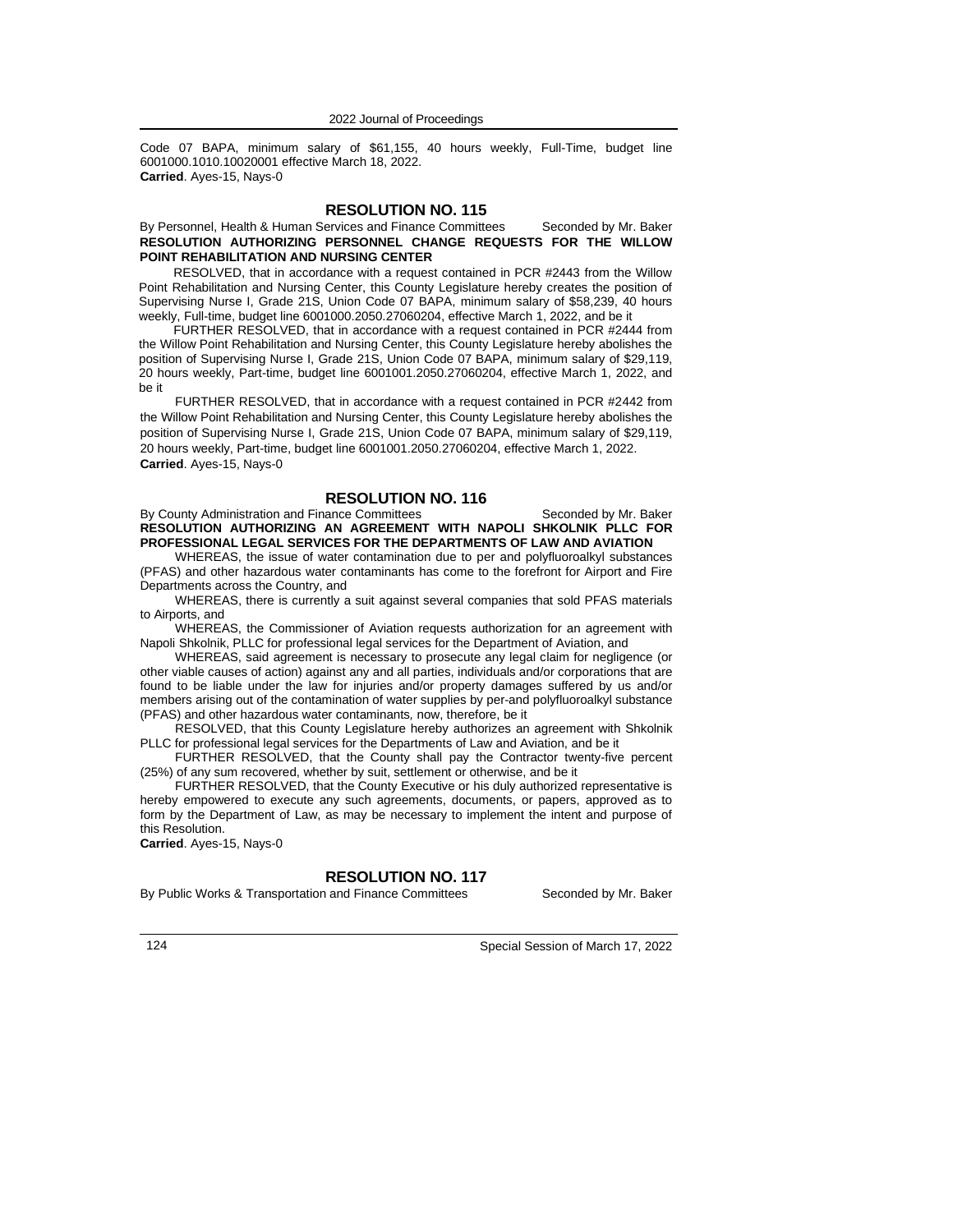Code 07 BAPA, minimum salary of \$61,155, 40 hours weekly, Full-Time, budget line 6001000.1010.10020001 effective March 18, 2022. **Carried**. Ayes-15, Nays-0

### **RESOLUTION NO. 115**

### By Personnel, Health & Human Services and Finance Committees Seconded by Mr. Baker **RESOLUTION AUTHORIZING PERSONNEL CHANGE REQUESTS FOR THE WILLOW POINT REHABILITATION AND NURSING CENTER**

RESOLVED, that in accordance with a request contained in PCR #2443 from the Willow Point Rehabilitation and Nursing Center, this County Legislature hereby creates the position of Supervising Nurse I, Grade 21S, Union Code 07 BAPA, minimum salary of \$58,239, 40 hours weekly, Full-time, budget line 6001000.2050.27060204, effective March 1, 2022, and be it

FURTHER RESOLVED, that in accordance with a request contained in PCR #2444 from the Willow Point Rehabilitation and Nursing Center, this County Legislature hereby abolishes the position of Supervising Nurse I, Grade 21S, Union Code 07 BAPA, minimum salary of \$29,119, 20 hours weekly, Part-time, budget line 6001001.2050.27060204, effective March 1, 2022, and be it

FURTHER RESOLVED, that in accordance with a request contained in PCR #2442 from the Willow Point Rehabilitation and Nursing Center, this County Legislature hereby abolishes the position of Supervising Nurse I, Grade 21S, Union Code 07 BAPA, minimum salary of \$29,119, 20 hours weekly, Part-time, budget line 6001001.2050.27060204, effective March 1, 2022. **Carried**. Ayes-15, Nays-0

# **RESOLUTION NO. 116**

By County Administration and Finance Committees Seconded by Mr. Baker **RESOLUTION AUTHORIZING AN AGREEMENT WITH NAPOLI SHKOLNIK PLLC FOR PROFESSIONAL LEGAL SERVICES FOR THE DEPARTMENTS OF LAW AND AVIATION**

WHEREAS, the issue of water contamination due to per and polyfluoroalkyl substances (PFAS) and other hazardous water contaminants has come to the forefront for Airport and Fire Departments across the Country, and

WHEREAS, there is currently a suit against several companies that sold PFAS materials to Airports, and

WHEREAS, the Commissioner of Aviation requests authorization for an agreement with Napoli Shkolnik, PLLC for professional legal services for the Department of Aviation, and

WHEREAS, said agreement is necessary to prosecute any legal claim for negligence (or other viable causes of action) against any and all parties, individuals and/or corporations that are found to be liable under the law for injuries and/or property damages suffered by us and/or members arising out of the contamination of water supplies by per-and polyfluoroalkyl substance (PFAS) and other hazardous water contaminants*,* now, therefore, be it

RESOLVED, that this County Legislature hereby authorizes an agreement with Shkolnik PLLC for professional legal services for the Departments of Law and Aviation, and be it

FURTHER RESOLVED, that the County shall pay the Contractor twenty-five percent (25%) of any sum recovered, whether by suit, settlement or otherwise, and be it

FURTHER RESOLVED, that the County Executive or his duly authorized representative is hereby empowered to execute any such agreements, documents, or papers, approved as to form by the Department of Law, as may be necessary to implement the intent and purpose of this Resolution.

**Carried**. Ayes-15, Nays-0

# **RESOLUTION NO. 117**

By Public Works & Transportation and Finance Committees Seconded by Mr. Baker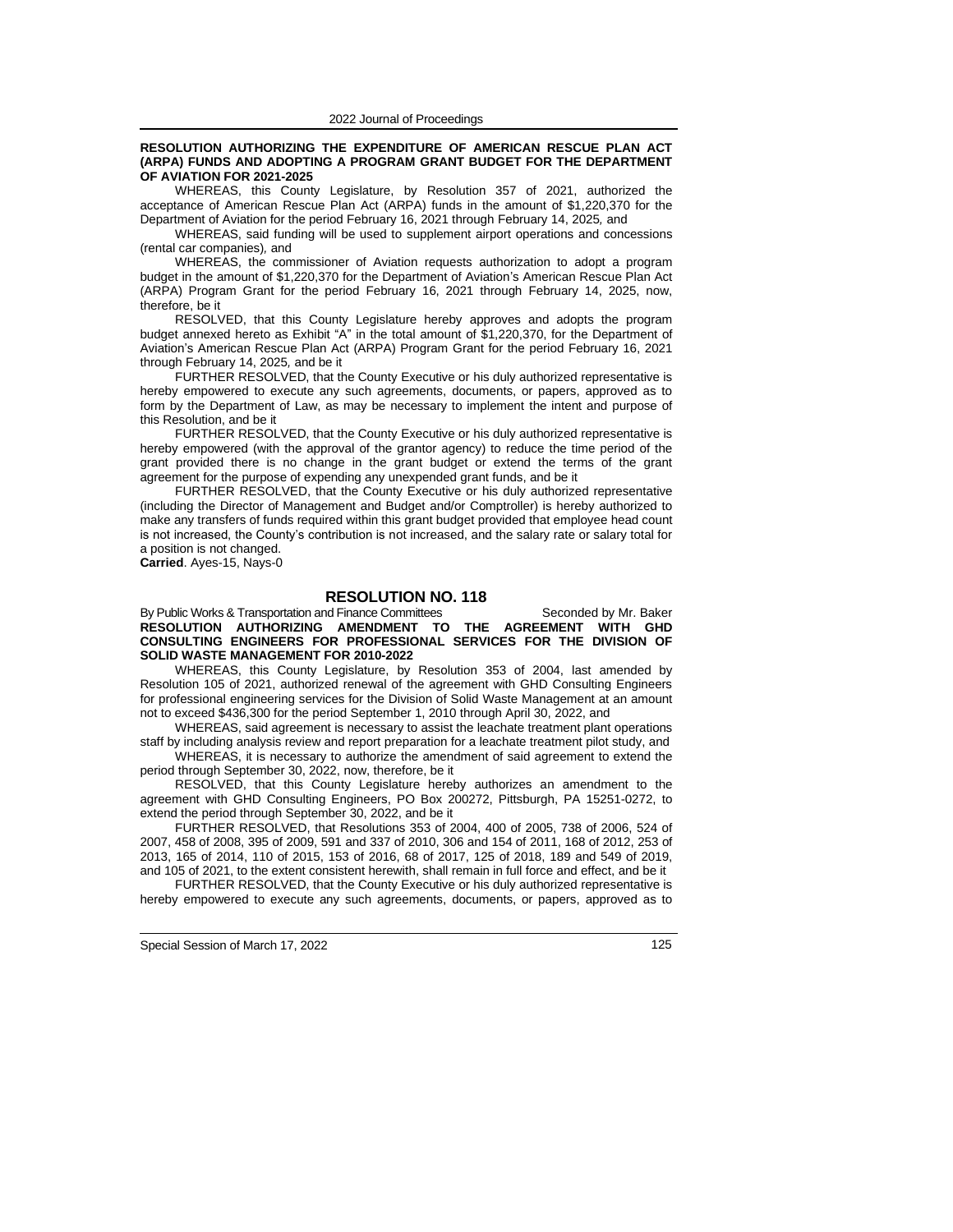#### **RESOLUTION AUTHORIZING THE EXPENDITURE OF AMERICAN RESCUE PLAN ACT (ARPA) FUNDS AND ADOPTING A PROGRAM GRANT BUDGET FOR THE DEPARTMENT OF AVIATION FOR 2021-2025**

WHEREAS, this County Legislature, by Resolution 357 of 2021, authorized the acceptance of American Rescue Plan Act (ARPA) funds in the amount of \$1,220,370 for the Department of Aviation for the period February 16, 2021 through February 14, 2025*,* and

WHEREAS, said funding will be used to supplement airport operations and concessions (rental car companies)*,* and

WHEREAS, the commissioner of Aviation requests authorization to adopt a program budget in the amount of \$1,220,370 for the Department of Aviation's American Rescue Plan Act (ARPA) Program Grant for the period February 16, 2021 through February 14, 2025, now, therefore, be it

RESOLVED, that this County Legislature hereby approves and adopts the program budget annexed hereto as Exhibit "A" in the total amount of \$1,220,370, for the Department of Aviation's American Rescue Plan Act (ARPA) Program Grant for the period February 16, 2021 through February 14, 2025*,* and be it

FURTHER RESOLVED, that the County Executive or his duly authorized representative is hereby empowered to execute any such agreements, documents, or papers, approved as to form by the Department of Law, as may be necessary to implement the intent and purpose of this Resolution, and be it

FURTHER RESOLVED, that the County Executive or his duly authorized representative is hereby empowered (with the approval of the grantor agency) to reduce the time period of the grant provided there is no change in the grant budget or extend the terms of the grant agreement for the purpose of expending any unexpended grant funds, and be it

FURTHER RESOLVED, that the County Executive or his duly authorized representative (including the Director of Management and Budget and/or Comptroller) is hereby authorized to make any transfers of funds required within this grant budget provided that employee head count is not increased, the County's contribution is not increased, and the salary rate or salary total for a position is not changed.

**Carried**. Ayes-15, Nays-0

### **RESOLUTION NO. 118**

By Public Works & Transportation and Finance Committees Seconded by Mr. Baker **RESOLUTION AUTHORIZING AMENDMENT TO THE AGREEMENT WITH GHD CONSULTING ENGINEERS FOR PROFESSIONAL SERVICES FOR THE DIVISION OF SOLID WASTE MANAGEMENT FOR 2010-2022**

WHEREAS, this County Legislature, by Resolution 353 of 2004, last amended by Resolution 105 of 2021, authorized renewal of the agreement with GHD Consulting Engineers for professional engineering services for the Division of Solid Waste Management at an amount not to exceed \$436,300 for the period September 1, 2010 through April 30, 2022, and

WHEREAS, said agreement is necessary to assist the leachate treatment plant operations staff by including analysis review and report preparation for a leachate treatment pilot study, and WHEREAS, it is necessary to authorize the amendment of said agreement to extend the

period through September 30, 2022, now, therefore, be it RESOLVED, that this County Legislature hereby authorizes an amendment to the

agreement with GHD Consulting Engineers, PO Box 200272, Pittsburgh, PA 15251-0272, to extend the period through September 30, 2022, and be it

FURTHER RESOLVED, that Resolutions 353 of 2004, 400 of 2005, 738 of 2006, 524 of 2007, 458 of 2008, 395 of 2009, 591 and 337 of 2010, 306 and 154 of 2011, 168 of 2012, 253 of 2013, 165 of 2014, 110 of 2015, 153 of 2016, 68 of 2017, 125 of 2018, 189 and 549 of 2019, and 105 of 2021, to the extent consistent herewith, shall remain in full force and effect, and be it

FURTHER RESOLVED, that the County Executive or his duly authorized representative is hereby empowered to execute any such agreements, documents, or papers, approved as to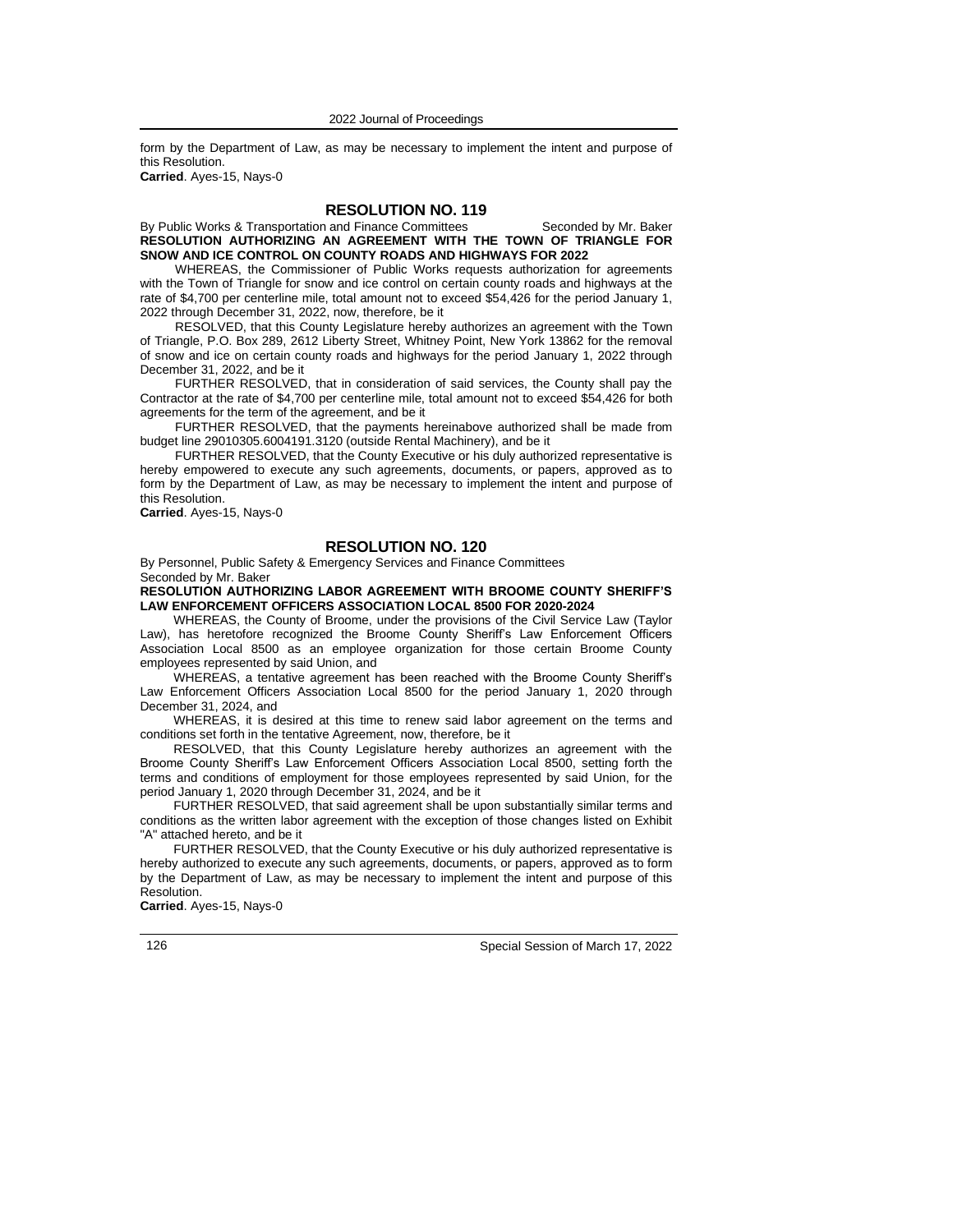form by the Department of Law, as may be necessary to implement the intent and purpose of this Resolution.

**Carried**. Ayes-15, Nays-0

# **RESOLUTION NO. 119**

By Public Works & Transportation and Finance Committees Seconded by Mr. Baker **RESOLUTION AUTHORIZING AN AGREEMENT WITH THE TOWN OF TRIANGLE FOR SNOW AND ICE CONTROL ON COUNTY ROADS AND HIGHWAYS FOR 2022**

WHEREAS, the Commissioner of Public Works requests authorization for agreements with the Town of Triangle for snow and ice control on certain county roads and highways at the rate of \$4,700 per centerline mile, total amount not to exceed \$54,426 for the period January 1, 2022 through December 31, 2022, now, therefore, be it

RESOLVED, that this County Legislature hereby authorizes an agreement with the Town of Triangle, P.O. Box 289, 2612 Liberty Street, Whitney Point, New York 13862 for the removal of snow and ice on certain county roads and highways for the period January 1, 2022 through December 31, 2022, and be it

FURTHER RESOLVED, that in consideration of said services, the County shall pay the Contractor at the rate of \$4,700 per centerline mile, total amount not to exceed \$54,426 for both agreements for the term of the agreement, and be it

FURTHER RESOLVED, that the payments hereinabove authorized shall be made from budget line 29010305.6004191.3120 (outside Rental Machinery), and be it

FURTHER RESOLVED, that the County Executive or his duly authorized representative is hereby empowered to execute any such agreements, documents, or papers, approved as to form by the Department of Law, as may be necessary to implement the intent and purpose of this Resolution.

**Carried**. Ayes-15, Nays-0

### **RESOLUTION NO. 120**

By Personnel, Public Safety & Emergency Services and Finance Committees Seconded by Mr. Baker

**RESOLUTION AUTHORIZING LABOR AGREEMENT WITH BROOME COUNTY SHERIFF'S LAW ENFORCEMENT OFFICERS ASSOCIATION LOCAL 8500 FOR 2020-2024**

WHEREAS, the County of Broome, under the provisions of the Civil Service Law (Taylor Law), has heretofore recognized the Broome County Sheriff's Law Enforcement Officers Association Local 8500 as an employee organization for those certain Broome County employees represented by said Union, and

WHEREAS, a tentative agreement has been reached with the Broome County Sheriff's Law Enforcement Officers Association Local 8500 for the period January 1, 2020 through December 31, 2024, and

WHEREAS, it is desired at this time to renew said labor agreement on the terms and conditions set forth in the tentative Agreement, now, therefore, be it

RESOLVED, that this County Legislature hereby authorizes an agreement with the Broome County Sheriff's Law Enforcement Officers Association Local 8500, setting forth the terms and conditions of employment for those employees represented by said Union, for the period January 1, 2020 through December 31, 2024, and be it

FURTHER RESOLVED, that said agreement shall be upon substantially similar terms and conditions as the written labor agreement with the exception of those changes listed on Exhibit "A" attached hereto, and be it

FURTHER RESOLVED, that the County Executive or his duly authorized representative is hereby authorized to execute any such agreements, documents, or papers, approved as to form by the Department of Law, as may be necessary to implement the intent and purpose of this Resolution.

**Carried**. Ayes-15, Nays-0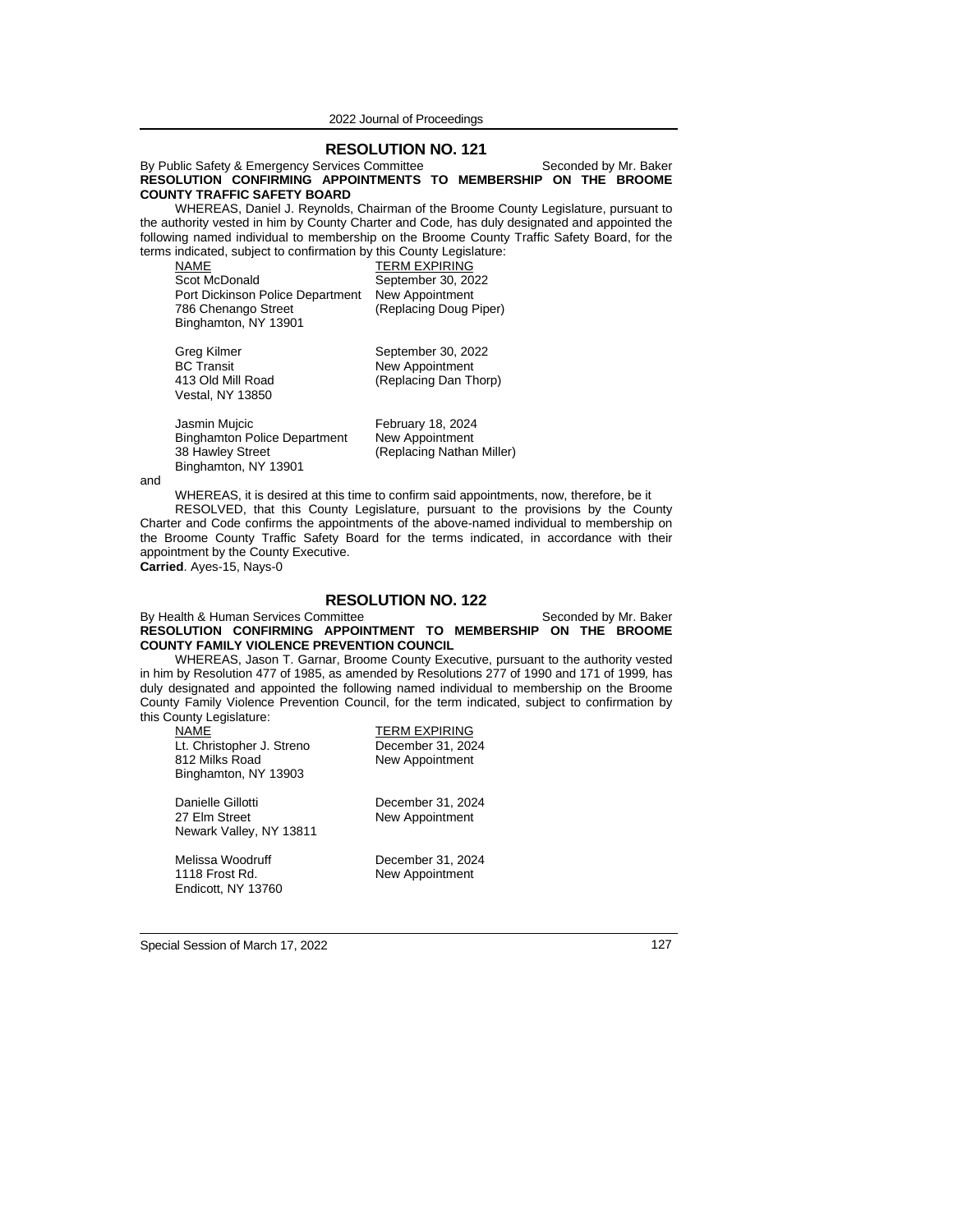### **RESOLUTION NO. 121**

By Public Safety & Emergency Services Committee Seconded by Mr. Baker **RESOLUTION CONFIRMING APPOINTMENTS TO MEMBERSHIP ON THE BROOME COUNTY TRAFFIC SAFETY BOARD**

WHEREAS, Daniel J. Reynolds, Chairman of the Broome County Legislature, pursuant to the authority vested in him by County Charter and Code*,* has duly designated and appointed the following named individual to membership on the Broome County Traffic Safety Board, for the terms indicated, subject to confirmation by this County Legislature:

NAME<br>
Scot McDonald
Scot McDonald
Scot McDonal September 30. 20 September 30, 2022 Port Dickinson Police Department New Appointment (Replacing Doug Piper) Binghamton, NY 13901

Greg Kilmer September 30, 2022<br>BC Transit September 30, 2022 New Appointment 413 Old Mill Road (Replacing Dan Thorp) Vestal, NY 13850

Jasmin Muicic **February 18, 2024** Binghamton Police Department New Appointment<br>38 Hawley Street (Replacing Nathar Binghamton, NY 13901

(Replacing Nathan Miller)

and

WHEREAS, it is desired at this time to confirm said appointments, now, therefore, be it

RESOLVED, that this County Legislature, pursuant to the provisions by the County Charter and Code confirms the appointments of the above-named individual to membership on the Broome County Traffic Safety Board for the terms indicated, in accordance with their appointment by the County Executive. **Carried**. Ayes-15, Nays-0

# **RESOLUTION NO. 122**

By Health & Human Services Committee Seconded by Mr. Baker **RESOLUTION CONFIRMING APPOINTMENT TO MEMBERSHIP ON THE BROOME COUNTY FAMILY VIOLENCE PREVENTION COUNCIL**

WHEREAS, Jason T. Garnar, Broome County Executive, pursuant to the authority vested in him by Resolution 477 of 1985, as amended by Resolutions 277 of 1990 and 171 of 1999*,* has duly designated and appointed the following named individual to membership on the Broome County Family Violence Prevention Council, for the term indicated, subject to confirmation by this County Legislature:

| NAME<br>Lt. Christopher J. Streno<br>812 Milks Road<br>Binghamton, NY 13903 | <b>TERM EXPIRING</b><br>December 31, 2024<br>New Appointment |
|-----------------------------------------------------------------------------|--------------------------------------------------------------|
| Danielle Gillotti<br>27 Elm Street<br>Newark Valley, NY 13811               | December 31, 2024<br>New Appointment                         |

1118 Frost Rd. New Appointment Endicott, NY 13760

Melissa Woodruff December 31, 2024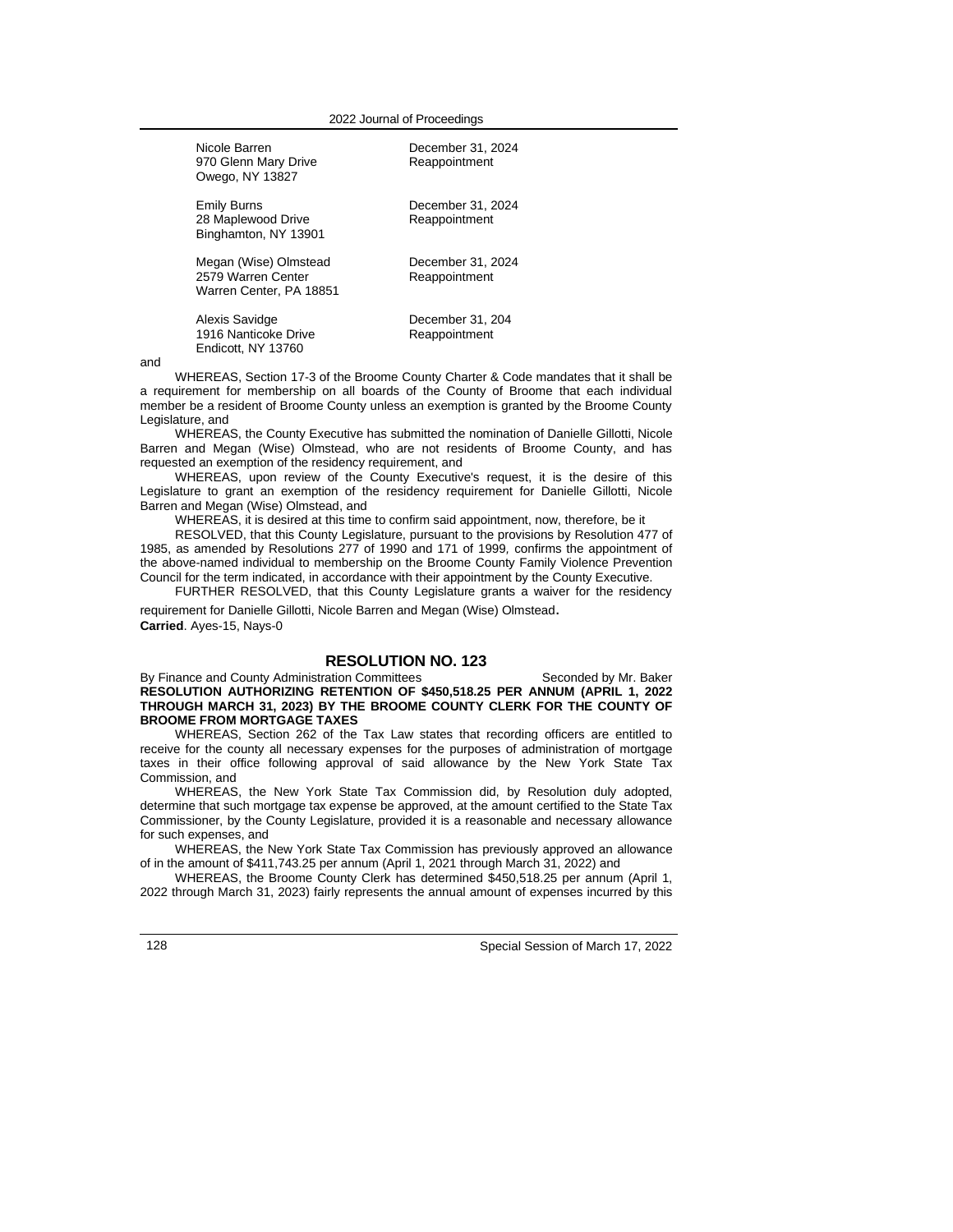| Nicole Barren<br>970 Glenn Mary Drive<br>Owego, NY 13827               | December 31, 2024<br>Reappointment |
|------------------------------------------------------------------------|------------------------------------|
| <b>Emily Burns</b><br>28 Maplewood Drive<br>Binghamton, NY 13901       | December 31, 2024<br>Reappointment |
| Megan (Wise) Olmstead<br>2579 Warren Center<br>Warren Center, PA 18851 | December 31, 2024<br>Reappointment |
| Alexis Savidge<br>1916 Nanticoke Drive<br>Endicott, NY 13760           | December 31, 204<br>Reappointment  |

and

WHEREAS, Section 17-3 of the Broome County Charter & Code mandates that it shall be a requirement for membership on all boards of the County of Broome that each individual member be a resident of Broome County unless an exemption is granted by the Broome County Legislature, and

WHEREAS, the County Executive has submitted the nomination of Danielle Gillotti, Nicole Barren and Megan (Wise) Olmstead, who are not residents of Broome County, and has requested an exemption of the residency requirement, and

WHEREAS, upon review of the County Executive's request, it is the desire of this Legislature to grant an exemption of the residency requirement for Danielle Gillotti, Nicole Barren and Megan (Wise) Olmstead, and

WHEREAS, it is desired at this time to confirm said appointment, now, therefore, be it

RESOLVED, that this County Legislature, pursuant to the provisions by Resolution 477 of 1985, as amended by Resolutions 277 of 1990 and 171 of 1999*,* confirms the appointment of the above-named individual to membership on the Broome County Family Violence Prevention Council for the term indicated, in accordance with their appointment by the County Executive.

FURTHER RESOLVED, that this County Legislature grants a waiver for the residency requirement for Danielle Gillotti, Nicole Barren and Megan (Wise) Olmstead.

**Carried**. Ayes-15, Nays-0

### **RESOLUTION NO. 123**

By Finance and County Administration Committees Seconded by Mr. Baker **RESOLUTION AUTHORIZING RETENTION OF \$450,518.25 PER ANNUM (APRIL 1, 2022 THROUGH MARCH 31, 2023) BY THE BROOME COUNTY CLERK FOR THE COUNTY OF BROOME FROM MORTGAGE TAXES**

WHEREAS, Section 262 of the Tax Law states that recording officers are entitled to receive for the county all necessary expenses for the purposes of administration of mortgage taxes in their office following approval of said allowance by the New York State Tax Commission, and

WHEREAS, the New York State Tax Commission did, by Resolution duly adopted, determine that such mortgage tax expense be approved, at the amount certified to the State Tax Commissioner, by the County Legislature, provided it is a reasonable and necessary allowance for such expenses, and

WHEREAS, the New York State Tax Commission has previously approved an allowance of in the amount of \$411,743.25 per annum (April 1, 2021 through March 31, 2022) and

WHEREAS, the Broome County Clerk has determined \$450,518.25 per annum (April 1, 2022 through March 31, 2023) fairly represents the annual amount of expenses incurred by this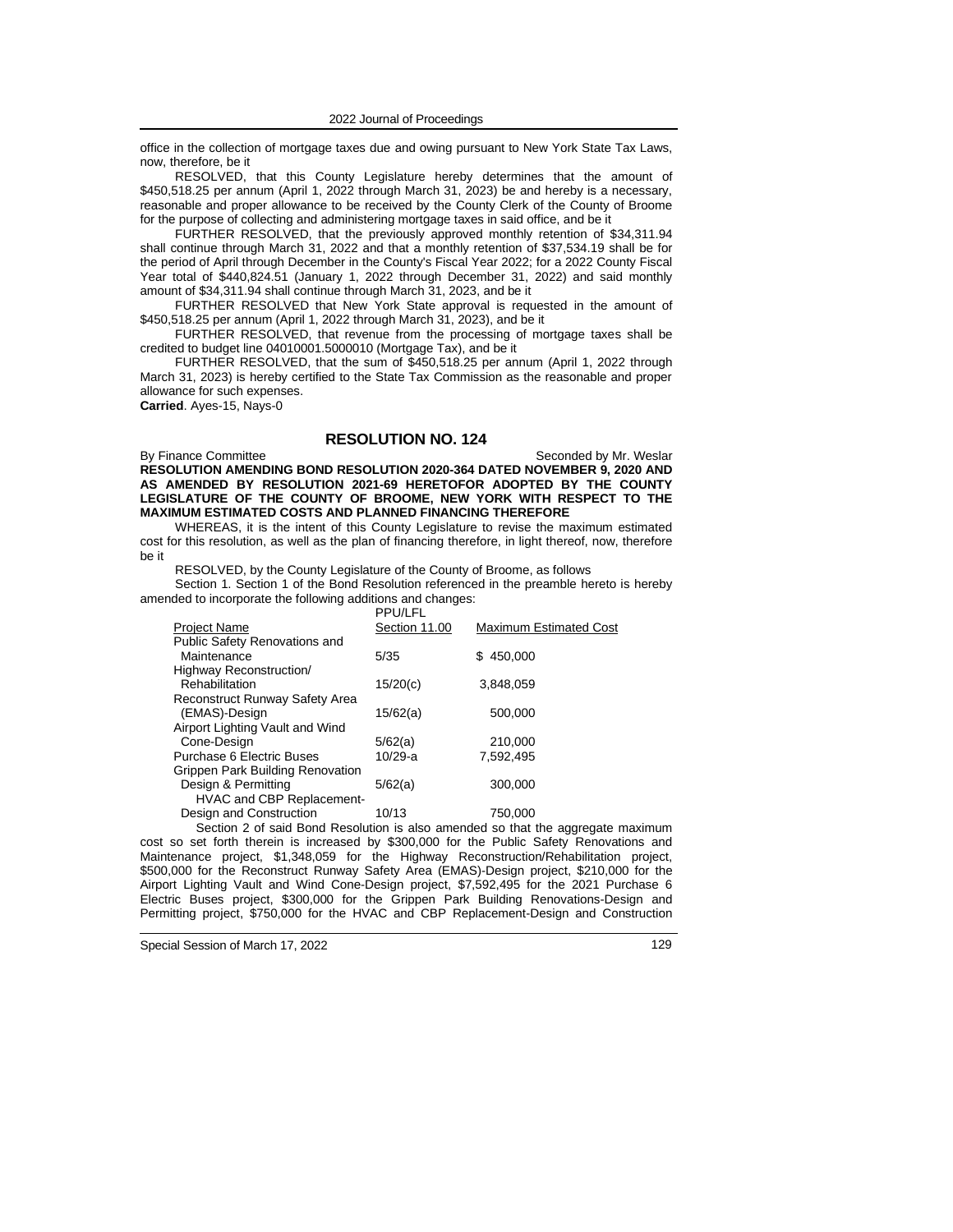office in the collection of mortgage taxes due and owing pursuant to New York State Tax Laws, now, therefore, be it

RESOLVED, that this County Legislature hereby determines that the amount of \$450,518.25 per annum (April 1, 2022 through March 31, 2023) be and hereby is a necessary, reasonable and proper allowance to be received by the County Clerk of the County of Broome for the purpose of collecting and administering mortgage taxes in said office, and be it

FURTHER RESOLVED, that the previously approved monthly retention of \$34,311.94 shall continue through March 31, 2022 and that a monthly retention of \$37,534.19 shall be for the period of April through December in the County's Fiscal Year 2022; for a 2022 County Fiscal Year total of \$440,824.51 (January 1, 2022 through December 31, 2022) and said monthly amount of \$34,311.94 shall continue through March 31, 2023, and be it

FURTHER RESOLVED that New York State approval is requested in the amount of \$450,518.25 per annum (April 1, 2022 through March 31, 2023), and be it

FURTHER RESOLVED, that revenue from the processing of mortgage taxes shall be credited to budget line 04010001.5000010 (Mortgage Tax), and be it

FURTHER RESOLVED, that the sum of \$450,518.25 per annum (April 1, 2022 through March 31, 2023) is hereby certified to the State Tax Commission as the reasonable and proper allowance for such expenses. **Carried**. Ayes-15, Nays-0

### **RESOLUTION NO. 124**

By Finance Committee Seconded by Mr. Weslar **RESOLUTION AMENDING BOND RESOLUTION 2020-364 DATED NOVEMBER 9, 2020 AND AS AMENDED BY RESOLUTION 2021-69 HERETOFOR ADOPTED BY THE COUNTY LEGISLATURE OF THE COUNTY OF BROOME, NEW YORK WITH RESPECT TO THE MAXIMUM ESTIMATED COSTS AND PLANNED FINANCING THEREFORE**

WHEREAS, it is the intent of this County Legislature to revise the maximum estimated cost for this resolution, as well as the plan of financing therefore, in light thereof, now, therefore be it

RESOLVED, by the County Legislature of the County of Broome, as follows

Section 1. Section 1 of the Bond Resolution referenced in the preamble hereto is hereby amended to incorporate the following additions and changes:

PPU/LFL

| PPU/LFL       |                               |
|---------------|-------------------------------|
| Section 11.00 | <b>Maximum Estimated Cost</b> |
|               |                               |
| 5/35          | 450,000<br>S.                 |
|               |                               |
| 15/20(c)      | 3,848,059                     |
|               |                               |
| 15/62(a)      | 500,000                       |
|               |                               |
| 5/62(a)       | 210.000                       |
| $10/29-a$     | 7.592.495                     |
|               |                               |
| 5/62(a)       | 300,000                       |
|               |                               |
| 10/13         | 750.000                       |
|               |                               |

Section 2 of said Bond Resolution is also amended so that the aggregate maximum cost so set forth therein is increased by \$300,000 for the Public Safety Renovations and Maintenance project, \$1,348,059 for the Highway Reconstruction/Rehabilitation project, \$500,000 for the Reconstruct Runway Safety Area (EMAS)-Design project, \$210,000 for the Airport Lighting Vault and Wind Cone-Design project, \$7,592,495 for the 2021 Purchase 6 Electric Buses project, \$300,000 for the Grippen Park Building Renovations-Design and Permitting project, \$750,000 for the HVAC and CBP Replacement-Design and Construction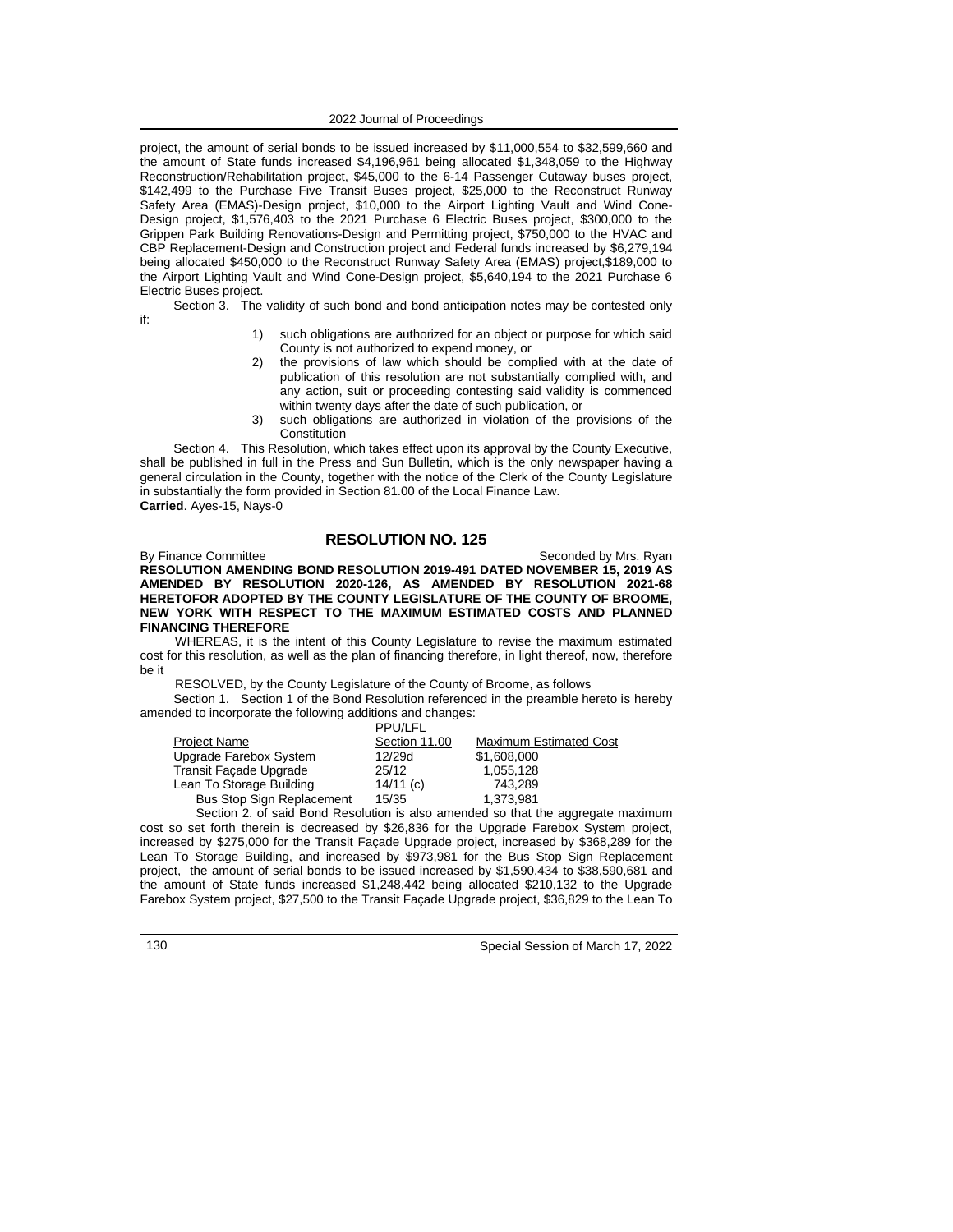project, the amount of serial bonds to be issued increased by \$11,000,554 to \$32,599,660 and the amount of State funds increased \$4,196,961 being allocated \$1,348,059 to the Highway Reconstruction/Rehabilitation project, \$45,000 to the 6-14 Passenger Cutaway buses project, \$142,499 to the Purchase Five Transit Buses project, \$25,000 to the Reconstruct Runway Safety Area (EMAS)-Design project, \$10,000 to the Airport Lighting Vault and Wind Cone-Design project, \$1,576,403 to the 2021 Purchase 6 Electric Buses project, \$300,000 to the Grippen Park Building Renovations-Design and Permitting project, \$750,000 to the HVAC and CBP Replacement-Design and Construction project and Federal funds increased by \$6,279,194 being allocated \$450,000 to the Reconstruct Runway Safety Area (EMAS) project,\$189,000 to the Airport Lighting Vault and Wind Cone-Design project, \$5,640,194 to the 2021 Purchase 6 Electric Buses project.

Section 3. The validity of such bond and bond anticipation notes may be contested only if:

- 1) such obligations are authorized for an object or purpose for which said County is not authorized to expend money, or
- 2) the provisions of law which should be complied with at the date of publication of this resolution are not substantially complied with, and any action, suit or proceeding contesting said validity is commenced within twenty days after the date of such publication, or
- 3) such obligations are authorized in violation of the provisions of the **Constitution**

Section 4. This Resolution, which takes effect upon its approval by the County Executive, shall be published in full in the Press and Sun Bulletin, which is the only newspaper having a general circulation in the County, together with the notice of the Clerk of the County Legislature in substantially the form provided in Section 81.00 of the Local Finance Law. **Carried**. Ayes-15, Nays-0

# **RESOLUTION NO. 125**

By Finance Committee Seconded by Mrs. Ryan **RESOLUTION AMENDING BOND RESOLUTION 2019-491 DATED NOVEMBER 15, 2019 AS AMENDED BY RESOLUTION 2020-126, AS AMENDED BY RESOLUTION 2021-68 HERETOFOR ADOPTED BY THE COUNTY LEGISLATURE OF THE COUNTY OF BROOME, NEW YORK WITH RESPECT TO THE MAXIMUM ESTIMATED COSTS AND PLANNED FINANCING THEREFORE**

WHEREAS, it is the intent of this County Legislature to revise the maximum estimated cost for this resolution, as well as the plan of financing therefore, in light thereof, now, therefore be it

RESOLVED, by the County Legislature of the County of Broome, as follows

Section 1. Section 1 of the Bond Resolution referenced in the preamble hereto is hereby amended to incorporate the following additions and changes:

|                                  | <b>PPU/LFL</b> |                               |
|----------------------------------|----------------|-------------------------------|
| <b>Project Name</b>              | Section 11.00  | <b>Maximum Estimated Cost</b> |
| Upgrade Farebox System           | 12/29d         | \$1,608,000                   |
| Transit Facade Upgrade           | 25/12          | 1,055,128                     |
| Lean To Storage Building         | 14/11(c)       | 743.289                       |
| <b>Bus Stop Sign Replacement</b> | 15/35          | 1.373.981                     |
|                                  |                | .                             |

Section 2. of said Bond Resolution is also amended so that the aggregate maximum cost so set forth therein is decreased by \$26,836 for the Upgrade Farebox System project, increased by \$275,000 for the Transit Façade Upgrade project, increased by \$368,289 for the Lean To Storage Building, and increased by \$973,981 for the Bus Stop Sign Replacement project, the amount of serial bonds to be issued increased by \$1,590,434 to \$38,590,681 and the amount of State funds increased \$1,248,442 being allocated \$210,132 to the Upgrade Farebox System project, \$27,500 to the Transit Façade Upgrade project, \$36,829 to the Lean To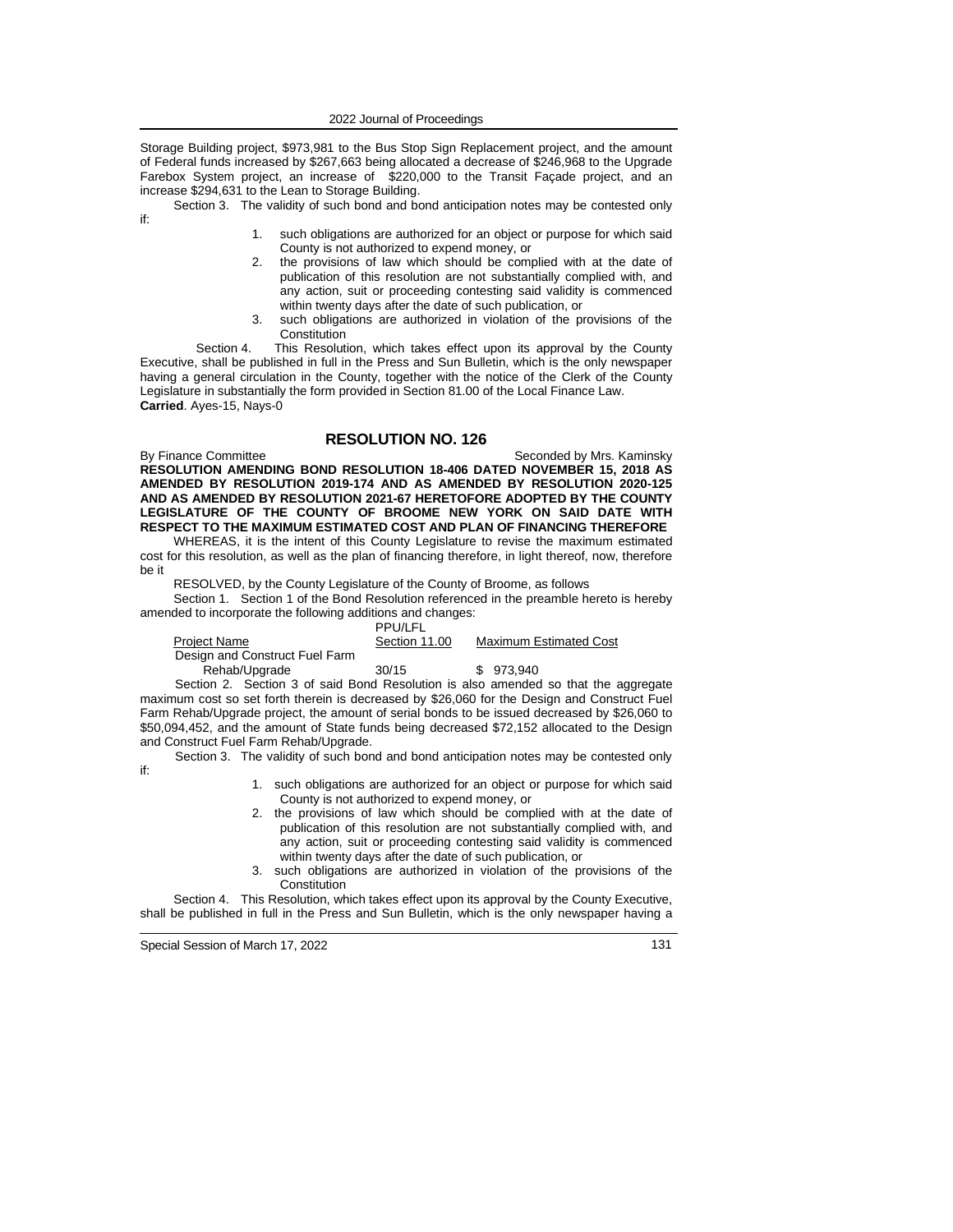Storage Building project, \$973,981 to the Bus Stop Sign Replacement project, and the amount of Federal funds increased by \$267,663 being allocated a decrease of \$246,968 to the Upgrade Farebox System project, an increase of \$220,000 to the Transit Façade project, and an increase \$294,631 to the Lean to Storage Building.

Section 3. The validity of such bond and bond anticipation notes may be contested only if:

- such obligations are authorized for an object or purpose for which said County is not authorized to expend money, or
- 2. the provisions of law which should be complied with at the date of publication of this resolution are not substantially complied with, and any action, suit or proceeding contesting said validity is commenced within twenty days after the date of such publication, or
- 3. such obligations are authorized in violation of the provisions of the **Constitution**

Section 4. This Resolution, which takes effect upon its approval by the County Executive, shall be published in full in the Press and Sun Bulletin, which is the only newspaper having a general circulation in the County, together with the notice of the Clerk of the County Legislature in substantially the form provided in Section 81.00 of the Local Finance Law. **Carried**. Ayes-15, Nays-0

# **RESOLUTION NO. 126**

By Finance Committee Seconded by Mrs. Kaminsky **RESOLUTION AMENDING BOND RESOLUTION 18-406 DATED NOVEMBER 15, 2018 AS AMENDED BY RESOLUTION 2019-174 AND AS AMENDED BY RESOLUTION 2020-125 AND AS AMENDED BY RESOLUTION 2021-67 HERETOFORE ADOPTED BY THE COUNTY LEGISLATURE OF THE COUNTY OF BROOME NEW YORK ON SAID DATE WITH RESPECT TO THE MAXIMUM ESTIMATED COST AND PLAN OF FINANCING THEREFORE**

WHEREAS, it is the intent of this County Legislature to revise the maximum estimated cost for this resolution, as well as the plan of financing therefore, in light thereof, now, therefore be it

RESOLVED, by the County Legislature of the County of Broome, as follows

Section 1. Section 1 of the Bond Resolution referenced in the preamble hereto is hereby amended to incorporate the following additions and changes:

|                                | <b>PPU/LFL</b> |                               |
|--------------------------------|----------------|-------------------------------|
| Project Name                   | Section 11.00  | <b>Maximum Estimated Cost</b> |
| Design and Construct Fuel Farm |                |                               |
| Rehab/Upgrade                  | 30/15          | \$973.940                     |

Section 2. Section 3 of said Bond Resolution is also amended so that the aggregate maximum cost so set forth therein is decreased by \$26,060 for the Design and Construct Fuel Farm Rehab/Upgrade project, the amount of serial bonds to be issued decreased by \$26,060 to \$50,094,452, and the amount of State funds being decreased \$72,152 allocated to the Design and Construct Fuel Farm Rehab/Upgrade.

Section 3. The validity of such bond and bond anticipation notes may be contested only if:

- 1. such obligations are authorized for an object or purpose for which said County is not authorized to expend money, or
- 2. the provisions of law which should be complied with at the date of publication of this resolution are not substantially complied with, and any action, suit or proceeding contesting said validity is commenced within twenty days after the date of such publication, or
- such obligations are authorized in violation of the provisions of the **Constitution**

Section 4. This Resolution, which takes effect upon its approval by the County Executive, shall be published in full in the Press and Sun Bulletin, which is the only newspaper having a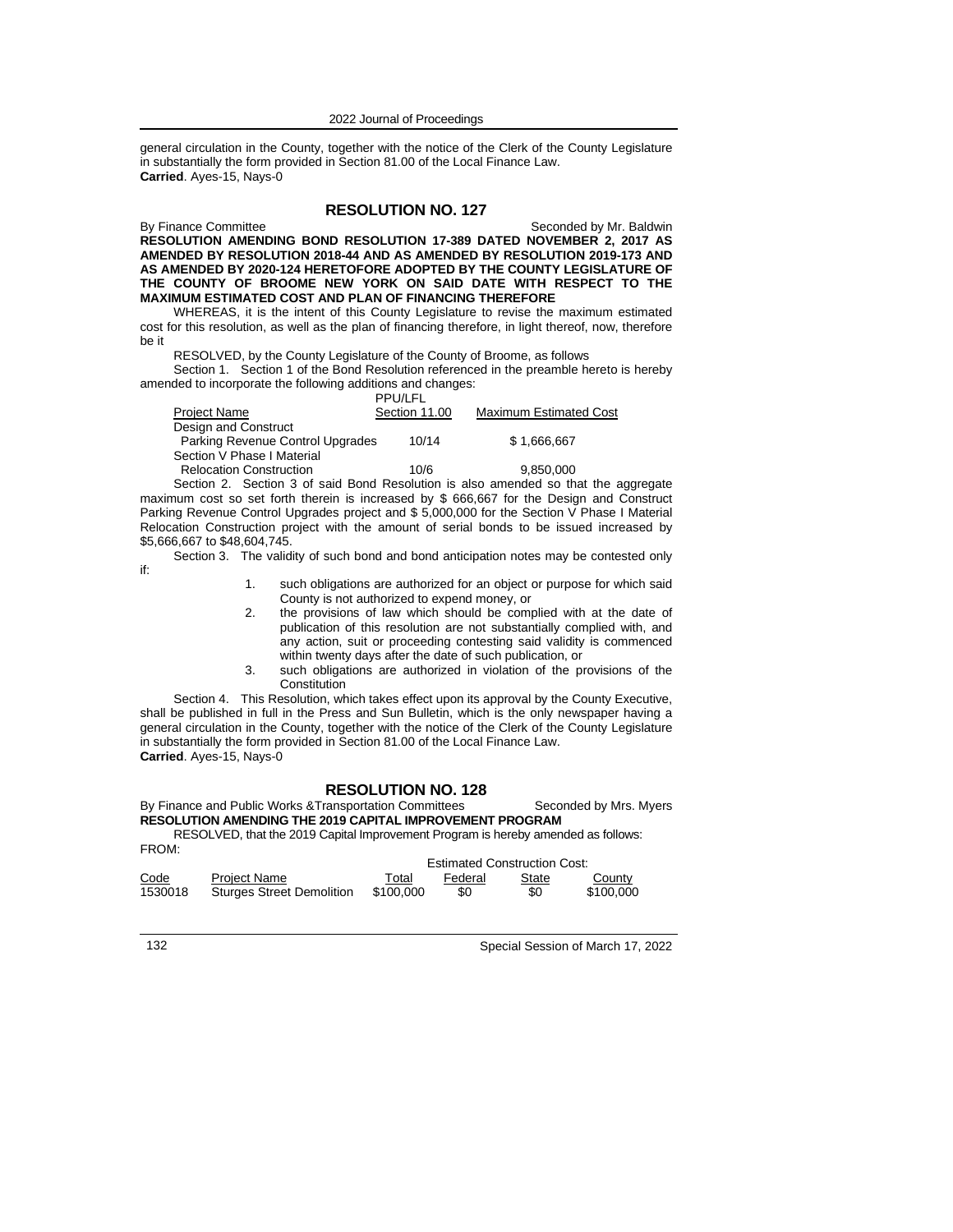general circulation in the County, together with the notice of the Clerk of the County Legislature in substantially the form provided in Section 81.00 of the Local Finance Law. **Carried**. Ayes-15, Nays-0

# **RESOLUTION NO. 127**

By Finance Committee Seconded by Mr. Baldwin **RESOLUTION AMENDING BOND RESOLUTION 17-389 DATED NOVEMBER 2, 2017 AS AMENDED BY RESOLUTION 2018-44 AND AS AMENDED BY RESOLUTION 2019-173 AND AS AMENDED BY 2020-124 HERETOFORE ADOPTED BY THE COUNTY LEGISLATURE OF THE COUNTY OF BROOME NEW YORK ON SAID DATE WITH RESPECT TO THE MAXIMUM ESTIMATED COST AND PLAN OF FINANCING THEREFORE**

WHEREAS, it is the intent of this County Legislature to revise the maximum estimated cost for this resolution, as well as the plan of financing therefore, in light thereof, now, therefore be it

RESOLVED, by the County Legislature of the County of Broome, as follows

Section 1. Section 1 of the Bond Resolution referenced in the preamble hereto is hereby amended to incorporate the following additions and changes:

|                                                                                    | <b>PPU/LFL</b> |                               |
|------------------------------------------------------------------------------------|----------------|-------------------------------|
| Project Name                                                                       | Section 11.00  | <b>Maximum Estimated Cost</b> |
| Design and Construct                                                               |                |                               |
| Parking Revenue Control Upgrades                                                   | 10/14          | \$1.666.667                   |
| Section V Phase I Material                                                         |                |                               |
| <b>Relocation Construction</b>                                                     | 10/6           | 9.850.000                     |
| Soction 2. Soction 3 of said Road Resolution is also amonded so that the aggregate |                |                               |

Section 2. Section 3 of said Bond Resolution is also amended so that the aggregate maximum cost so set forth therein is increased by \$ 666,667 for the Design and Construct Parking Revenue Control Upgrades project and \$ 5,000,000 for the Section V Phase I Material Relocation Construction project with the amount of serial bonds to be issued increased by \$5,666,667 to \$48,604,745.

Section 3. The validity of such bond and bond anticipation notes may be contested only

- 1. such obligations are authorized for an object or purpose for which said County is not authorized to expend money, or
- 2. the provisions of law which should be complied with at the date of publication of this resolution are not substantially complied with, and any action, suit or proceeding contesting said validity is commenced within twenty days after the date of such publication, or
- 3. such obligations are authorized in violation of the provisions of the **Constitution**

Section 4. This Resolution, which takes effect upon its approval by the County Executive, shall be published in full in the Press and Sun Bulletin, which is the only newspaper having a general circulation in the County, together with the notice of the Clerk of the County Legislature in substantially the form provided in Section 81.00 of the Local Finance Law. **Carried**. Ayes-15, Nays-0

# **RESOLUTION NO. 128**

# By Finance and Public Works &Transportation Committees Seconded by Mrs. Myers **RESOLUTION AMENDING THE 2019 CAPITAL IMPROVEMENT PROGRAM**

RESOLVED, that the 2019 Capital Improvement Program is hereby amended as follows: FROM:

|         |                                  | <b>Estimated Construction Cost:</b> |         |       |           |
|---------|----------------------------------|-------------------------------------|---------|-------|-----------|
| Code    | <b>Project Name</b>              | ™otal                               | Federal | State | County    |
| 1530018 | <b>Sturges Street Demolition</b> | \$100.000                           | \$0     | \$0   | \$100,000 |

132 Special Session of March 17, 2022

if: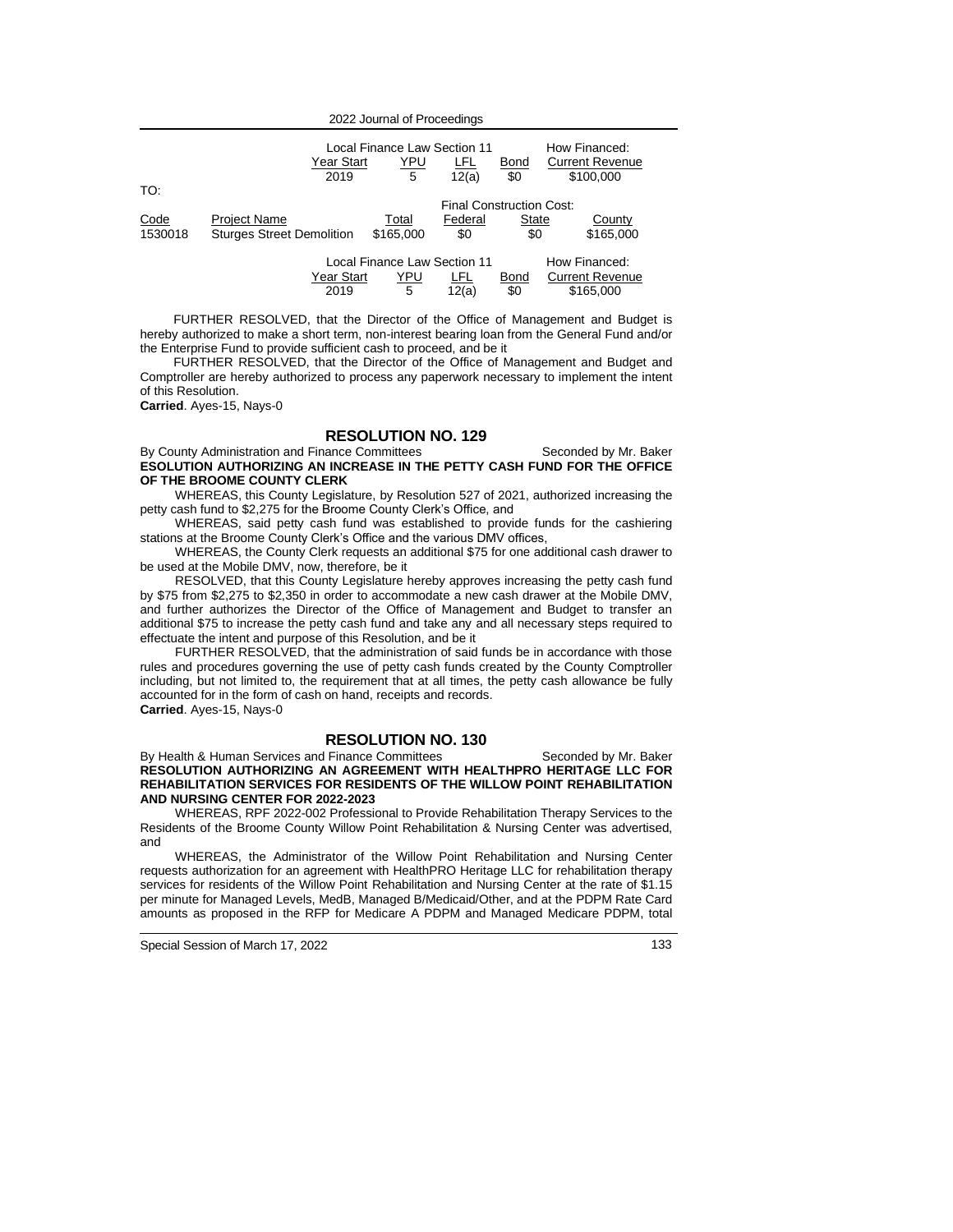|                                               | 2019                             | Local Finance Law Section 11<br><u>YPU</u><br>Year Start<br>LFL<br><b>Bond</b><br>5<br>\$0<br>12(a) |         |       | How Financed:<br><b>Current Revenue</b><br>\$100,000 |  |
|-----------------------------------------------|----------------------------------|-----------------------------------------------------------------------------------------------------|---------|-------|------------------------------------------------------|--|
| TO:                                           |                                  | Final Construction Cost:                                                                            |         |       |                                                      |  |
|                                               |                                  |                                                                                                     |         |       |                                                      |  |
| Code                                          | <b>Project Name</b>              | Total                                                                                               | Federal | State | County                                               |  |
| 1530018                                       | <b>Sturges Street Demolition</b> | \$165,000                                                                                           | \$0     | \$0   | \$165,000                                            |  |
|                                               |                                  |                                                                                                     |         |       |                                                      |  |
| Local Finance Law Section 11<br>How Financed: |                                  |                                                                                                     |         |       |                                                      |  |
|                                               |                                  | Year Start<br>YPU<br>LFL                                                                            |         | Bond  | <b>Current Revenue</b>                               |  |
|                                               | 2019                             | 5                                                                                                   | 12(a)   | \$0   | \$165,000                                            |  |

FURTHER RESOLVED, that the Director of the Office of Management and Budget is hereby authorized to make a short term, non-interest bearing loan from the General Fund and/or the Enterprise Fund to provide sufficient cash to proceed, and be it

FURTHER RESOLVED, that the Director of the Office of Management and Budget and Comptroller are hereby authorized to process any paperwork necessary to implement the intent of this Resolution.

**Carried**. Ayes-15, Nays-0

### **RESOLUTION NO. 129**

By County Administration and Finance Committees Seconded by Mr. Baker

**ESOLUTION AUTHORIZING AN INCREASE IN THE PETTY CASH FUND FOR THE OFFICE OF THE BROOME COUNTY CLERK** 

WHEREAS, this County Legislature, by Resolution 527 of 2021, authorized increasing the petty cash fund to \$2,275 for the Broome County Clerk's Office, and

WHEREAS, said petty cash fund was established to provide funds for the cashiering stations at the Broome County Clerk's Office and the various DMV offices,

WHEREAS, the County Clerk requests an additional \$75 for one additional cash drawer to be used at the Mobile DMV, now, therefore, be it

RESOLVED, that this County Legislature hereby approves increasing the petty cash fund by \$75 from \$2,275 to \$2,350 in order to accommodate a new cash drawer at the Mobile DMV, and further authorizes the Director of the Office of Management and Budget to transfer an additional \$75 to increase the petty cash fund and take any and all necessary steps required to effectuate the intent and purpose of this Resolution, and be it

FURTHER RESOLVED, that the administration of said funds be in accordance with those rules and procedures governing the use of petty cash funds created by the County Comptroller including, but not limited to, the requirement that at all times, the petty cash allowance be fully accounted for in the form of cash on hand, receipts and records.

**Carried**. Ayes-15, Nays-0

### **RESOLUTION NO. 130**

By Health & Human Services and Finance Committees Seconded by Mr. Baker **RESOLUTION AUTHORIZING AN AGREEMENT WITH HEALTHPRO HERITAGE LLC FOR REHABILITATION SERVICES FOR RESIDENTS OF THE WILLOW POINT REHABILITATION AND NURSING CENTER FOR 2022-2023**

WHEREAS, RPF 2022-002 Professional to Provide Rehabilitation Therapy Services to the Residents of the Broome County Willow Point Rehabilitation & Nursing Center was advertised, and

WHEREAS, the Administrator of the Willow Point Rehabilitation and Nursing Center requests authorization for an agreement with HealthPRO Heritage LLC for rehabilitation therapy services for residents of the Willow Point Rehabilitation and Nursing Center at the rate of \$1.15 per minute for Managed Levels, MedB, Managed B/Medicaid/Other, and at the PDPM Rate Card amounts as proposed in the RFP for Medicare A PDPM and Managed Medicare PDPM, total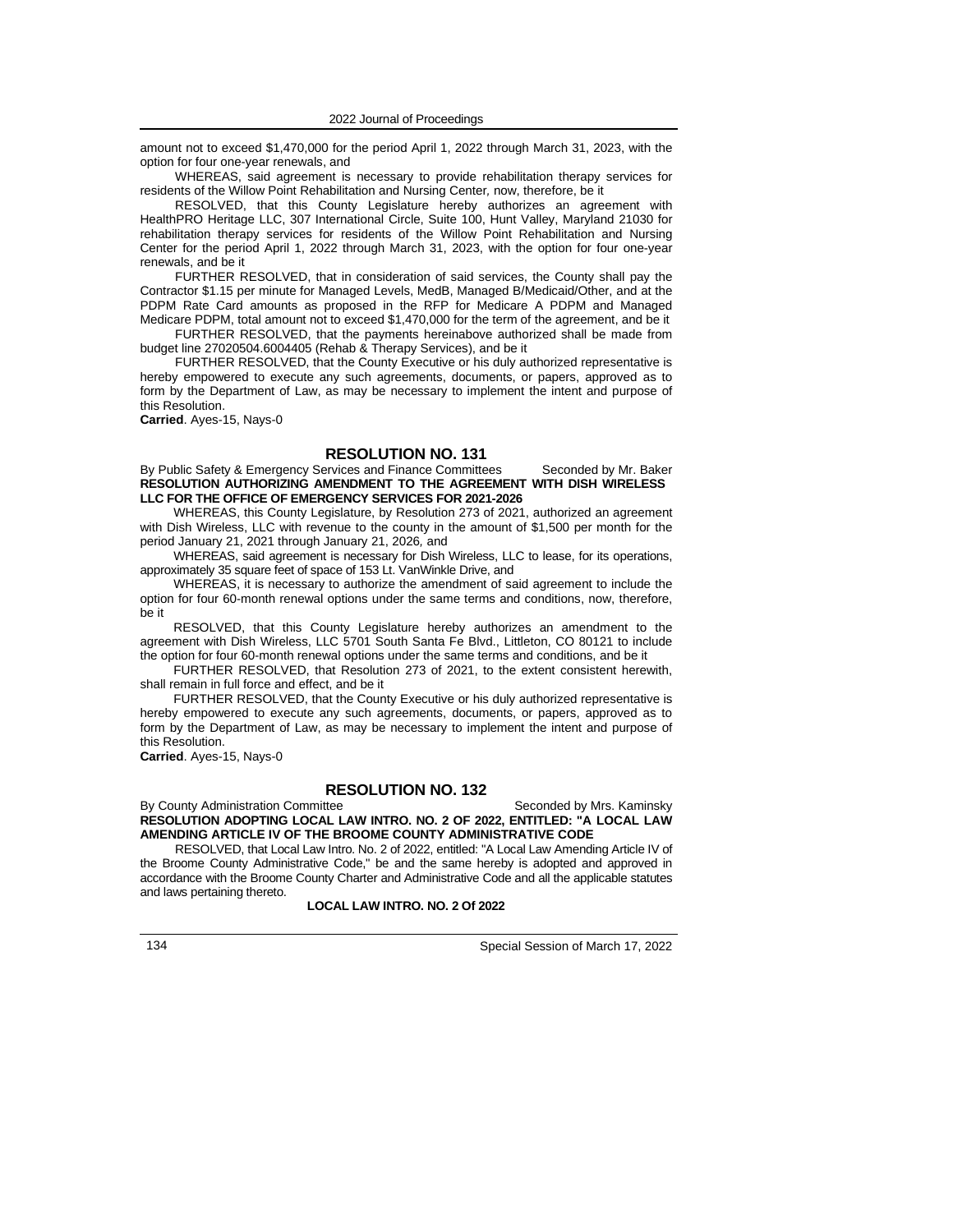amount not to exceed \$1,470,000 for the period April 1, 2022 through March 31, 2023, with the option for four one-year renewals, and

WHEREAS, said agreement is necessary to provide rehabilitation therapy services for residents of the Willow Point Rehabilitation and Nursing Center*,* now, therefore, be it

RESOLVED, that this County Legislature hereby authorizes an agreement with HealthPRO Heritage LLC, 307 International Circle, Suite 100, Hunt Valley, Maryland 21030 for rehabilitation therapy services for residents of the Willow Point Rehabilitation and Nursing Center for the period April 1, 2022 through March 31, 2023, with the option for four one-year renewals, and be it

FURTHER RESOLVED, that in consideration of said services, the County shall pay the Contractor \$1.15 per minute for Managed Levels, MedB, Managed B/Medicaid/Other, and at the PDPM Rate Card amounts as proposed in the RFP for Medicare A PDPM and Managed Medicare PDPM, total amount not to exceed \$1,470,000 for the term of the agreement, and be it

FURTHER RESOLVED, that the payments hereinabove authorized shall be made from budget line 27020504.6004405 (Rehab & Therapy Services), and be it

FURTHER RESOLVED, that the County Executive or his duly authorized representative is hereby empowered to execute any such agreements, documents, or papers, approved as to form by the Department of Law, as may be necessary to implement the intent and purpose of this Resolution.

**Carried**. Ayes-15, Nays-0

### **RESOLUTION NO. 131**

#### By Public Safety & Emergency Services and Finance Committees Seconded by Mr. Baker **RESOLUTION AUTHORIZING AMENDMENT TO THE AGREEMENT WITH DISH WIRELESS LLC FOR THE OFFICE OF EMERGENCY SERVICES FOR 2021-2026**

WHEREAS, this County Legislature, by Resolution 273 of 2021, authorized an agreement with Dish Wireless, LLC with revenue to the county in the amount of \$1,500 per month for the period January 21, 2021 through January 21, 2026*,* and

WHEREAS, said agreement is necessary for Dish Wireless, LLC to lease, for its operations, approximately 35 square feet of space of 153 Lt. VanWinkle Drive, and

WHEREAS, it is necessary to authorize the amendment of said agreement to include the option for four 60-month renewal options under the same terms and conditions, now, therefore, be it

RESOLVED, that this County Legislature hereby authorizes an amendment to the agreement with Dish Wireless, LLC 5701 South Santa Fe Blvd., Littleton, CO 80121 to include the option for four 60-month renewal options under the same terms and conditions, and be it

FURTHER RESOLVED, that Resolution 273 of 2021, to the extent consistent herewith, shall remain in full force and effect, and be it

FURTHER RESOLVED, that the County Executive or his duly authorized representative is hereby empowered to execute any such agreements, documents, or papers, approved as to form by the Department of Law, as may be necessary to implement the intent and purpose of this Resolution.

**Carried**. Ayes-15, Nays-0

### **RESOLUTION NO. 132**

By County Administration Committee Seconded by Mrs. Kaminsky **RESOLUTION ADOPTING LOCAL LAW INTRO. NO. 2 OF 2022, ENTITLED: "A LOCAL LAW AMENDING ARTICLE IV OF THE BROOME COUNTY ADMINISTRATIVE CODE**

RESOLVED, that Local Law Intro. No. 2 of 2022, entitled: "A Local Law Amending Article IV of the Broome County Administrative Code," be and the same hereby is adopted and approved in accordance with the Broome County Charter and Administrative Code and all the applicable statutes and laws pertaining thereto.

#### **LOCAL LAW INTRO. NO. 2 Of 2022**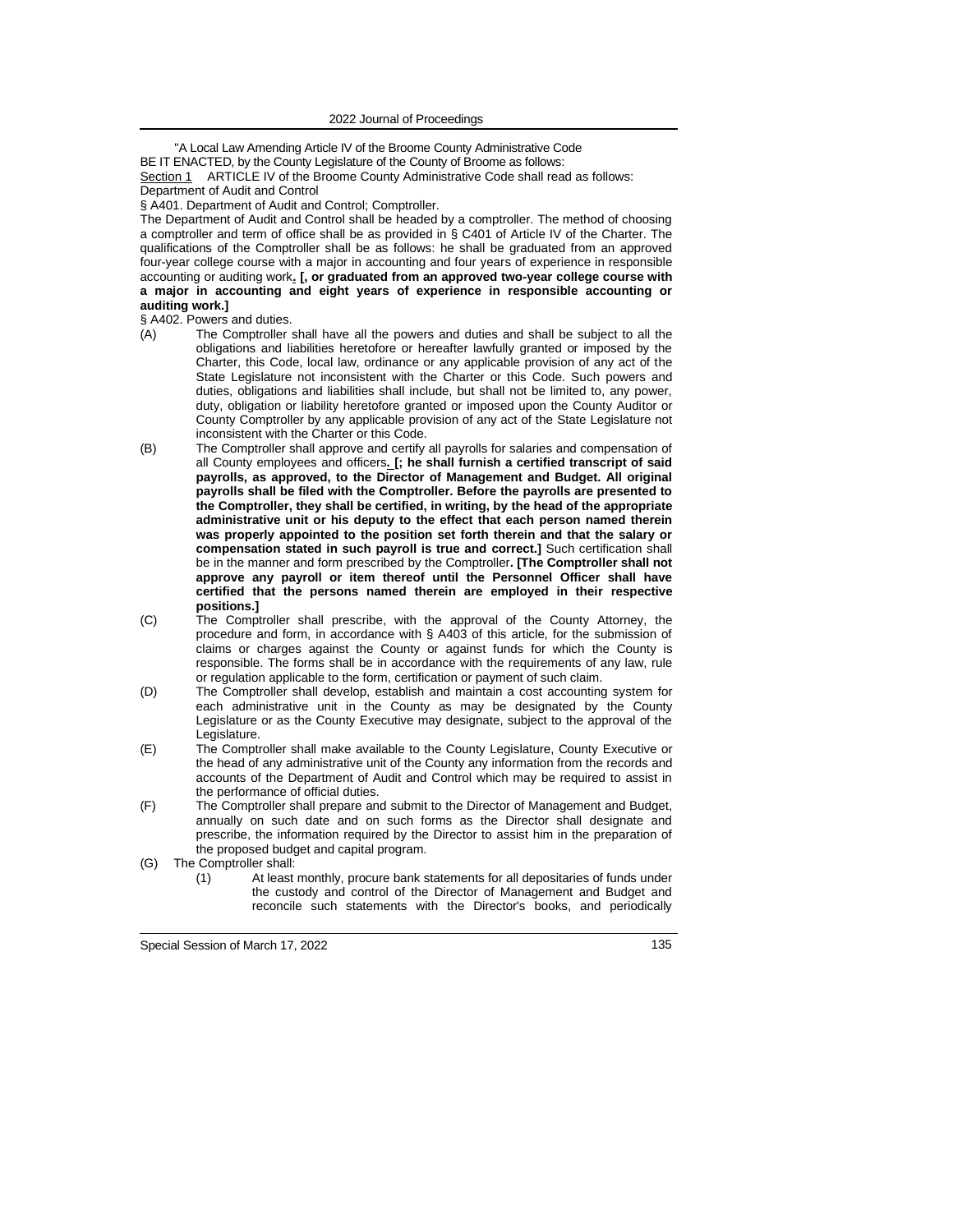"A Local Law Amending Article IV of the Broome County Administrative Code BE IT ENACTED, by the County Legislature of the County of Broome as follows: Section 1 ARTICLE IV of the Broome County Administrative Code shall read as follows:

Department of Audit and Control

§ A401. Department of Audit and Control; Comptroller.

The Department of Audit and Control shall be headed by a comptroller. The method of choosing a comptroller and term of office shall be as provided in § C401 of Article IV of the Charter. The qualifications of the Comptroller shall be as follows: he shall be graduated from an approved four-year college course with a major in accounting and four years of experience in responsible accounting or auditing work**. [, or graduated from an approved two-year college course with a major in accounting and eight years of experience in responsible accounting or auditing work.]**

§ A402. Powers and duties.

- (A) The Comptroller shall have all the powers and duties and shall be subject to all the obligations and liabilities heretofore or hereafter lawfully granted or imposed by the Charter, this Code, local law, ordinance or any applicable provision of any act of the State Legislature not inconsistent with the Charter or this Code. Such powers and duties, obligations and liabilities shall include, but shall not be limited to, any power, duty, obligation or liability heretofore granted or imposed upon the County Auditor or County Comptroller by any applicable provision of any act of the State Legislature not inconsistent with the Charter or this Code.
- (B) The Comptroller shall approve and certify all payrolls for salaries and compensation of all County employees and officers**. [; he shall furnish a certified transcript of said payrolls, as approved, to the Director of Management and Budget. All original payrolls shall be filed with the Comptroller. Before the payrolls are presented to the Comptroller, they shall be certified, in writing, by the head of the appropriate administrative unit or his deputy to the effect that each person named therein was properly appointed to the position set forth therein and that the salary or compensation stated in such payroll is true and correct.]** Such certification shall be in the manner and form prescribed by the Comptroller**. [The Comptroller shall not approve any payroll or item thereof until the Personnel Officer shall have certified that the persons named therein are employed in their respective positions.]**
- (C) The Comptroller shall prescribe, with the approval of the County Attorney, the procedure and form, in accordance with § A403 of this article, for the submission of claims or charges against the County or against funds for which the County is responsible. The forms shall be in accordance with the requirements of any law, rule or regulation applicable to the form, certification or payment of such claim.
- (D) The Comptroller shall develop, establish and maintain a cost accounting system for each administrative unit in the County as may be designated by the County Legislature or as the County Executive may designate, subject to the approval of the Legislature.
- (E) The Comptroller shall make available to the County Legislature, County Executive or the head of any administrative unit of the County any information from the records and accounts of the Department of Audit and Control which may be required to assist in the performance of official duties.
- (F) The Comptroller shall prepare and submit to the Director of Management and Budget, annually on such date and on such forms as the Director shall designate and prescribe, the information required by the Director to assist him in the preparation of the proposed budget and capital program.
- (G) The Comptroller shall:
	- (1) At least monthly, procure bank statements for all depositaries of funds under the custody and control of the Director of Management and Budget and reconcile such statements with the Director's books, and periodically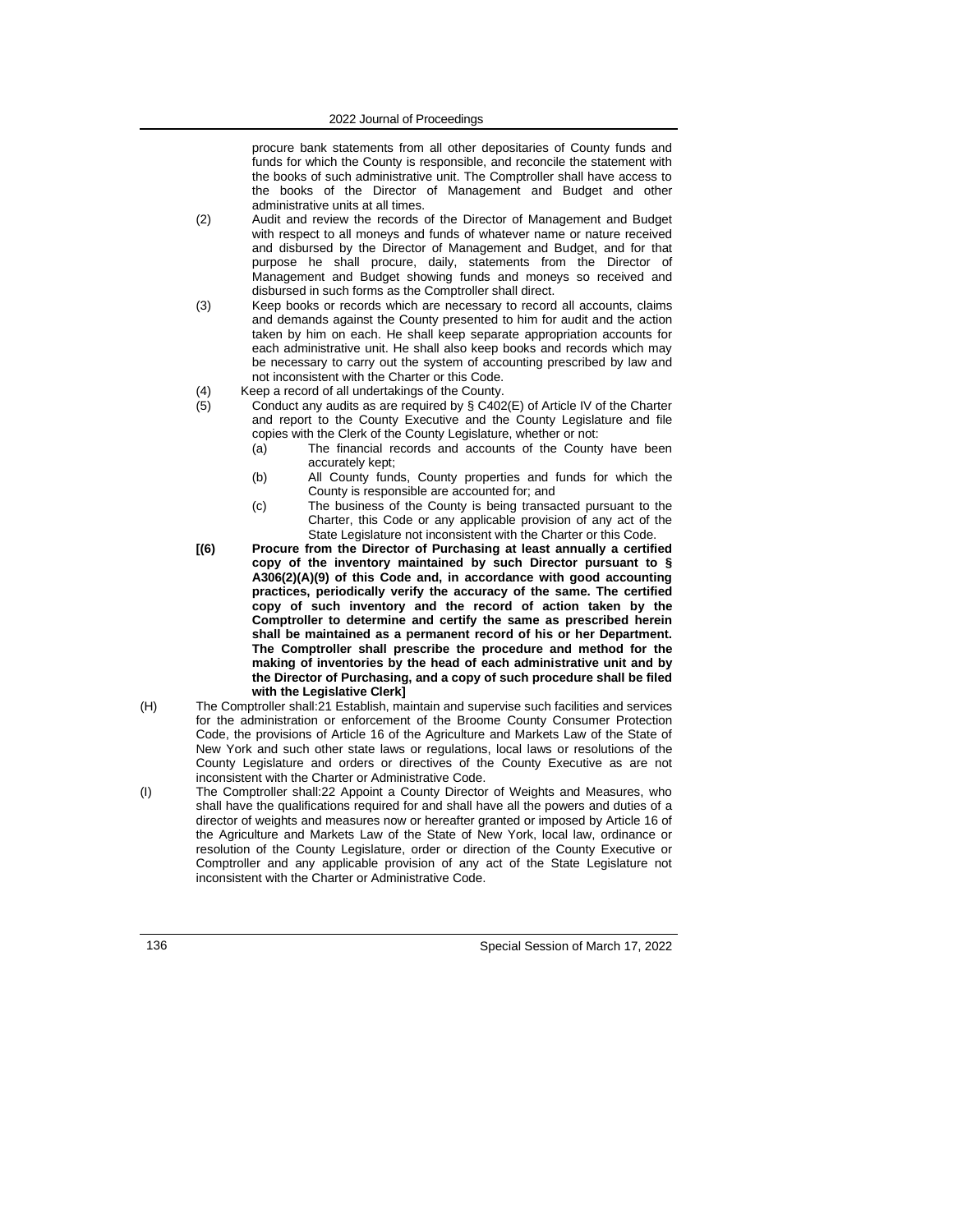procure bank statements from all other depositaries of County funds and funds for which the County is responsible, and reconcile the statement with the books of such administrative unit. The Comptroller shall have access to the books of the Director of Management and Budget and other administrative units at all times.

- (2) Audit and review the records of the Director of Management and Budget with respect to all moneys and funds of whatever name or nature received and disbursed by the Director of Management and Budget, and for that purpose he shall procure, daily, statements from the Director of Management and Budget showing funds and moneys so received and disbursed in such forms as the Comptroller shall direct.
- (3) Keep books or records which are necessary to record all accounts, claims and demands against the County presented to him for audit and the action taken by him on each. He shall keep separate appropriation accounts for each administrative unit. He shall also keep books and records which may be necessary to carry out the system of accounting prescribed by law and not inconsistent with the Charter or this Code.
- (4) Keep a record of all undertakings of the County.<br>(5) Conduct any audits as are required by  $\S$  C402
	- Conduct any audits as are required by § C402(E) of Article IV of the Charter and report to the County Executive and the County Legislature and file copies with the Clerk of the County Legislature, whether or not:
		- (a) The financial records and accounts of the County have been accurately kept;
		- (b) All County funds, County properties and funds for which the County is responsible are accounted for; and
		- (c) The business of the County is being transacted pursuant to the Charter, this Code or any applicable provision of any act of the State Legislature not inconsistent with the Charter or this Code.
- **[(6) Procure from the Director of Purchasing at least annually a certified copy of the inventory maintained by such Director pursuant to § A306(2)(A)(9) of this Code and, in accordance with good accounting practices, periodically verify the accuracy of the same. The certified copy of such inventory and the record of action taken by the Comptroller to determine and certify the same as prescribed herein shall be maintained as a permanent record of his or her Department. The Comptroller shall prescribe the procedure and method for the making of inventories by the head of each administrative unit and by the Director of Purchasing, and a copy of such procedure shall be filed with the Legislative Clerk]**
- (H) The Comptroller shall:21 Establish, maintain and supervise such facilities and services for the administration or enforcement of the Broome County Consumer Protection Code, the provisions of Article 16 of the Agriculture and Markets Law of the State of New York and such other state laws or regulations, local laws or resolutions of the County Legislature and orders or directives of the County Executive as are not inconsistent with the Charter or Administrative Code.
- (I) The Comptroller shall:22 Appoint a County Director of Weights and Measures, who shall have the qualifications required for and shall have all the powers and duties of a director of weights and measures now or hereafter granted or imposed by Article 16 of the Agriculture and Markets Law of the State of New York, local law, ordinance or resolution of the County Legislature, order or direction of the County Executive or Comptroller and any applicable provision of any act of the State Legislature not inconsistent with the Charter or Administrative Code.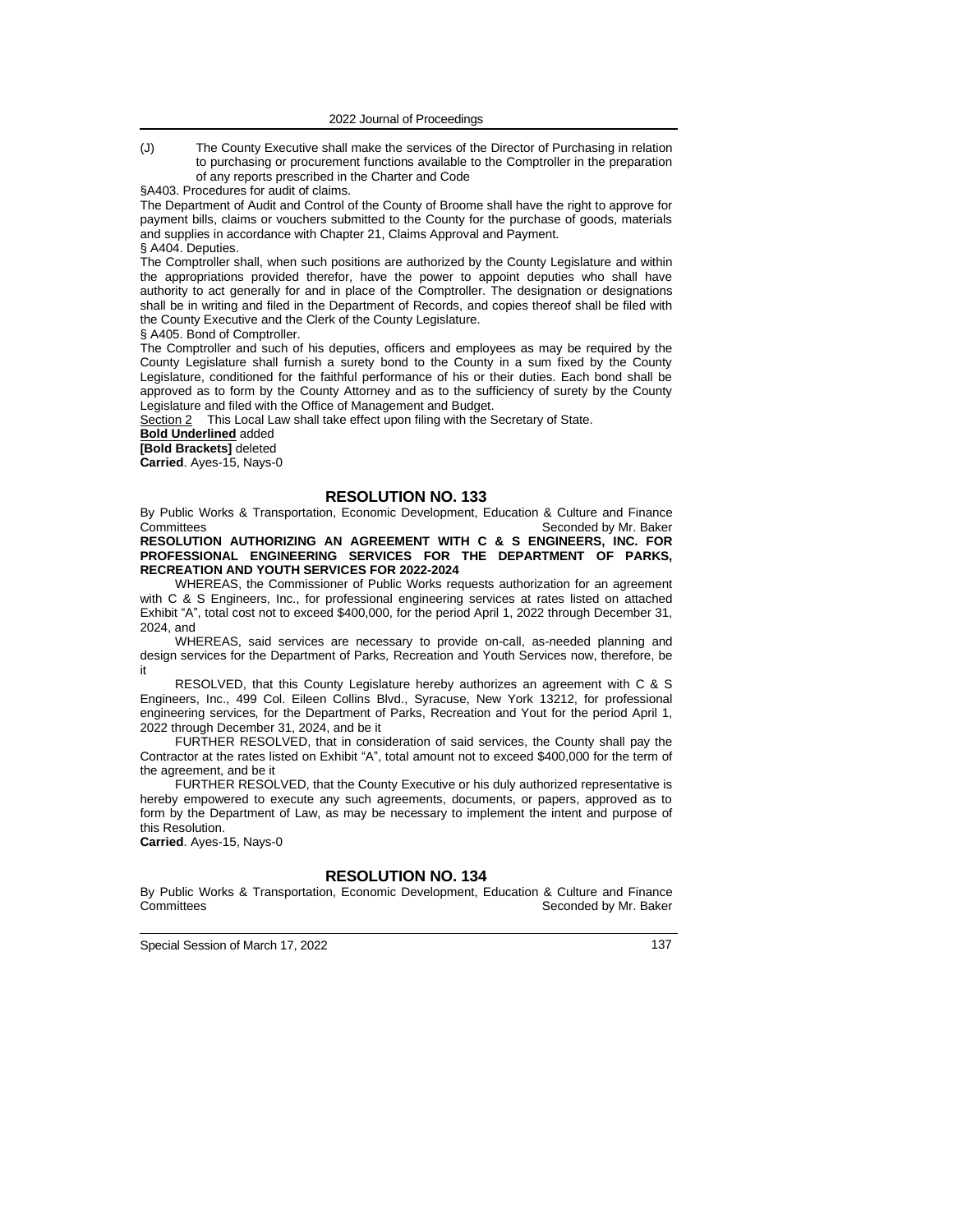(J) The County Executive shall make the services of the Director of Purchasing in relation to purchasing or procurement functions available to the Comptroller in the preparation of any reports prescribed in the Charter and Code

§A403. Procedures for audit of claims.

The Department of Audit and Control of the County of Broome shall have the right to approve for payment bills, claims or vouchers submitted to the County for the purchase of goods, materials and supplies in accordance with Chapter 21, Claims Approval and Payment.

#### § A404. Deputies.

The Comptroller shall, when such positions are authorized by the County Legislature and within the appropriations provided therefor, have the power to appoint deputies who shall have authority to act generally for and in place of the Comptroller. The designation or designations shall be in writing and filed in the Department of Records, and copies thereof shall be filed with the County Executive and the Clerk of the County Legislature.

§ A405. Bond of Comptroller.

The Comptroller and such of his deputies, officers and employees as may be required by the County Legislature shall furnish a surety bond to the County in a sum fixed by the County Legislature, conditioned for the faithful performance of his or their duties. Each bond shall be approved as to form by the County Attorney and as to the sufficiency of surety by the County Legislature and filed with the Office of Management and Budget.

Section 2 This Local Law shall take effect upon filing with the Secretary of State.

**Bold Underlined** added

**[Bold Brackets]** deleted

**Carried**. Ayes-15, Nays-0

### **RESOLUTION NO. 133**

By Public Works & Transportation, Economic Development, Education & Culture and Finance Committees Committees Committees Committees Committees Committees Committees Committees **RESOLUTION AUTHORIZING AN AGREEMENT WITH C & S ENGINEERS, INC. FOR PROFESSIONAL ENGINEERING SERVICES FOR THE DEPARTMENT OF PARKS,** 

**RECREATION AND YOUTH SERVICES FOR 2022-2024**

WHEREAS, the Commissioner of Public Works requests authorization for an agreement with C & S Engineers, Inc., for professional engineering services at rates listed on attached Exhibit "A", total cost not to exceed \$400,000, for the period April 1, 2022 through December 31, 2024, and

WHEREAS, said services are necessary to provide on-call, as-needed planning and design services for the Department of Parks*,* Recreation and Youth Services now, therefore, be it

RESOLVED, that this County Legislature hereby authorizes an agreement with C & S Engineers, Inc., 499 Col. Eileen Collins Blvd., Syracuse, New York 13212, for professional engineering services*,* for the Department of Parks, Recreation and Yout for the period April 1, 2022 through December 31, 2024, and be it

FURTHER RESOLVED, that in consideration of said services, the County shall pay the Contractor at the rates listed on Exhibit "A", total amount not to exceed \$400,000 for the term of the agreement, and be it

FURTHER RESOLVED, that the County Executive or his duly authorized representative is hereby empowered to execute any such agreements, documents, or papers, approved as to form by the Department of Law, as may be necessary to implement the intent and purpose of this Resolution.

**Carried**. Ayes-15, Nays-0

### **RESOLUTION NO. 134**

By Public Works & Transportation, Economic Development, Education & Culture and Finance Committees **Seconded by Mr. Baker** Seconded by Mr. Baker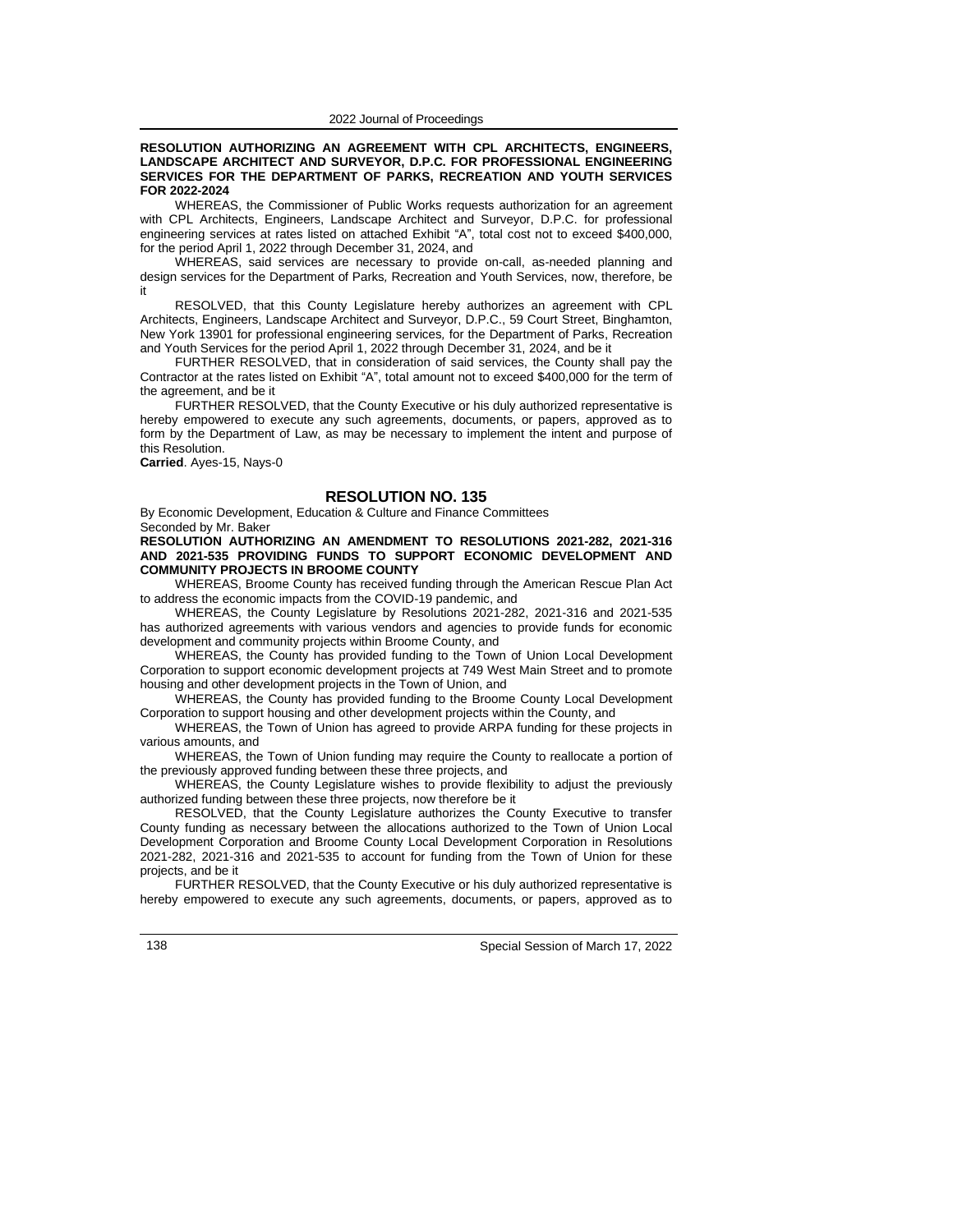#### **RESOLUTION AUTHORIZING AN AGREEMENT WITH CPL ARCHITECTS, ENGINEERS, LANDSCAPE ARCHITECT AND SURVEYOR, D.P.C. FOR PROFESSIONAL ENGINEERING SERVICES FOR THE DEPARTMENT OF PARKS, RECREATION AND YOUTH SERVICES FOR 2022-2024**

WHEREAS, the Commissioner of Public Works requests authorization for an agreement with CPL Architects, Engineers, Landscape Architect and Surveyor, D.P.C. for professional engineering services at rates listed on attached Exhibit "A", total cost not to exceed \$400,000, for the period April 1, 2022 through December 31, 2024, and

WHEREAS, said services are necessary to provide on-call, as-needed planning and design services for the Department of Parks*,* Recreation and Youth Services, now, therefore, be it

RESOLVED, that this County Legislature hereby authorizes an agreement with CPL Architects, Engineers, Landscape Architect and Surveyor, D.P.C., 59 Court Street, Binghamton, New York 13901 for professional engineering services*,* for the Department of Parks, Recreation and Youth Services for the period April 1, 2022 through December 31, 2024, and be it

FURTHER RESOLVED, that in consideration of said services, the County shall pay the Contractor at the rates listed on Exhibit "A", total amount not to exceed \$400,000 for the term of the agreement, and be it

FURTHER RESOLVED, that the County Executive or his duly authorized representative is hereby empowered to execute any such agreements, documents, or papers, approved as to form by the Department of Law, as may be necessary to implement the intent and purpose of this Resolution.

**Carried**. Ayes-15, Nays-0

#### **RESOLUTION NO. 135**

By Economic Development, Education & Culture and Finance Committees Seconded by Mr. Baker

**RESOLUTION AUTHORIZING AN AMENDMENT TO RESOLUTIONS 2021-282, 2021-316 AND 2021-535 PROVIDING FUNDS TO SUPPORT ECONOMIC DEVELOPMENT AND COMMUNITY PROJECTS IN BROOME COUNTY**

WHEREAS, Broome County has received funding through the American Rescue Plan Act to address the economic impacts from the COVID-19 pandemic, and

WHEREAS, the County Legislature by Resolutions 2021-282, 2021-316 and 2021-535 has authorized agreements with various vendors and agencies to provide funds for economic development and community projects within Broome County, and

WHEREAS, the County has provided funding to the Town of Union Local Development Corporation to support economic development projects at 749 West Main Street and to promote housing and other development projects in the Town of Union, and

WHEREAS, the County has provided funding to the Broome County Local Development Corporation to support housing and other development projects within the County, and

WHEREAS, the Town of Union has agreed to provide ARPA funding for these projects in various amounts, and

WHEREAS, the Town of Union funding may require the County to reallocate a portion of the previously approved funding between these three projects, and

WHEREAS, the County Legislature wishes to provide flexibility to adjust the previously authorized funding between these three projects, now therefore be it

RESOLVED, that the County Legislature authorizes the County Executive to transfer County funding as necessary between the allocations authorized to the Town of Union Local Development Corporation and Broome County Local Development Corporation in Resolutions 2021-282, 2021-316 and 2021-535 to account for funding from the Town of Union for these projects, and be it

FURTHER RESOLVED, that the County Executive or his duly authorized representative is hereby empowered to execute any such agreements, documents, or papers, approved as to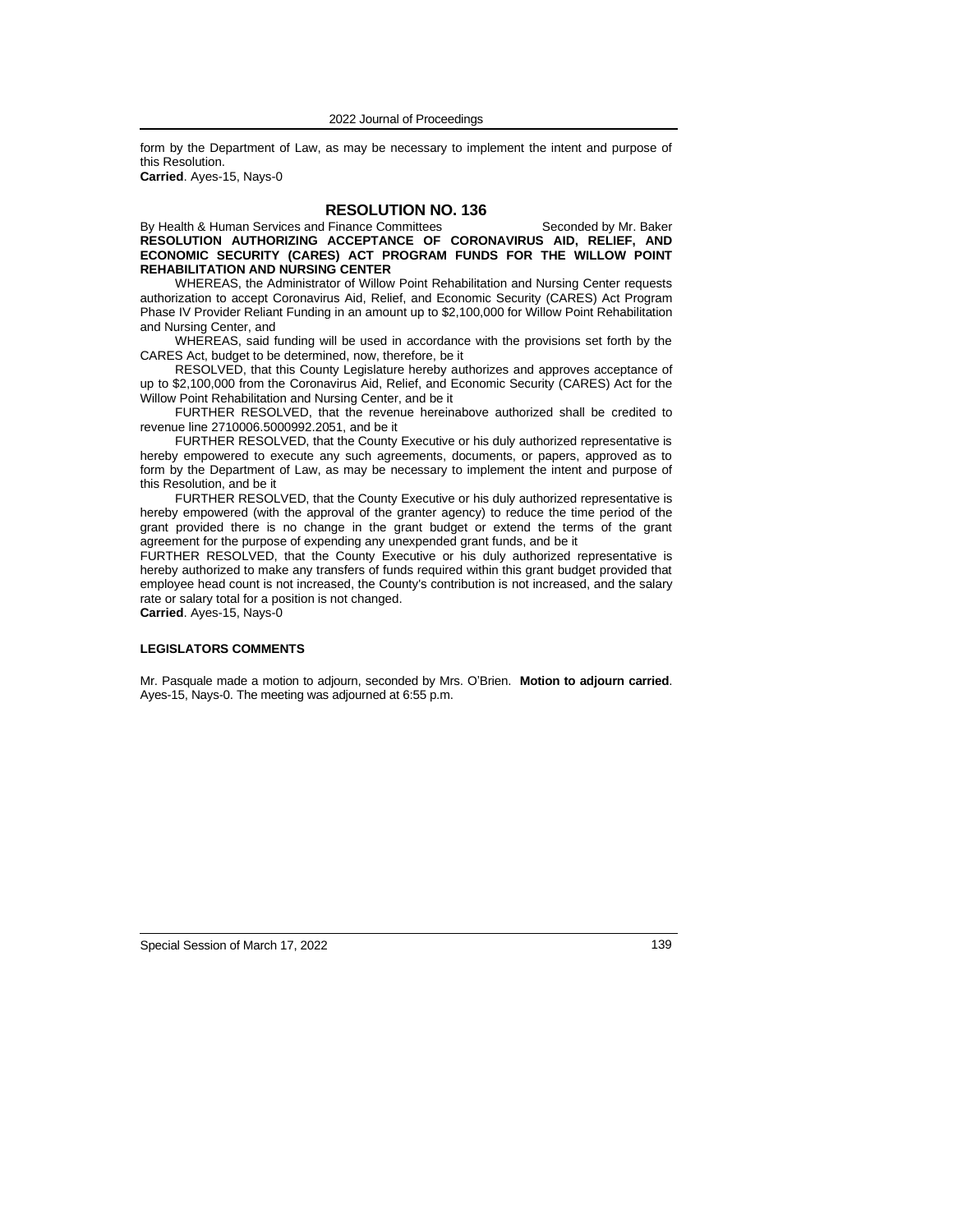form by the Department of Law, as may be necessary to implement the intent and purpose of this Resolution.

**Carried**. Ayes-15, Nays-0

# **RESOLUTION NO. 136**

By Health & Human Services and Finance Committees Seconded by Mr. Baker **RESOLUTION AUTHORIZING ACCEPTANCE OF CORONAVIRUS AID, RELIEF, AND ECONOMIC SECURITY (CARES) ACT PROGRAM FUNDS FOR THE WILLOW POINT REHABILITATION AND NURSING CENTER**

WHEREAS, the Administrator of Willow Point Rehabilitation and Nursing Center requests authorization to accept Coronavirus Aid, Relief, and Economic Security (CARES) Act Program Phase IV Provider Reliant Funding in an amount up to \$2,100,000 for Willow Point Rehabilitation and Nursing Center, and

WHEREAS, said funding will be used in accordance with the provisions set forth by the CARES Act, budget to be determined, now, therefore, be it

RESOLVED, that this County Legislature hereby authorizes and approves acceptance of up to \$2,100,000 from the Coronavirus Aid, Relief, and Economic Security (CARES) Act for the Willow Point Rehabilitation and Nursing Center, and be it

FURTHER RESOLVED, that the revenue hereinabove authorized shall be credited to revenue line 2710006.5000992.2051, and be it

FURTHER RESOLVED, that the County Executive or his duly authorized representative is hereby empowered to execute any such agreements, documents, or papers, approved as to form by the Department of Law, as may be necessary to implement the intent and purpose of this Resolution, and be it

FURTHER RESOLVED, that the County Executive or his duly authorized representative is hereby empowered (with the approval of the granter agency) to reduce the time period of the grant provided there is no change in the grant budget or extend the terms of the grant agreement for the purpose of expending any unexpended grant funds, and be it

FURTHER RESOLVED, that the County Executive or his duly authorized representative is hereby authorized to make any transfers of funds required within this grant budget provided that employee head count is not increased, the County's contribution is not increased, and the salary rate or salary total for a position is not changed.

**Carried**. Ayes-15, Nays-0

### **LEGISLATORS COMMENTS**

Mr. Pasquale made a motion to adjourn, seconded by Mrs. O'Brien. **Motion to adjourn carried**. Ayes-15, Nays-0. The meeting was adjourned at 6:55 p.m.